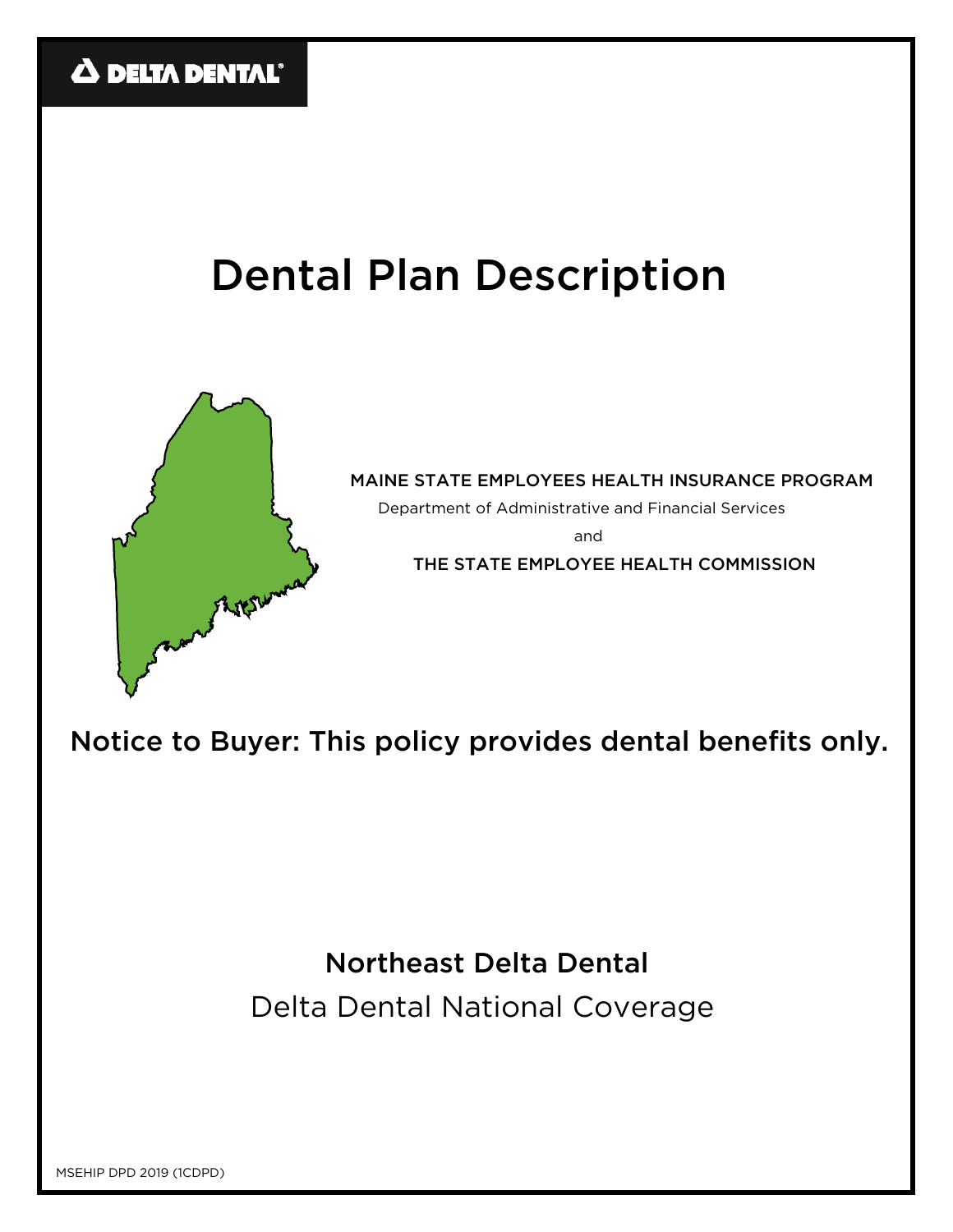# Dental Plan Description



MAINE STATE EMPLOYEES HEALTH INSURANCE PROGRAM

Department of Administrative and Financial Services

and

THE STATE EMPLOYEE HEALTH COMMISSION

Notice to Buyer: This policy provides dental benefits only.

Northeast Delta Dental

Delta Dental National Coverage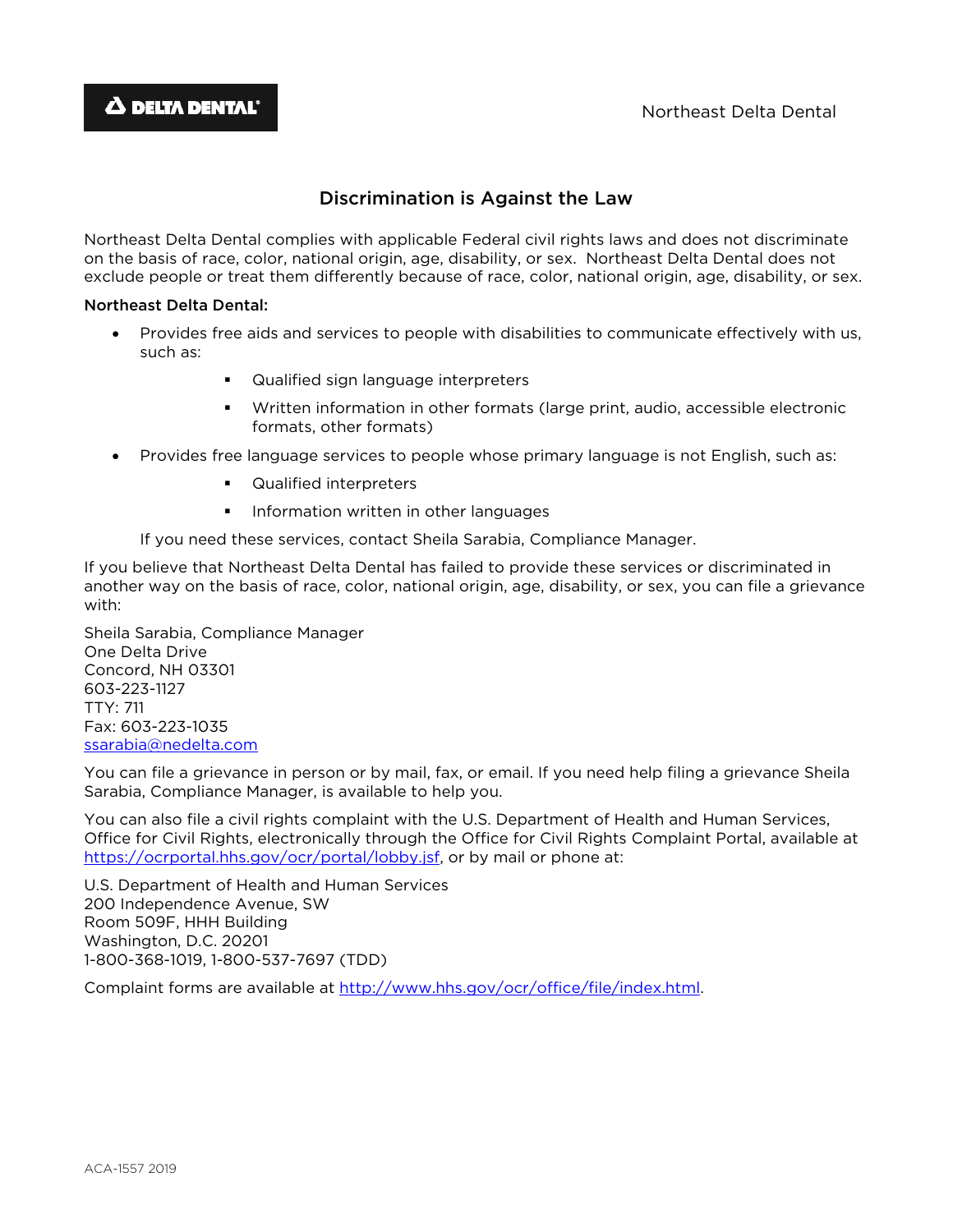# Discrimination is Against the Law

Northeast Delta Dental complies with applicable Federal civil rights laws and does not discriminate on the basis of race, color, national origin, age, disability, or sex. Northeast Delta Dental does not exclude people or treat them differently because of race, color, national origin, age, disability, or sex.

## Northeast Delta Dental:

- Provides free aids and services to people with disabilities to communicate effectively with us, such as:
	- **EXECUTE:** Qualified sign language interpreters
	- Written information in other formats (large print, audio, accessible electronic formats, other formats)
- Provides free language services to people whose primary language is not English, such as:
	- Qualified interpreters
	- **Information written in other languages**

If you need these services, contact Sheila Sarabia, Compliance Manager.

If you believe that Northeast Delta Dental has failed to provide these services or discriminated in another way on the basis of race, color, national origin, age, disability, or sex, you can file a grievance with:

Sheila Sarabia, Compliance Manager One Delta Drive Concord, NH 03301 603-223-1127 TTY: 711 Fax: 603-223-1035 ssarabia@nedelta.com

You can file a grievance in person or by mail, fax, or email. If you need help filing a grievance Sheila Sarabia, Compliance Manager, is available to help you.

You can also file a civil rights complaint with the U.S. Department of Health and Human Services, Office for Civil Rights, electronically through the Office for Civil Rights Complaint Portal, available at https://ocrportal.hhs.gov/ocr/portal/lobby.jsf, or by mail or phone at:

U.S. Department of Health and Human Services 200 Independence Avenue, SW Room 509F, HHH Building Washington, D.C. 20201 1-800-368-1019, 1-800-537-7697 (TDD)

Complaint forms are available at http://www.hhs.gov/ocr/office/file/index.html.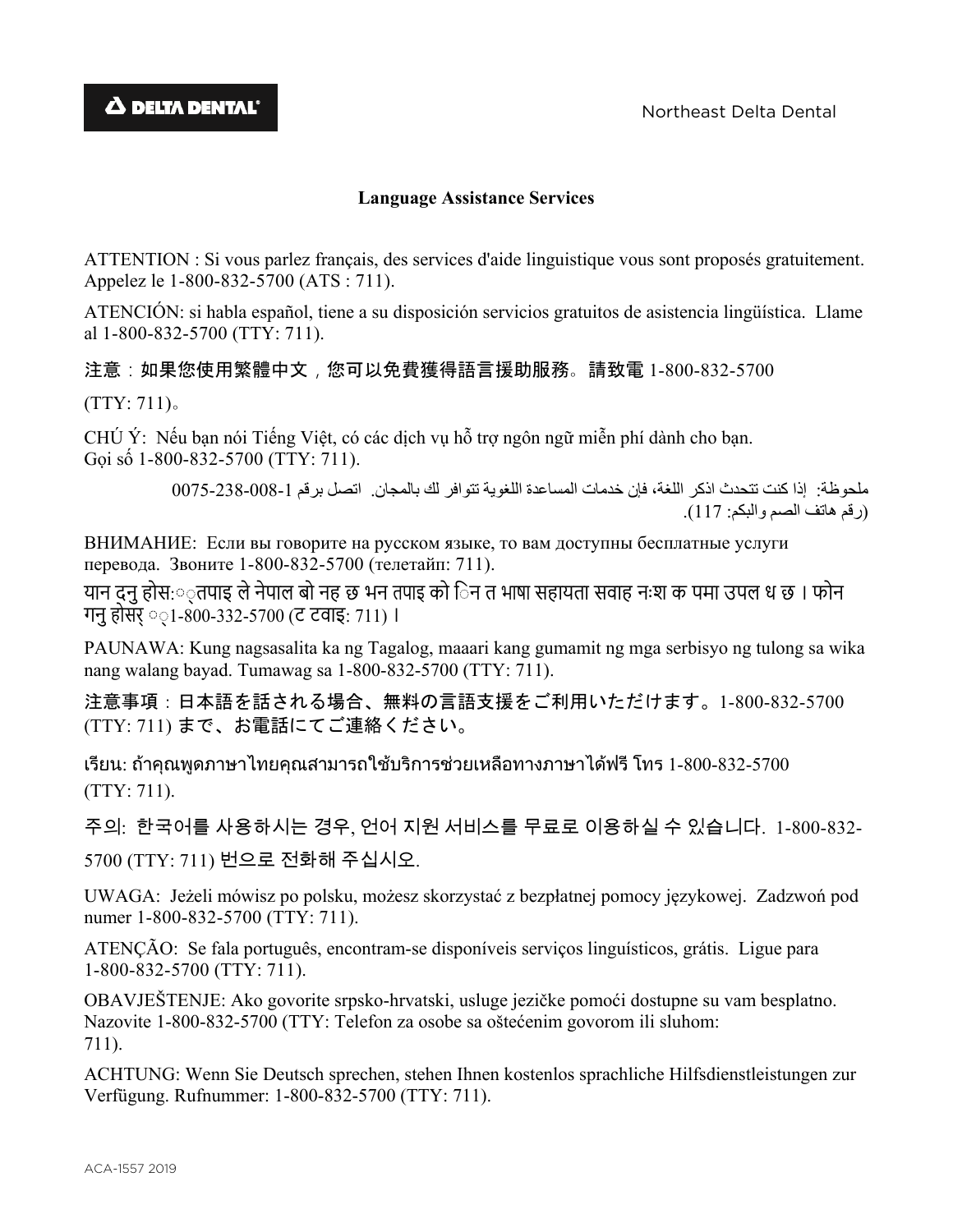# **Language Assistance Services**

ATTENTION : Si vous parlez français, des services d'aide linguistique vous sont proposés gratuitement. Appelez le 1-800-832-5700 (ATS : 711).

ATENCIÓN: si habla español, tiene a su disposición servicios gratuitos de asistencia lingüística. Llame al 1-800-832-5700 (TTY: 711).

注意:如果您使用繁體中文,您可以免費獲得語言援助服務。請致電 1-800-832-5700

(TTY: 711)。

CHÚ Ý: Nếu bạn nói Tiếng Việt, có các dịch vụ hỗ trợ ngôn ngữ miễn phí dành cho bạn. Gọi số 1-800-832-5700 (TTY: 711).

> ملحوظة: إذا كنت تتحدث اذكر اللغة، فإن خدمات المساعدة اللغوية تتوافر لك بالمجان. اتصل برقم 1- 0075-238-008 (رقم هاتف الصم والبكم: 117).

ВНИМАНИЕ: Если вы говорите на русском языке, то вам доступны бесплатные услуги перевода. Звоните 1-800-832-5700 (телетайп: 711).

यान दनु होस:़तपाइ ले नेपाल बो नह छ भन तपाइ को िन त भाषा सहायता सवाह नःश क पमा उपल ध छ । फोन गनुहोसर् ◌◌्1-800-332-5700 (ट टवाइ: 711) ।

PAUNAWA: Kung nagsasalita ka ng Tagalog, maaari kang gumamit ng mga serbisyo ng tulong sa wika nang walang bayad. Tumawag sa 1-800-832-5700 (TTY: 711).

注意事項:日本語を話される場合、無料の言語支援をご利用いただけます。1-800-832-5700 (TTY: 711) まで、お電話にてご連絡ください。

เรียน: ถาคุณพูดภาษาไทยคุณสามารถใชบริการชวยเหลือทางภาษาไดฟรีโทร 1-800-832-5700 (TTY: 711).

주의: 한국어를 사용하시는 경우, 언어 지원 서비스를 무료로 이용하실 수 있습니다. 1-800-832-

5700 (TTY: 711) 번으로 전화해 주십시오.

UWAGA: Jeżeli mówisz po polsku, możesz skorzystać z bezpłatnej pomocy językowej. Zadzwoń pod numer 1-800-832-5700 (TTY: 711).

ATENÇÃO: Se fala português, encontram-se disponíveis serviços linguísticos, grátis. Ligue para 1-800-832-5700 (TTY: 711).

OBAVJEŠTENJE: Ako govorite srpsko-hrvatski, usluge jezičke pomoći dostupne su vam besplatno. Nazovite 1-800-832-5700 (TTY: Telefon za osobe sa oštećenim govorom ili sluhom: 711).

ACHTUNG: Wenn Sie Deutsch sprechen, stehen Ihnen kostenlos sprachliche Hilfsdienstleistungen zur Verfügung. Rufnummer: 1-800-832-5700 (TTY: 711).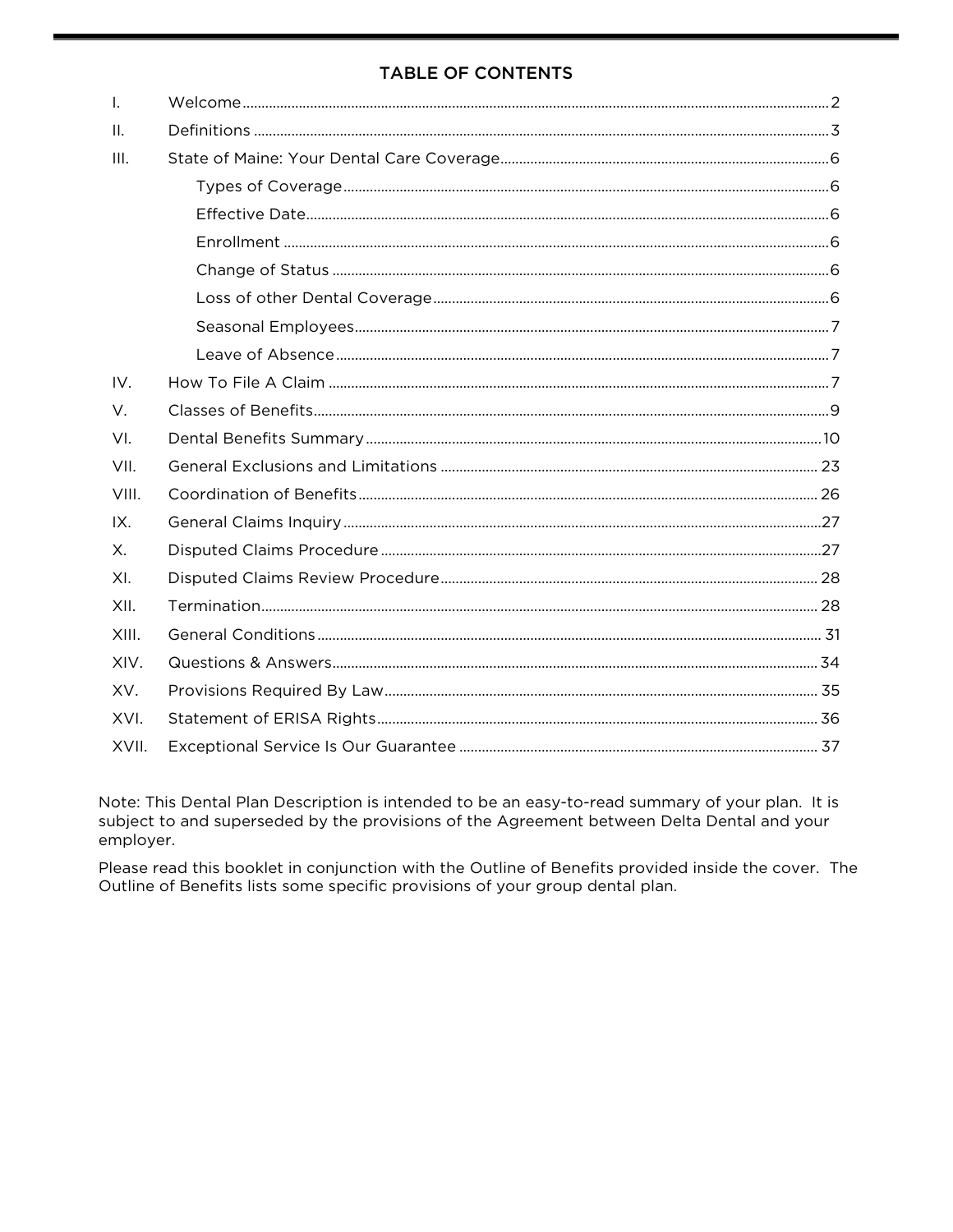# **TABLE OF CONTENTS**

| $\mathbf{I}$ . |  |
|----------------|--|
| Ш.             |  |
| III.           |  |
|                |  |
|                |  |
|                |  |
|                |  |
|                |  |
|                |  |
|                |  |
| IV.            |  |
| V.             |  |
| VI.            |  |
| VII.           |  |
| VIII.          |  |
| IX.            |  |
| Χ.             |  |
| XI.            |  |
| XII.           |  |
| XIII.          |  |
| XIV.           |  |
| XV.            |  |
| XVI.           |  |
| XVII.          |  |

Note: This Dental Plan Description is intended to be an easy-to-read summary of your plan. It is subject to and superseded by the provisions of the Agreement between Delta Dental and your employer.

Please read this booklet in conjunction with the Outline of Benefits provided inside the cover. The Outline of Benefits lists some specific provisions of your group dental plan.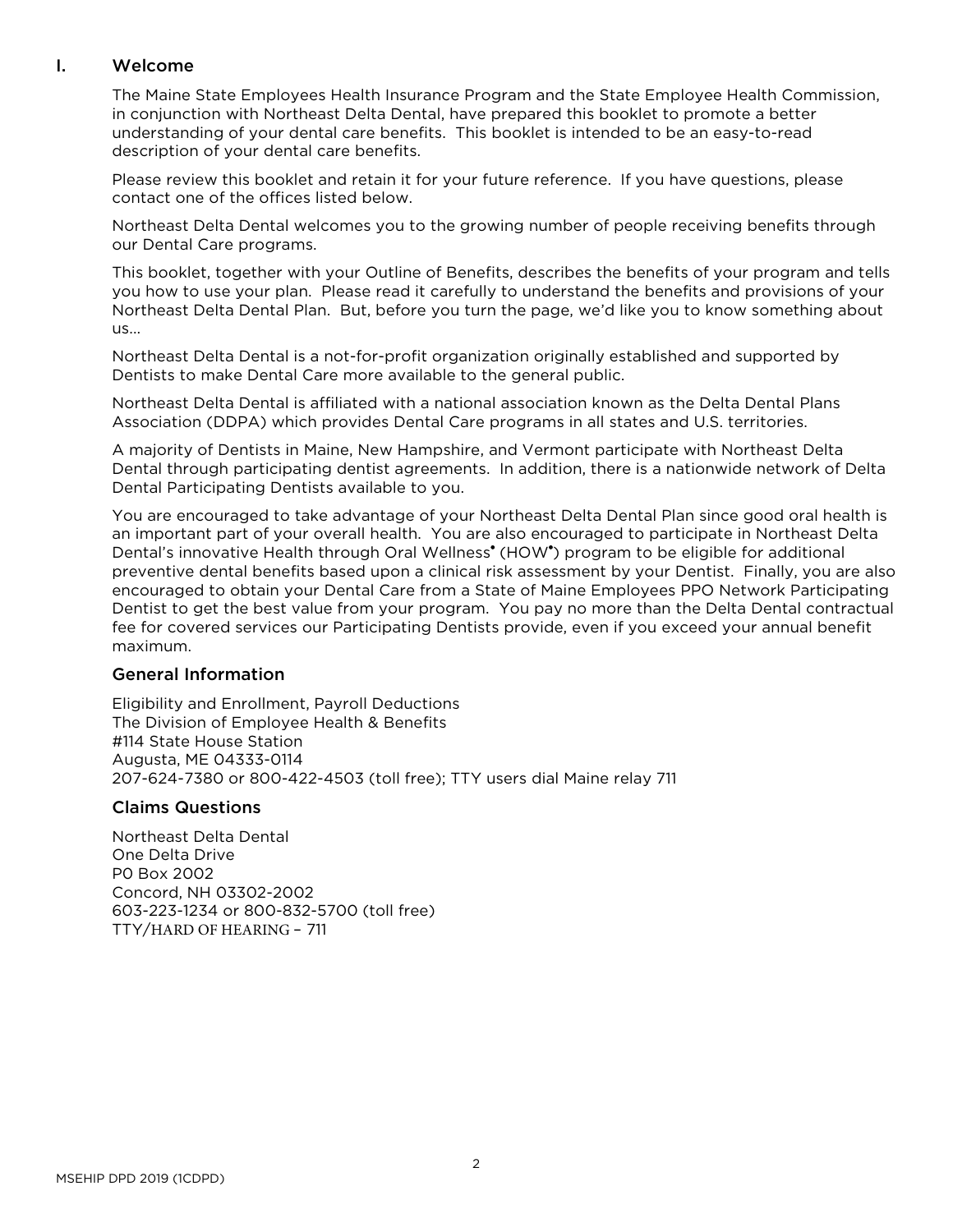# <span id="page-4-0"></span>I. Welcome

The Maine State Employees Health Insurance Program and the State Employee Health Commission, in conjunction with Northeast Delta Dental, have prepared this booklet to promote a better understanding of your dental care benefits. This booklet is intended to be an easy-to-read description of your dental care benefits.

Please review this booklet and retain it for your future reference. If you have questions, please contact one of the offices listed below.

Northeast Delta Dental welcomes you to the growing number of people receiving benefits through our Dental Care programs.

This booklet, together with your Outline of Benefits, describes the benefits of your program and tells you how to use your plan. Please read it carefully to understand the benefits and provisions of your Northeast Delta Dental Plan. But, before you turn the page, we'd like you to know something about us...

Northeast Delta Dental is a not-for-profit organization originally established and supported by Dentists to make Dental Care more available to the general public.

Northeast Delta Dental is affiliated with a national association known as the Delta Dental Plans Association (DDPA) which provides Dental Care programs in all states and U.S. territories.

A majority of Dentists in Maine, New Hampshire, and Vermont participate with Northeast Delta Dental through participating dentist agreements. In addition, there is a nationwide network of Delta Dental Participating Dentists available to you.

You are encouraged to take advantage of your Northeast Delta Dental Plan since good oral health is an important part of your overall health. You are also encouraged to participate in Northeast Delta Dental's innovative Health through Oral Wellness<sup>®</sup> (HOW<sup>®</sup>) program to be eligible for additional preventive dental benefits based upon a clinical risk assessment by your Dentist. Finally, you are also encouraged to obtain your Dental Care from a State of Maine Employees PPO Network Participating Dentist to get the best value from your program. You pay no more than the Delta Dental contractual fee for covered services our Participating Dentists provide, even if you exceed your annual benefit maximum.

## General Information

Eligibility and Enrollment, Payroll Deductions The Division of Employee Health & Benefits #114 State House Station Augusta, ME 04333-0114 207-624-7380 or 800-422-4503 (toll free); TTY users dial Maine relay 711

## Claims Questions

Northeast Delta Dental One Delta Drive P0 Box 2002 Concord, NH 03302-2002 603-223-1234 or 800-832-5700 (toll free) TTY/HARD OF HEARING – 711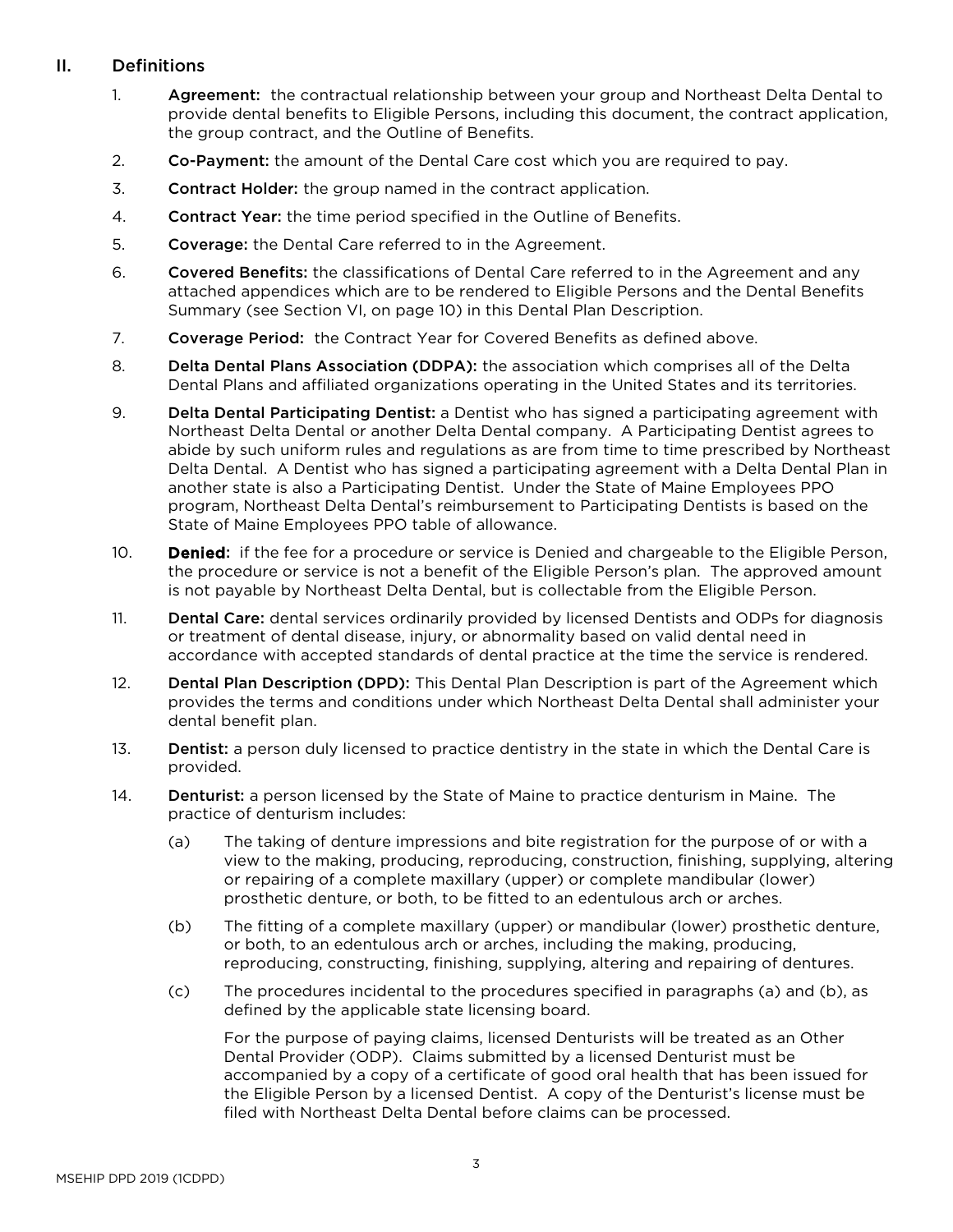# <span id="page-5-0"></span>II. Definitions

- 1. **Agreement:** the contractual relationship between your group and Northeast Delta Dental to provide dental benefits to Eligible Persons, including this document, the contract application, the group contract, and the Outline of Benefits.
- 2. Co-Payment: the amount of the Dental Care cost which you are required to pay.
- 3. Contract Holder: the group named in the contract application.
- 4. Contract Year: the time period specified in the Outline of Benefits.
- 5. Coverage: the Dental Care referred to in the Agreement.
- 6. Covered Benefits: the classifications of Dental Care referred to in the Agreement and any attached appendices which are to be rendered to Eligible Persons and the Dental Benefits Summary (see Section VI, on page 10) in this Dental Plan Description.
- 7. Coverage Period: the Contract Year for Covered Benefits as defined above.
- 8. Delta Dental Plans Association (DDPA): the association which comprises all of the Delta Dental Plans and affiliated organizations operating in the United States and its territories.
- 9. Delta Dental Participating Dentist: a Dentist who has signed a participating agreement with Northeast Delta Dental or another Delta Dental company. A Participating Dentist agrees to abide by such uniform rules and regulations as are from time to time prescribed by Northeast Delta Dental. A Dentist who has signed a participating agreement with a Delta Dental Plan in another state is also a Participating Dentist. Under the State of Maine Employees PPO program, Northeast Delta Dental's reimbursement to Participating Dentists is based on the State of Maine Employees PPO table of allowance.
- 10. **Denied:** if the fee for a procedure or service is Denied and chargeable to the Eligible Person, the procedure or service is not a benefit of the Eligible Person's plan. The approved amount is not payable by Northeast Delta Dental, but is collectable from the Eligible Person.
- 11. **Dental Care:** dental services ordinarily provided by licensed Dentists and ODPs for diagnosis or treatment of dental disease, injury, or abnormality based on valid dental need in accordance with accepted standards of dental practice at the time the service is rendered.
- 12. Dental Plan Description (DPD): This Dental Plan Description is part of the Agreement which provides the terms and conditions under which Northeast Delta Dental shall administer your dental benefit plan.
- 13. Dentist: a person duly licensed to practice dentistry in the state in which the Dental Care is provided.
- 14. Denturist: a person licensed by the State of Maine to practice denturism in Maine. The practice of denturism includes:
	- (a) The taking of denture impressions and bite registration for the purpose of or with a view to the making, producing, reproducing, construction, finishing, supplying, altering or repairing of a complete maxillary (upper) or complete mandibular (lower) prosthetic denture, or both, to be fitted to an edentulous arch or arches.
	- (b) The fitting of a complete maxillary (upper) or mandibular (lower) prosthetic denture, or both, to an edentulous arch or arches, including the making, producing, reproducing, constructing, finishing, supplying, altering and repairing of dentures.
	- (c) The procedures incidental to the procedures specified in paragraphs (a) and (b), as defined by the applicable state licensing board.

For the purpose of paying claims, licensed Denturists will be treated as an Other Dental Provider (ODP). Claims submitted by a licensed Denturist must be accompanied by a copy of a certificate of good oral health that has been issued for the Eligible Person by a licensed Dentist. A copy of the Denturist's license must be filed with Northeast Delta Dental before claims can be processed.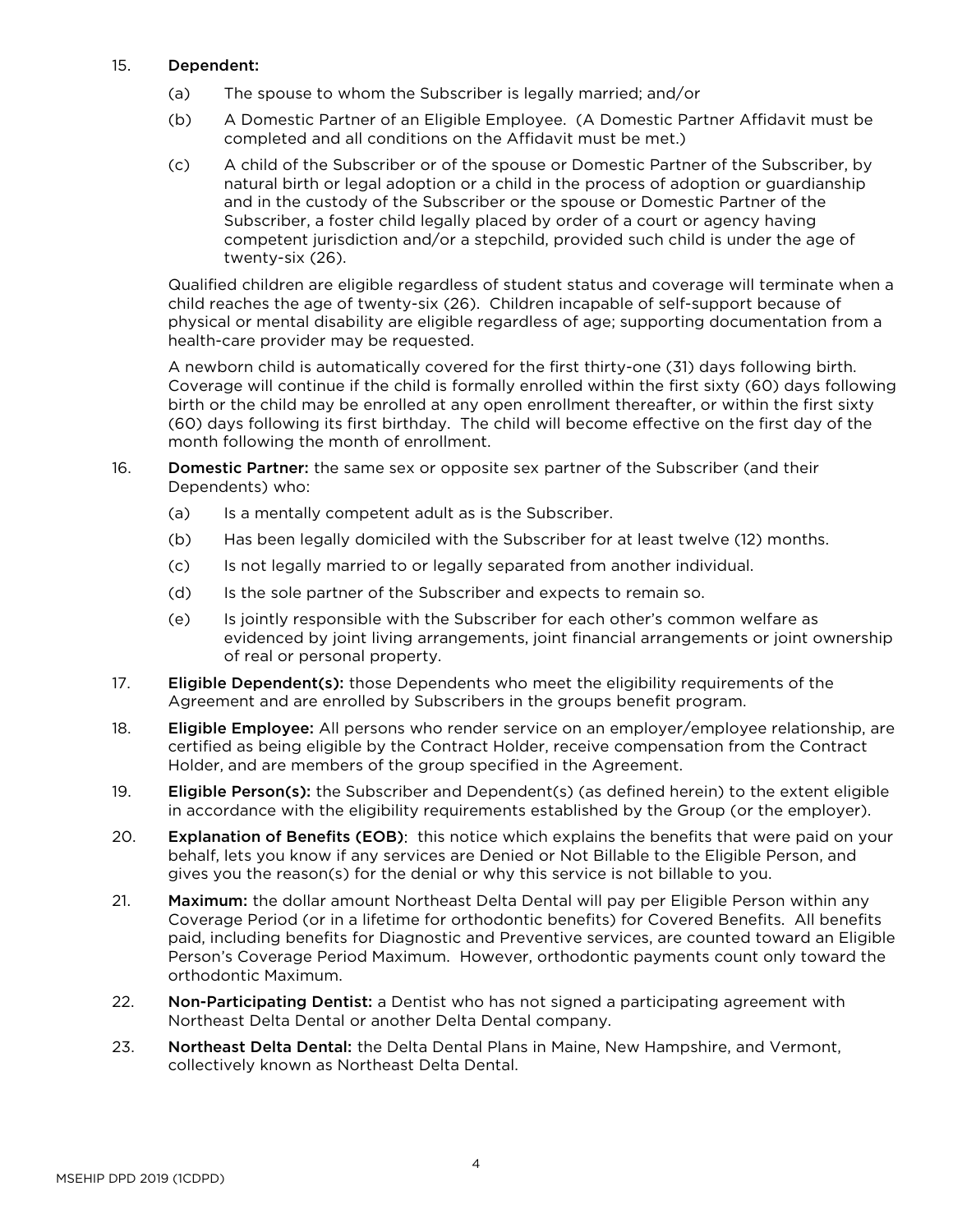#### 15. Dependent:

- (a) The spouse to whom the Subscriber is legally married; and/or
- (b) A Domestic Partner of an Eligible Employee. (A Domestic Partner Affidavit must be completed and all conditions on the Affidavit must be met.)
- (c) A child of the Subscriber or of the spouse or Domestic Partner of the Subscriber, by natural birth or legal adoption or a child in the process of adoption or guardianship and in the custody of the Subscriber or the spouse or Domestic Partner of the Subscriber, a foster child legally placed by order of a court or agency having competent jurisdiction and/or a stepchild, provided such child is under the age of twenty-six (26).

Qualified children are eligible regardless of student status and coverage will terminate when a child reaches the age of twenty-six (26). Children incapable of self-support because of physical or mental disability are eligible regardless of age; supporting documentation from a health-care provider may be requested.

A newborn child is automatically covered for the first thirty-one (31) days following birth. Coverage will continue if the child is formally enrolled within the first sixty (60) days following birth or the child may be enrolled at any open enrollment thereafter, or within the first sixty (60) days following its first birthday. The child will become effective on the first day of the month following the month of enrollment.

- 16. Domestic Partner: the same sex or opposite sex partner of the Subscriber (and their Dependents) who:
	- (a) Is a mentally competent adult as is the Subscriber.
	- (b) Has been legally domiciled with the Subscriber for at least twelve (12) months.
	- (c) Is not legally married to or legally separated from another individual.
	- (d) Is the sole partner of the Subscriber and expects to remain so.
	- (e) Is jointly responsible with the Subscriber for each other's common welfare as evidenced by joint living arrangements, joint financial arrangements or joint ownership of real or personal property.
- 17. **Eligible Dependent(s):** those Dependents who meet the eligibility requirements of the Agreement and are enrolled by Subscribers in the groups benefit program.
- 18. **Eligible Employee:** All persons who render service on an employer/employee relationship, are certified as being eligible by the Contract Holder, receive compensation from the Contract Holder, and are members of the group specified in the Agreement.
- 19. Eligible Person(s): the Subscriber and Dependent(s) (as defined herein) to the extent eligible in accordance with the eligibility requirements established by the Group (or the employer).
- 20. Explanation of Benefits (EOB): this notice which explains the benefits that were paid on your behalf, lets you know if any services are Denied or Not Billable to the Eligible Person, and gives you the reason(s) for the denial or why this service is not billable to you.
- 21. Maximum: the dollar amount Northeast Delta Dental will pay per Eligible Person within any Coverage Period (or in a lifetime for orthodontic benefits) for Covered Benefits. All benefits paid, including benefits for Diagnostic and Preventive services, are counted toward an Eligible Person's Coverage Period Maximum. However, orthodontic payments count only toward the orthodontic Maximum.
- 22. Non-Participating Dentist: a Dentist who has not signed a participating agreement with Northeast Delta Dental or another Delta Dental company.
- 23. Northeast Delta Dental: the Delta Dental Plans in Maine, New Hampshire, and Vermont, collectively known as Northeast Delta Dental.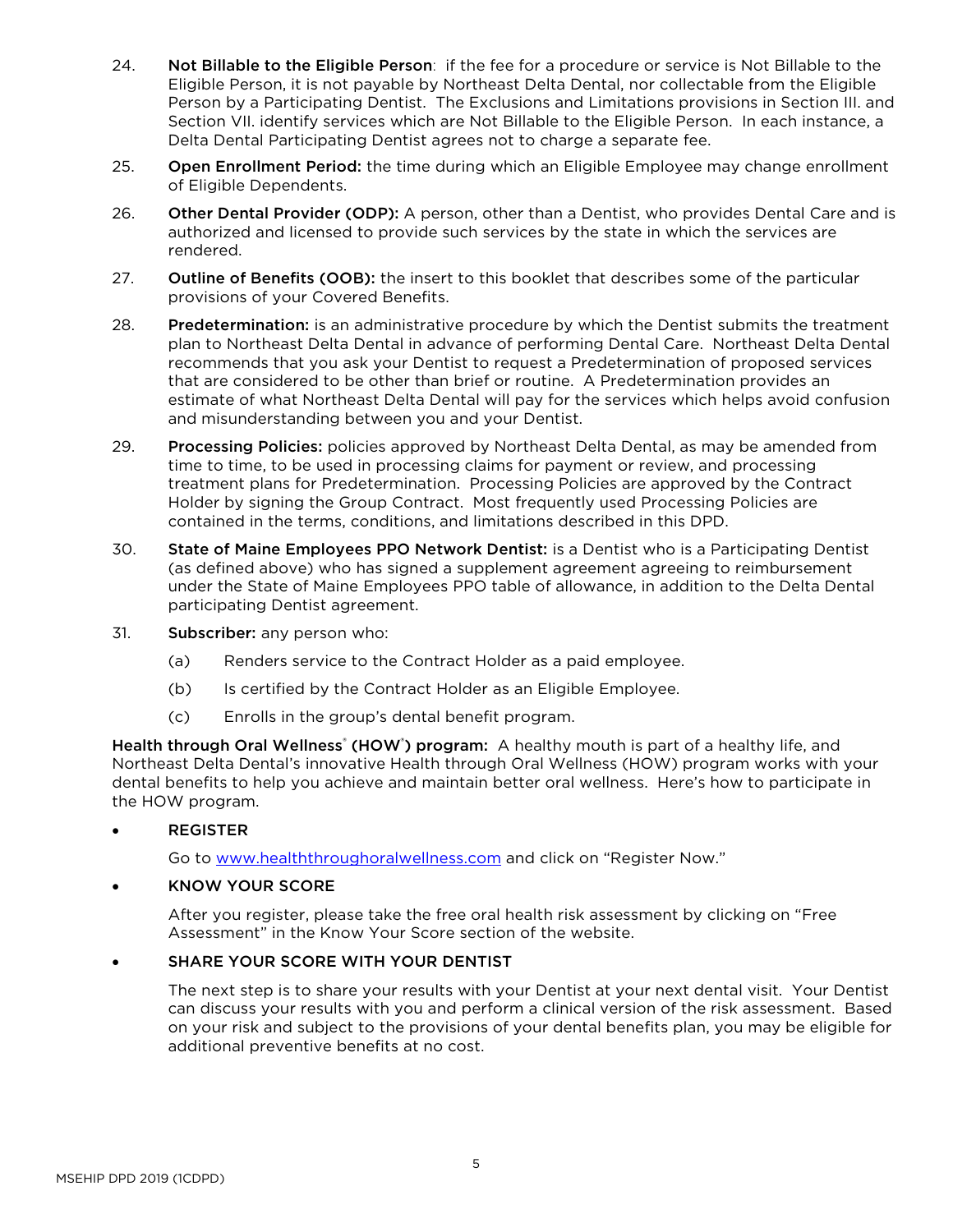- 24. Not Billable to the Eligible Person: if the fee for a procedure or service is Not Billable to the Eligible Person, it is not payable by Northeast Delta Dental, nor collectable from the Eligible Person by a Participating Dentist. The Exclusions and Limitations provisions in Section III. and Section VII. identify services which are Not Billable to the Eligible Person. In each instance, a Delta Dental Participating Dentist agrees not to charge a separate fee.
- 25. Open Enrollment Period: the time during which an Eligible Employee may change enrollment of Eligible Dependents.
- 26. Other Dental Provider (ODP): A person, other than a Dentist, who provides Dental Care and is authorized and licensed to provide such services by the state in which the services are rendered.
- 27. **Outline of Benefits (OOB):** the insert to this booklet that describes some of the particular provisions of your Covered Benefits.
- 28. Predetermination: is an administrative procedure by which the Dentist submits the treatment plan to Northeast Delta Dental in advance of performing Dental Care. Northeast Delta Dental recommends that you ask your Dentist to request a Predetermination of proposed services that are considered to be other than brief or routine. A Predetermination provides an estimate of what Northeast Delta Dental will pay for the services which helps avoid confusion and misunderstanding between you and your Dentist.
- 29. Processing Policies: policies approved by Northeast Delta Dental, as may be amended from time to time, to be used in processing claims for payment or review, and processing treatment plans for Predetermination. Processing Policies are approved by the Contract Holder by signing the Group Contract. Most frequently used Processing Policies are contained in the terms, conditions, and limitations described in this DPD.
- 30. State of Maine Employees PPO Network Dentist: is a Dentist who is a Participating Dentist (as defined above) who has signed a supplement agreement agreeing to reimbursement under the State of Maine Employees PPO table of allowance, in addition to the Delta Dental participating Dentist agreement.
- 31. Subscriber: any person who:
	- (a) Renders service to the Contract Holder as a paid employee.
	- (b) Is certified by the Contract Holder as an Eligible Employee.
	- (c) Enrolls in the group's dental benefit program.

Health through Oral Wellness<sup>®</sup> (HOW<sup>®</sup>) program: A healthy mouth is part of a healthy life, and Northeast Delta Dental's innovative Health through Oral Wellness (HOW) program works with your dental benefits to help you achieve and maintain better oral wellness. Here's how to participate in the HOW program.

## • REGISTER

Go to [www.healththroughoralwellness.com](http://www.healththroughoralwellness.com/) and click on "Register Now."

#### • KNOW YOUR SCORE

After you register, please take the free oral health risk assessment by clicking on "Free Assessment" in the Know Your Score section of the website.

## SHARE YOUR SCORE WITH YOUR DENTIST

The next step is to share your results with your Dentist at your next dental visit. Your Dentist can discuss your results with you and perform a clinical version of the risk assessment. Based on your risk and subject to the provisions of your dental benefits plan, you may be eligible for additional preventive benefits at no cost.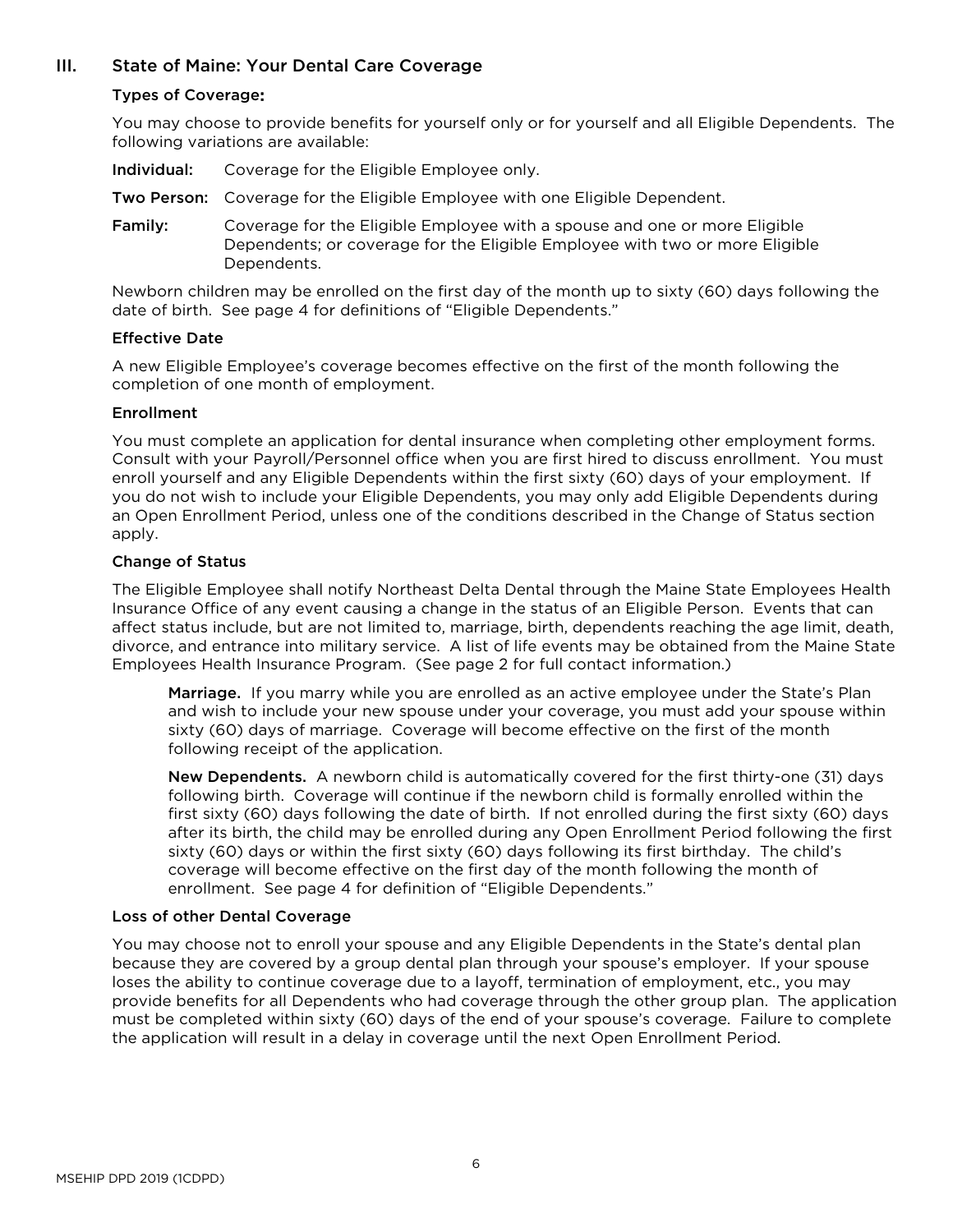# <span id="page-8-1"></span><span id="page-8-0"></span>III. State of Maine: Your Dental Care Coverage

#### Types of Coverage:

You may choose to provide benefits for yourself only or for yourself and all Eligible Dependents. The following variations are available:

Individual: Coverage for the Eligible Employee only.

- Two Person: Coverage for the Eligible Employee with one Eligible Dependent.
- Family: Coverage for the Eligible Employee with a spouse and one or more Eligible Dependents; or coverage for the Eligible Employee with two or more Eligible Dependents.

Newborn children may be enrolled on the first day of the month up to sixty (60) days following the date of birth. See page 4 for definitions of "Eligible Dependents."

#### <span id="page-8-2"></span>Effective Date

A new Eligible Employee's coverage becomes effective on the first of the month following the completion of one month of employment.

#### <span id="page-8-3"></span>Enrollment

You must complete an application for dental insurance when completing other employment forms. Consult with your Payroll/Personnel office when you are first hired to discuss enrollment. You must enroll yourself and any Eligible Dependents within the first sixty (60) days of your employment. If you do not wish to include your Eligible Dependents, you may only add Eligible Dependents during an Open Enrollment Period, unless one of the conditions described in the Change of Status section apply.

#### <span id="page-8-4"></span>Change of Status

The Eligible Employee shall notify Northeast Delta Dental through the Maine State Employees Health Insurance Office of any event causing a change in the status of an Eligible Person. Events that can affect status include, but are not limited to, marriage, birth, dependents reaching the age limit, death, divorce, and entrance into military service. A list of life events may be obtained from the Maine State Employees Health Insurance Program. (See page 2 for full contact information.)

Marriage. If you marry while you are enrolled as an active employee under the State's Plan and wish to include your new spouse under your coverage, you must add your spouse within sixty (60) days of marriage. Coverage will become effective on the first of the month following receipt of the application.

New Dependents. A newborn child is automatically covered for the first thirty-one (31) days following birth. Coverage will continue if the newborn child is formally enrolled within the first sixty (60) days following the date of birth. If not enrolled during the first sixty (60) days after its birth, the child may be enrolled during any Open Enrollment Period following the first sixty (60) days or within the first sixty (60) days following its first birthday. The child's coverage will become effective on the first day of the month following the month of enrollment. See page 4 for definition of "Eligible Dependents."

#### <span id="page-8-5"></span>Loss of other Dental Coverage

You may choose not to enroll your spouse and any Eligible Dependents in the State's dental plan because they are covered by a group dental plan through your spouse's employer. If your spouse loses the ability to continue coverage due to a layoff, termination of employment, etc., you may provide benefits for all Dependents who had coverage through the other group plan. The application must be completed within sixty (60) days of the end of your spouse's coverage. Failure to complete the application will result in a delay in coverage until the next Open Enrollment Period.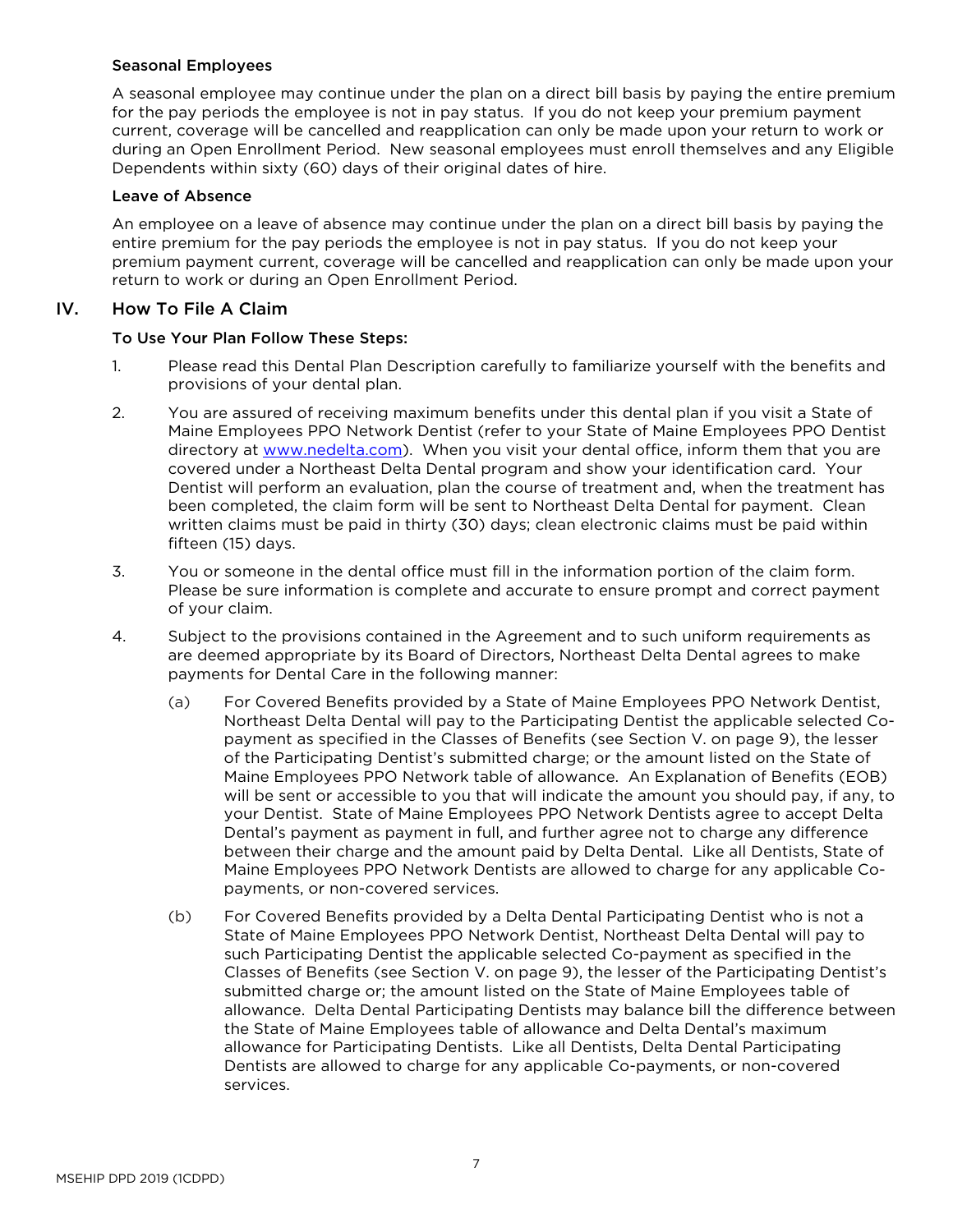#### <span id="page-9-0"></span>Seasonal Employees

A seasonal employee may continue under the plan on a direct bill basis by paying the entire premium for the pay periods the employee is not in pay status. If you do not keep your premium payment current, coverage will be cancelled and reapplication can only be made upon your return to work or during an Open Enrollment Period. New seasonal employees must enroll themselves and any Eligible Dependents within sixty (60) days of their original dates of hire.

#### <span id="page-9-1"></span>Leave of Absence

An employee on a leave of absence may continue under the plan on a direct bill basis by paying the entire premium for the pay periods the employee is not in pay status. If you do not keep your premium payment current, coverage will be cancelled and reapplication can only be made upon your return to work or during an Open Enrollment Period.

## <span id="page-9-2"></span>IV. How To File A Claim

#### To Use Your Plan Follow These Steps:

- 1. Please read this Dental Plan Description carefully to familiarize yourself with the benefits and provisions of your dental plan.
- 2. You are assured of receiving maximum benefits under this dental plan if you visit a State of Maine Employees PPO Network Dentist (refer to your State of Maine Employees PPO Dentist directory at [www.nedelta.com\)](http://www.nedelta.com/). When you visit your dental office, inform them that you are covered under a Northeast Delta Dental program and show your identification card. Your Dentist will perform an evaluation, plan the course of treatment and, when the treatment has been completed, the claim form will be sent to Northeast Delta Dental for payment. Clean written claims must be paid in thirty (30) days; clean electronic claims must be paid within fifteen (15) days.
- 3. You or someone in the dental office must fill in the information portion of the claim form. Please be sure information is complete and accurate to ensure prompt and correct payment of your claim.
- 4. Subject to the provisions contained in the Agreement and to such uniform requirements as are deemed appropriate by its Board of Directors, Northeast Delta Dental agrees to make payments for Dental Care in the following manner:
	- (a) For Covered Benefits provided by a State of Maine Employees PPO Network Dentist, Northeast Delta Dental will pay to the Participating Dentist the applicable selected Copayment as specified in the Classes of Benefits (see Section V. on page 9), the lesser of the Participating Dentist's submitted charge; or the amount listed on the State of Maine Employees PPO Network table of allowance. An Explanation of Benefits (EOB) will be sent or accessible to you that will indicate the amount you should pay, if any, to your Dentist. State of Maine Employees PPO Network Dentists agree to accept Delta Dental's payment as payment in full, and further agree not to charge any difference between their charge and the amount paid by Delta Dental. Like all Dentists, State of Maine Employees PPO Network Dentists are allowed to charge for any applicable Copayments, or non-covered services.
	- (b) For Covered Benefits provided by a Delta Dental Participating Dentist who is not a State of Maine Employees PPO Network Dentist, Northeast Delta Dental will pay to such Participating Dentist the applicable selected Co-payment as specified in the Classes of Benefits (see Section V. on page 9), the lesser of the Participating Dentist's submitted charge or; the amount listed on the State of Maine Employees table of allowance. Delta Dental Participating Dentists may balance bill the difference between the State of Maine Employees table of allowance and Delta Dental's maximum allowance for Participating Dentists. Like all Dentists, Delta Dental Participating Dentists are allowed to charge for any applicable Co-payments, or non-covered services.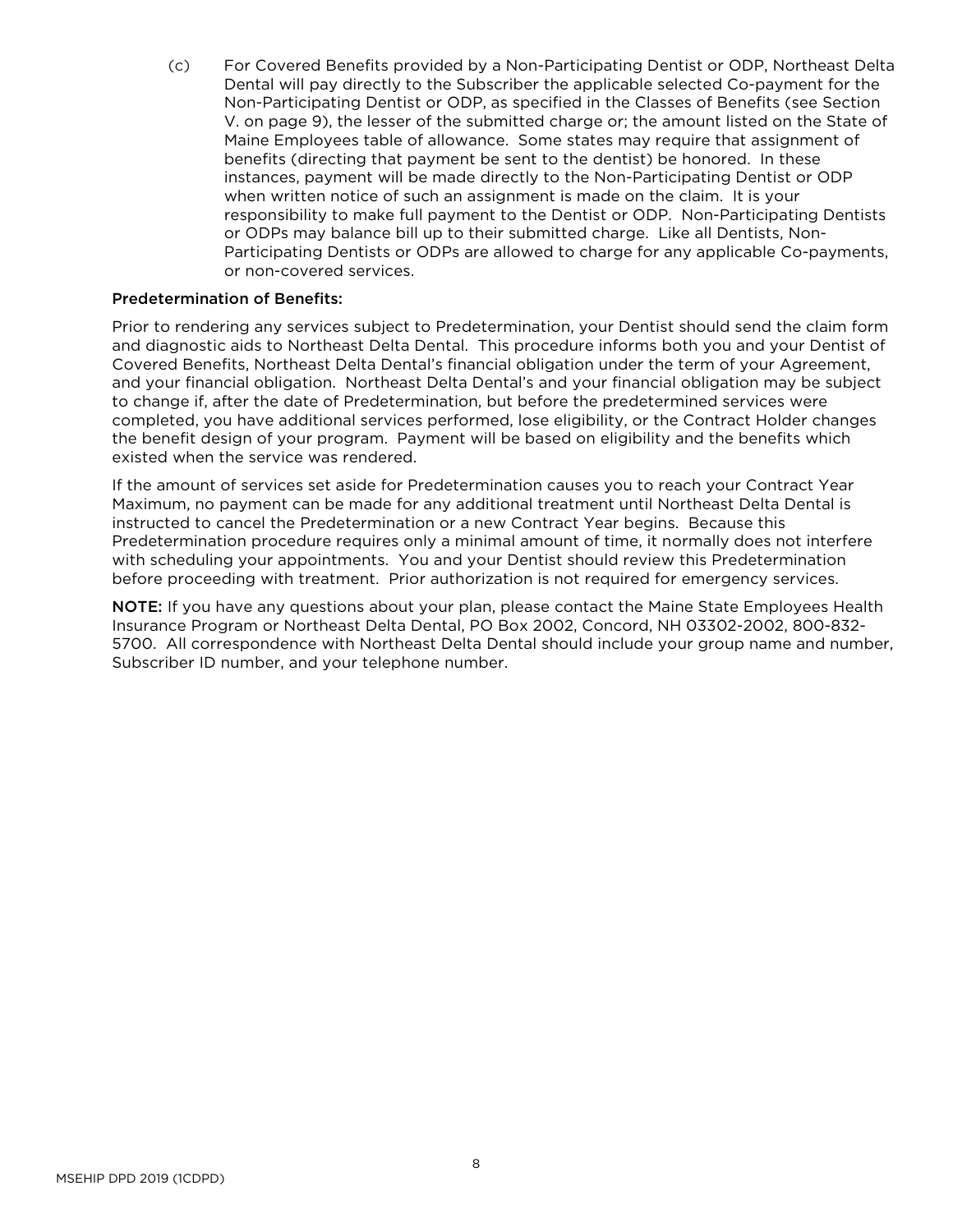(c) For Covered Benefits provided by a Non-Participating Dentist or ODP, Northeast Delta Dental will pay directly to the Subscriber the applicable selected Co-payment for the Non-Participating Dentist or ODP, as specified in the Classes of Benefits (see Section V. on page 9), the lesser of the submitted charge or; the amount listed on the State of Maine Employees table of allowance. Some states may require that assignment of benefits (directing that payment be sent to the dentist) be honored. In these instances, payment will be made directly to the Non-Participating Dentist or ODP when written notice of such an assignment is made on the claim. It is your responsibility to make full payment to the Dentist or ODP. Non-Participating Dentists or ODPs may balance bill up to their submitted charge. Like all Dentists, Non-Participating Dentists or ODPs are allowed to charge for any applicable Co-payments, or non-covered services.

#### Predetermination of Benefits:

Prior to rendering any services subject to Predetermination, your Dentist should send the claim form and diagnostic aids to Northeast Delta Dental. This procedure informs both you and your Dentist of Covered Benefits, Northeast Delta Dental's financial obligation under the term of your Agreement, and your financial obligation. Northeast Delta Dental's and your financial obligation may be subject to change if, after the date of Predetermination, but before the predetermined services were completed, you have additional services performed, lose eligibility, or the Contract Holder changes the benefit design of your program. Payment will be based on eligibility and the benefits which existed when the service was rendered.

If the amount of services set aside for Predetermination causes you to reach your Contract Year Maximum, no payment can be made for any additional treatment until Northeast Delta Dental is instructed to cancel the Predetermination or a new Contract Year begins. Because this Predetermination procedure requires only a minimal amount of time, it normally does not interfere with scheduling your appointments. You and your Dentist should review this Predetermination before proceeding with treatment. Prior authorization is not required for emergency services.

NOTE: If you have any questions about your plan, please contact the Maine State Employees Health Insurance Program or Northeast Delta Dental, PO Box 2002, Concord, NH 03302-2002, 800-832- 5700. All correspondence with Northeast Delta Dental should include your group name and number, Subscriber ID number, and your telephone number.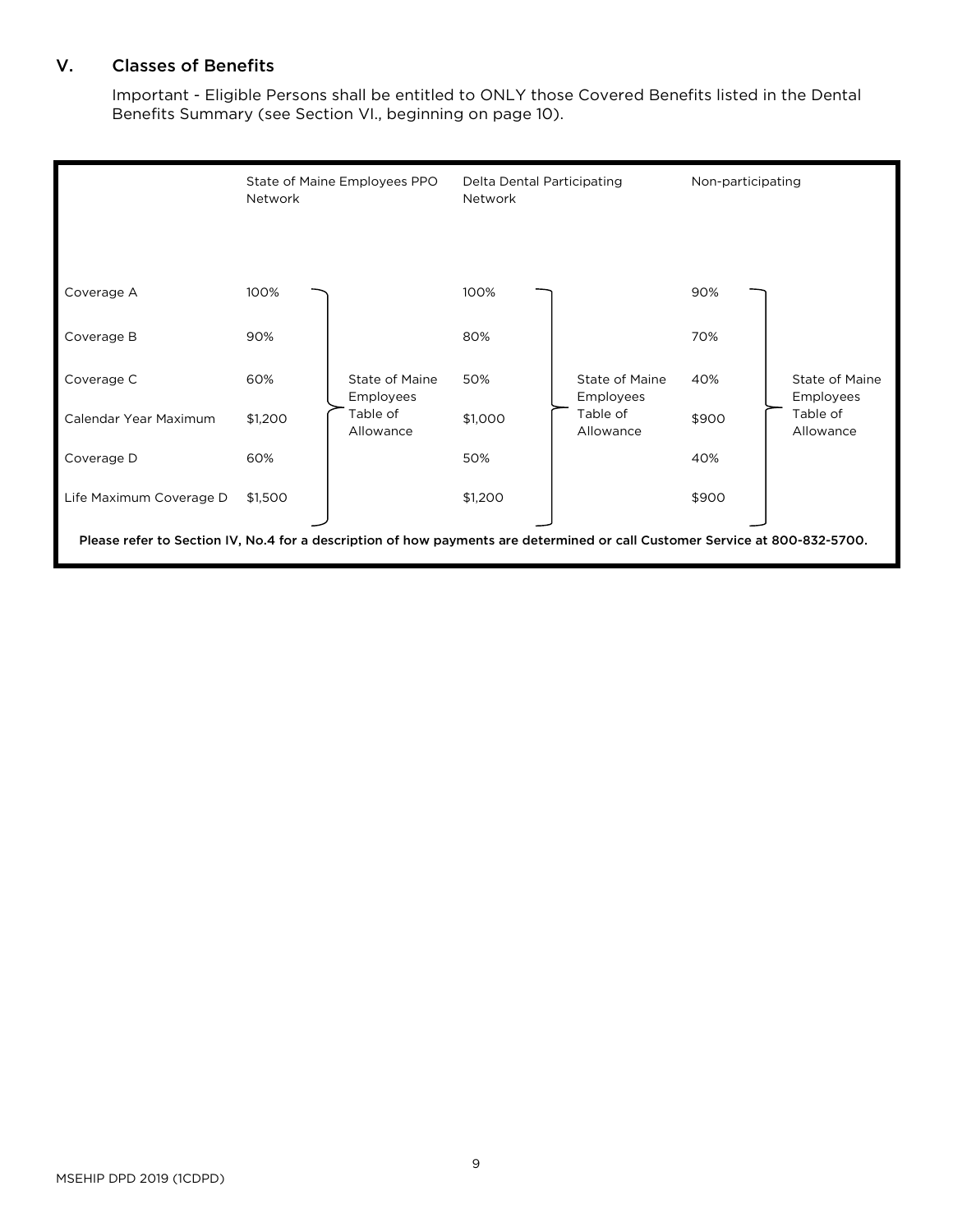# <span id="page-11-0"></span>V. Classes of Benefits

Important - Eligible Persons shall be entitled to ONLY those Covered Benefits listed in the Dental Benefits Summary (see Section VI., beginning on page 10).

|                                                                                                                             | Network | State of Maine Employees PPO | Delta Dental Participating<br>Network |                             | Non-participating |                                                      |
|-----------------------------------------------------------------------------------------------------------------------------|---------|------------------------------|---------------------------------------|-----------------------------|-------------------|------------------------------------------------------|
|                                                                                                                             |         |                              |                                       |                             |                   |                                                      |
| Coverage A                                                                                                                  | 100%    |                              | 100%                                  |                             | 90%               |                                                      |
| Coverage B                                                                                                                  | 90%     | State of Maine<br>Employees  | 80%                                   |                             | 70%               | State of Maine<br>Employees<br>Table of<br>Allowance |
| Coverage C                                                                                                                  | 60%     |                              | 50%                                   | State of Maine<br>Employees | 40%               |                                                      |
| Calendar Year Maximum                                                                                                       | \$1,200 | Table of<br>Allowance        | \$1,000                               | Table of<br>Allowance       | \$900             |                                                      |
| Coverage D                                                                                                                  | 60%     |                              | 50%                                   |                             | 40%               |                                                      |
| Life Maximum Coverage D                                                                                                     | \$1,500 |                              | \$1,200                               |                             | \$900             |                                                      |
| Please refer to Section IV, No.4 for a description of how payments are determined or call Customer Service at 800-832-5700. |         |                              |                                       |                             |                   |                                                      |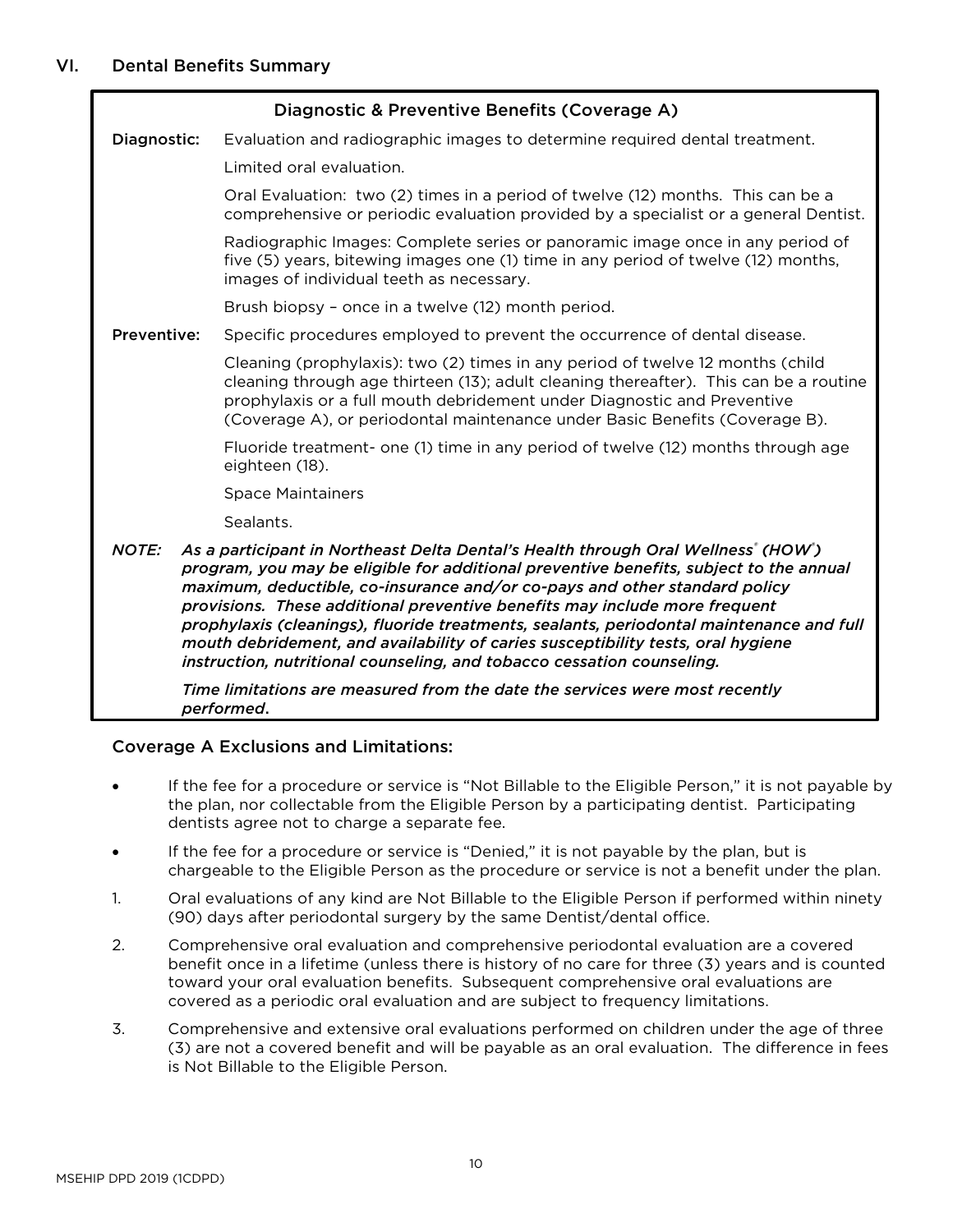<span id="page-12-0"></span>

|                    | Diagnostic & Preventive Benefits (Coverage A)                                                                                                                                                                                                                                                                                                                                                                                                                                                                                                                                                                                                                                    |  |
|--------------------|----------------------------------------------------------------------------------------------------------------------------------------------------------------------------------------------------------------------------------------------------------------------------------------------------------------------------------------------------------------------------------------------------------------------------------------------------------------------------------------------------------------------------------------------------------------------------------------------------------------------------------------------------------------------------------|--|
| Diagnostic:        | Evaluation and radiographic images to determine required dental treatment.                                                                                                                                                                                                                                                                                                                                                                                                                                                                                                                                                                                                       |  |
|                    | Limited oral evaluation.                                                                                                                                                                                                                                                                                                                                                                                                                                                                                                                                                                                                                                                         |  |
|                    | Oral Evaluation: two (2) times in a period of twelve (12) months. This can be a<br>comprehensive or periodic evaluation provided by a specialist or a general Dentist.                                                                                                                                                                                                                                                                                                                                                                                                                                                                                                           |  |
|                    | Radiographic Images: Complete series or panoramic image once in any period of<br>five (5) years, bitewing images one (1) time in any period of twelve (12) months,<br>images of individual teeth as necessary.                                                                                                                                                                                                                                                                                                                                                                                                                                                                   |  |
|                    | Brush biopsy - once in a twelve (12) month period.                                                                                                                                                                                                                                                                                                                                                                                                                                                                                                                                                                                                                               |  |
| <b>Preventive:</b> | Specific procedures employed to prevent the occurrence of dental disease.                                                                                                                                                                                                                                                                                                                                                                                                                                                                                                                                                                                                        |  |
|                    | Cleaning (prophylaxis): two (2) times in any period of twelve 12 months (child<br>cleaning through age thirteen (13); adult cleaning thereafter). This can be a routine<br>prophylaxis or a full mouth debridement under Diagnostic and Preventive<br>(Coverage A), or periodontal maintenance under Basic Benefits (Coverage B).                                                                                                                                                                                                                                                                                                                                                |  |
|                    | Fluoride treatment- one (1) time in any period of twelve (12) months through age<br>eighteen (18).                                                                                                                                                                                                                                                                                                                                                                                                                                                                                                                                                                               |  |
|                    | <b>Space Maintainers</b>                                                                                                                                                                                                                                                                                                                                                                                                                                                                                                                                                                                                                                                         |  |
|                    | Sealants.                                                                                                                                                                                                                                                                                                                                                                                                                                                                                                                                                                                                                                                                        |  |
| <b>NOTE:</b>       | As a participant in Northeast Delta Dental's Health through Oral Wellness' (HOW')<br>program, you may be eligible for additional preventive benefits, subject to the annual<br>maximum, deductible, co-insurance and/or co-pays and other standard policy<br>provisions. These additional preventive benefits may include more frequent<br>prophylaxis (cleanings), fluoride treatments, sealants, periodontal maintenance and full<br>mouth debridement, and availability of caries susceptibility tests, oral hygiene<br>instruction, nutritional counseling, and tobacco cessation counseling.<br>Time limitations are measured from the date the services were most recently |  |
|                    | performed.                                                                                                                                                                                                                                                                                                                                                                                                                                                                                                                                                                                                                                                                       |  |

# Coverage A Exclusions and Limitations:

- If the fee for a procedure or service is "Not Billable to the Eligible Person," it is not payable by the plan, nor collectable from the Eligible Person by a participating dentist. Participating dentists agree not to charge a separate fee.
- If the fee for a procedure or service is "Denied," it is not payable by the plan, but is chargeable to the Eligible Person as the procedure or service is not a benefit under the plan.
- 1. Oral evaluations of any kind are Not Billable to the Eligible Person if performed within ninety (90) days after periodontal surgery by the same Dentist/dental office.
- 2. Comprehensive oral evaluation and comprehensive periodontal evaluation are a covered benefit once in a lifetime (unless there is history of no care for three (3) years and is counted toward your oral evaluation benefits. Subsequent comprehensive oral evaluations are covered as a periodic oral evaluation and are subject to frequency limitations.
- 3. Comprehensive and extensive oral evaluations performed on children under the age of three (3) are not a covered benefit and will be payable as an oral evaluation. The difference in fees is Not Billable to the Eligible Person.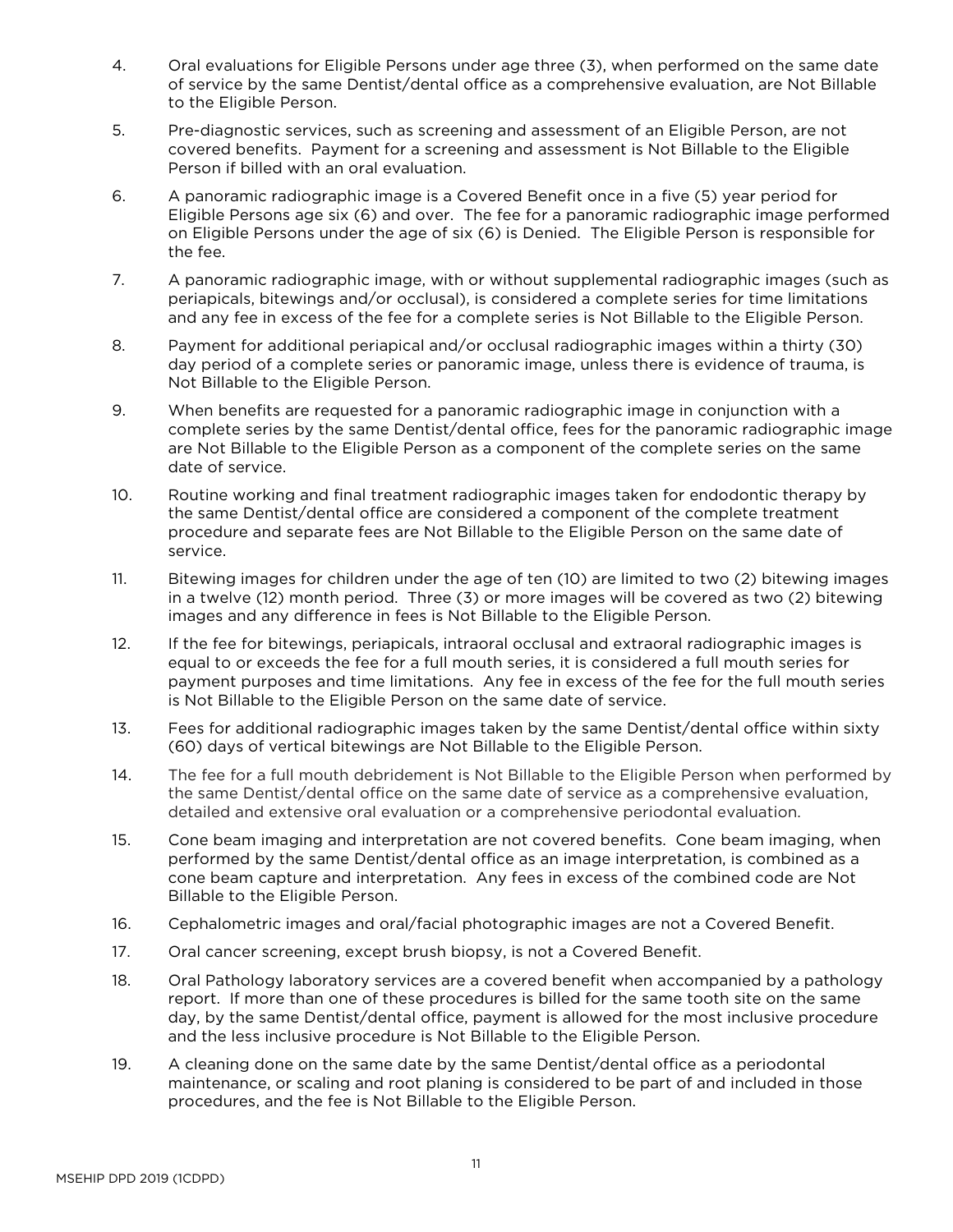- 4. Oral evaluations for Eligible Persons under age three (3), when performed on the same date of service by the same Dentist/dental office as a comprehensive evaluation, are Not Billable to the Eligible Person.
- 5. Pre-diagnostic services, such as screening and assessment of an Eligible Person, are not covered benefits. Payment for a screening and assessment is Not Billable to the Eligible Person if billed with an oral evaluation.
- 6. A panoramic radiographic image is a Covered Benefit once in a five (5) year period for Eligible Persons age six (6) and over. The fee for a panoramic radiographic image performed on Eligible Persons under the age of six (6) is Denied. The Eligible Person is responsible for the fee.
- 7. A panoramic radiographic image, with or without supplemental radiographic images (such as periapicals, bitewings and/or occlusal), is considered a complete series for time limitations and any fee in excess of the fee for a complete series is Not Billable to the Eligible Person.
- 8. Payment for additional periapical and/or occlusal radiographic images within a thirty (30) day period of a complete series or panoramic image, unless there is evidence of trauma, is Not Billable to the Eligible Person.
- 9. When benefits are requested for a panoramic radiographic image in conjunction with a complete series by the same Dentist/dental office, fees for the panoramic radiographic image are Not Billable to the Eligible Person as a component of the complete series on the same date of service.
- 10. Routine working and final treatment radiographic images taken for endodontic therapy by the same Dentist/dental office are considered a component of the complete treatment procedure and separate fees are Not Billable to the Eligible Person on the same date of service.
- 11. Bitewing images for children under the age of ten (10) are limited to two (2) bitewing images in a twelve (12) month period. Three (3) or more images will be covered as two (2) bitewing images and any difference in fees is Not Billable to the Eligible Person.
- 12. If the fee for bitewings, periapicals, intraoral occlusal and extraoral radiographic images is equal to or exceeds the fee for a full mouth series, it is considered a full mouth series for payment purposes and time limitations. Any fee in excess of the fee for the full mouth series is Not Billable to the Eligible Person on the same date of service.
- 13. Fees for additional radiographic images taken by the same Dentist/dental office within sixty (60) days of vertical bitewings are Not Billable to the Eligible Person.
- 14. The fee for a full mouth debridement is Not Billable to the Eligible Person when performed by the same Dentist/dental office on the same date of service as a comprehensive evaluation, detailed and extensive oral evaluation or a comprehensive periodontal evaluation.
- 15. Cone beam imaging and interpretation are not covered benefits. Cone beam imaging, when performed by the same Dentist/dental office as an image interpretation, is combined as a cone beam capture and interpretation. Any fees in excess of the combined code are Not Billable to the Eligible Person.
- 16. Cephalometric images and oral/facial photographic images are not a Covered Benefit.
- 17. Oral cancer screening, except brush biopsy, is not a Covered Benefit.
- 18. Oral Pathology laboratory services are a covered benefit when accompanied by a pathology report. If more than one of these procedures is billed for the same tooth site on the same day, by the same Dentist/dental office, payment is allowed for the most inclusive procedure and the less inclusive procedure is Not Billable to the Eligible Person.
- 19. A cleaning done on the same date by the same Dentist/dental office as a periodontal maintenance, or scaling and root planing is considered to be part of and included in those procedures, and the fee is Not Billable to the Eligible Person.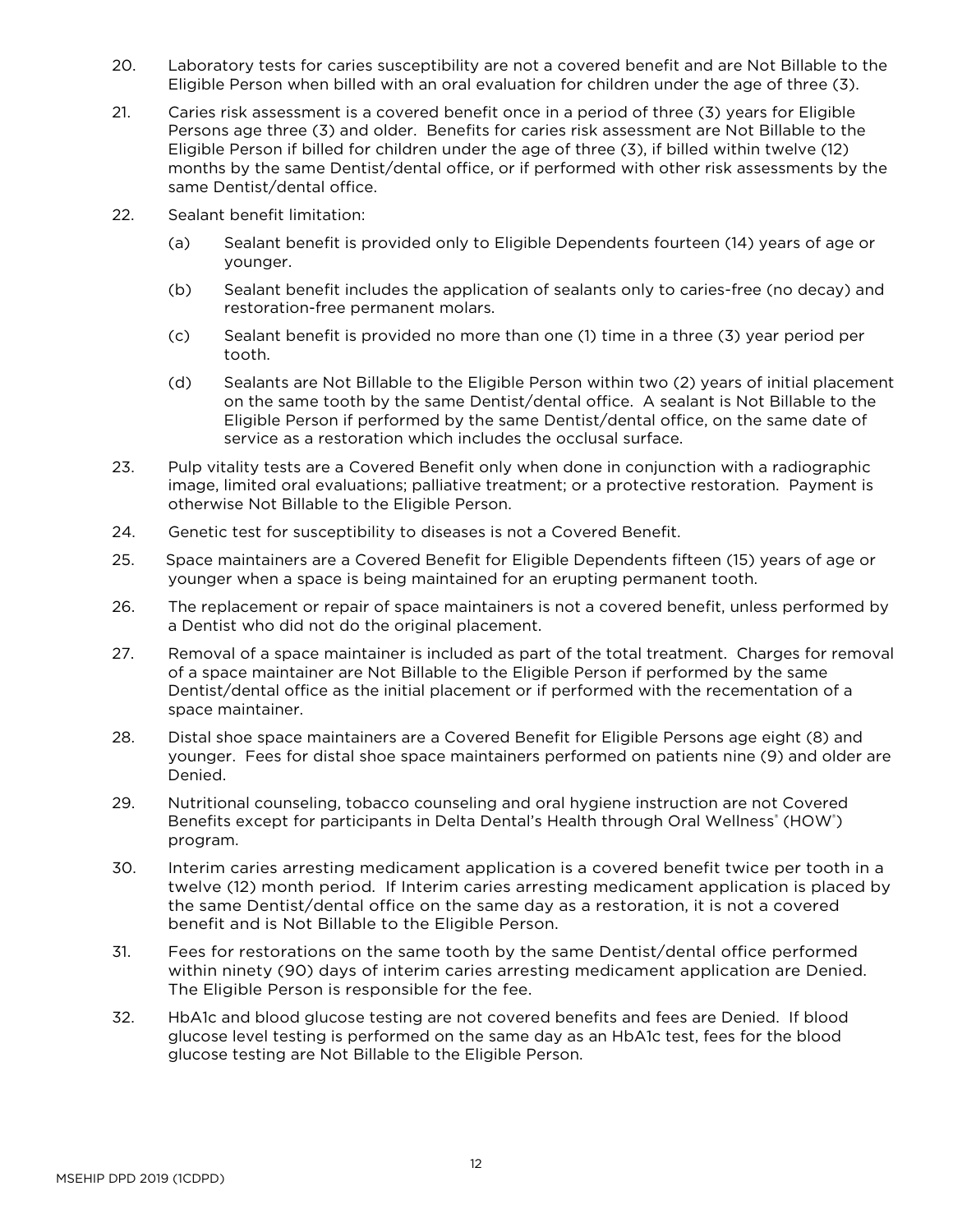- 20. Laboratory tests for caries susceptibility are not a covered benefit and are Not Billable to the Eligible Person when billed with an oral evaluation for children under the age of three (3).
- 21. Caries risk assessment is a covered benefit once in a period of three (3) years for Eligible Persons age three (3) and older. Benefits for caries risk assessment are Not Billable to the Eligible Person if billed for children under the age of three (3), if billed within twelve (12) months by the same Dentist/dental office, or if performed with other risk assessments by the same Dentist/dental office.
- 22. Sealant benefit limitation:
	- (a) Sealant benefit is provided only to Eligible Dependents fourteen (14) years of age or younger.
	- (b) Sealant benefit includes the application of sealants only to caries-free (no decay) and restoration-free permanent molars.
	- (c) Sealant benefit is provided no more than one (1) time in a three (3) year period per tooth.
	- (d) Sealants are Not Billable to the Eligible Person within two (2) years of initial placement on the same tooth by the same Dentist/dental office. A sealant is Not Billable to the Eligible Person if performed by the same Dentist/dental office, on the same date of service as a restoration which includes the occlusal surface.
- 23. Pulp vitality tests are a Covered Benefit only when done in conjunction with a radiographic image, limited oral evaluations; palliative treatment; or a protective restoration. Payment is otherwise Not Billable to the Eligible Person.
- 24. Genetic test for susceptibility to diseases is not a Covered Benefit.
- 25. Space maintainers are a Covered Benefit for Eligible Dependents fifteen (15) years of age or younger when a space is being maintained for an erupting permanent tooth.
- 26. The replacement or repair of space maintainers is not a covered benefit, unless performed by a Dentist who did not do the original placement.
- 27. Removal of a space maintainer is included as part of the total treatment. Charges for removal of a space maintainer are Not Billable to the Eligible Person if performed by the same Dentist/dental office as the initial placement or if performed with the recementation of a space maintainer.
- 28. Distal shoe space maintainers are a Covered Benefit for Eligible Persons age eight (8) and younger. Fees for distal shoe space maintainers performed on patients nine (9) and older are Denied.
- 29. Nutritional counseling, tobacco counseling and oral hygiene instruction are not Covered Benefits except for participants in Delta Dental's Health through Oral Wellness<sup>®</sup> (HOW<sup>®</sup>) program.
- 30. Interim caries arresting medicament application is a covered benefit twice per tooth in a twelve (12) month period. If Interim caries arresting medicament application is placed by the same Dentist/dental office on the same day as a restoration, it is not a covered benefit and is Not Billable to the Eligible Person.
- 31. Fees for restorations on the same tooth by the same Dentist/dental office performed within ninety (90) days of interim caries arresting medicament application are Denied. The Eligible Person is responsible for the fee.
- 32. HbA1c and blood glucose testing are not covered benefits and fees are Denied. If blood glucose level testing is performed on the same day as an HbA1c test, fees for the blood glucose testing are Not Billable to the Eligible Person.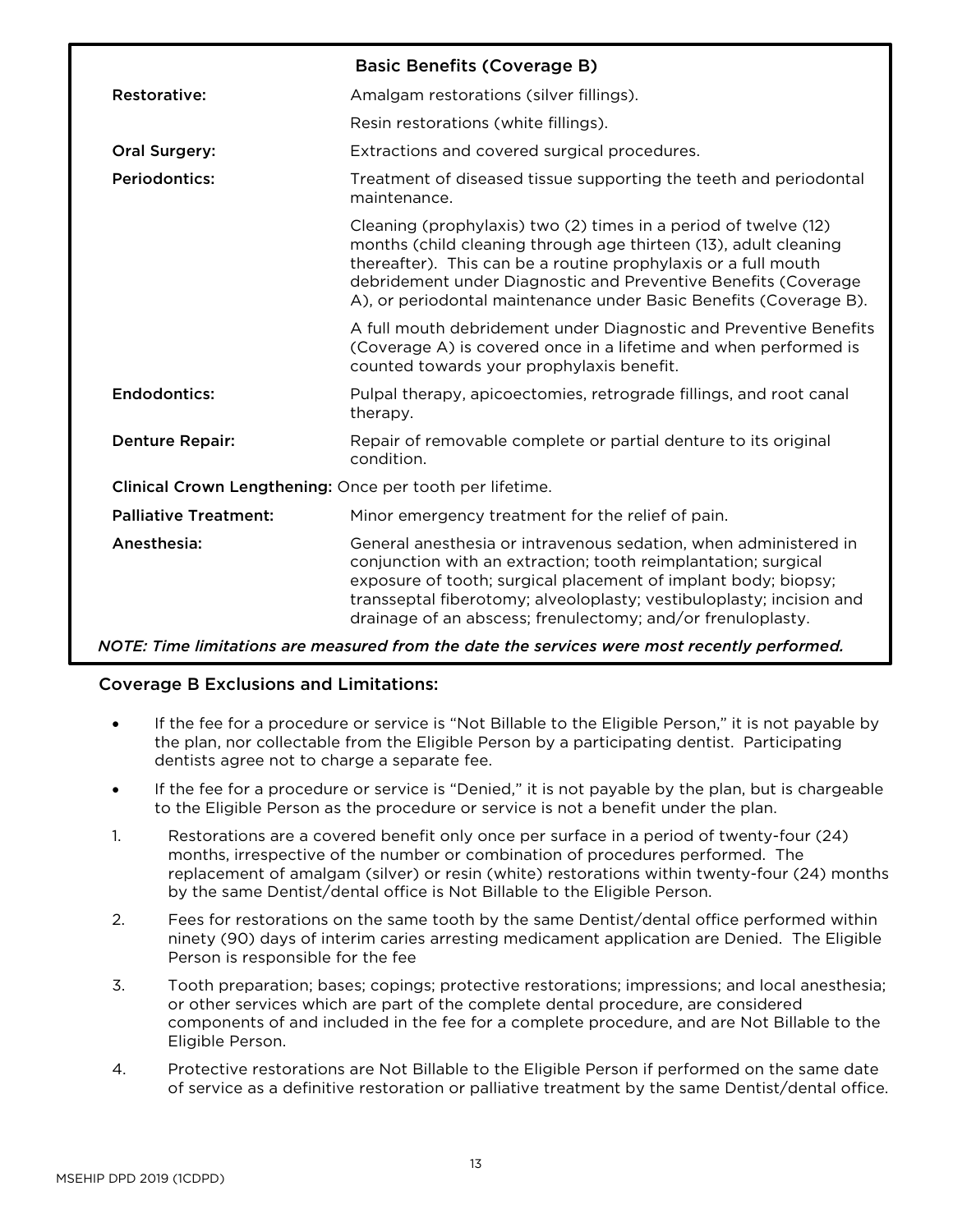|                                                          | <b>Basic Benefits (Coverage B)</b>                                                                                                                                                                                                                                                                                                           |
|----------------------------------------------------------|----------------------------------------------------------------------------------------------------------------------------------------------------------------------------------------------------------------------------------------------------------------------------------------------------------------------------------------------|
| Restorative:                                             | Amalgam restorations (silver fillings).                                                                                                                                                                                                                                                                                                      |
|                                                          | Resin restorations (white fillings).                                                                                                                                                                                                                                                                                                         |
| Oral Surgery:                                            | Extractions and covered surgical procedures.                                                                                                                                                                                                                                                                                                 |
| <b>Periodontics:</b>                                     | Treatment of diseased tissue supporting the teeth and periodontal<br>maintenance.                                                                                                                                                                                                                                                            |
|                                                          | Cleaning (prophylaxis) two (2) times in a period of twelve (12)<br>months (child cleaning through age thirteen (13), adult cleaning<br>thereafter). This can be a routine prophylaxis or a full mouth<br>debridement under Diagnostic and Preventive Benefits (Coverage<br>A), or periodontal maintenance under Basic Benefits (Coverage B). |
|                                                          | A full mouth debridement under Diagnostic and Preventive Benefits<br>(Coverage A) is covered once in a lifetime and when performed is<br>counted towards your prophylaxis benefit.                                                                                                                                                           |
| <b>Endodontics:</b>                                      | Pulpal therapy, apicoectomies, retrograde fillings, and root canal<br>therapy.                                                                                                                                                                                                                                                               |
| <b>Denture Repair:</b>                                   | Repair of removable complete or partial denture to its original<br>condition.                                                                                                                                                                                                                                                                |
| Clinical Crown Lengthening: Once per tooth per lifetime. |                                                                                                                                                                                                                                                                                                                                              |
| <b>Palliative Treatment:</b>                             | Minor emergency treatment for the relief of pain.                                                                                                                                                                                                                                                                                            |
| Anesthesia:                                              | General anesthesia or intravenous sedation, when administered in<br>conjunction with an extraction; tooth reimplantation; surgical<br>exposure of tooth; surgical placement of implant body; biopsy;<br>transseptal fiberotomy; alveoloplasty; vestibuloplasty; incision and<br>drainage of an abscess; frenulectomy; and/or frenuloplasty.  |
|                                                          |                                                                                                                                                                                                                                                                                                                                              |

*NOTE: Time limitations are measured from the date the services were most recently performed.* 

# Coverage B Exclusions and Limitations:

- If the fee for a procedure or service is "Not Billable to the Eligible Person," it is not payable by the plan, nor collectable from the Eligible Person by a participating dentist. Participating dentists agree not to charge a separate fee.
- If the fee for a procedure or service is "Denied," it is not payable by the plan, but is chargeable to the Eligible Person as the procedure or service is not a benefit under the plan.
- 1. Restorations are a covered benefit only once per surface in a period of twenty-four (24) months, irrespective of the number or combination of procedures performed. The replacement of amalgam (silver) or resin (white) restorations within twenty-four (24) months by the same Dentist/dental office is Not Billable to the Eligible Person.
- 2. Fees for restorations on the same tooth by the same Dentist/dental office performed within ninety (90) days of interim caries arresting medicament application are Denied. The Eligible Person is responsible for the fee
- 3. Tooth preparation; bases; copings; protective restorations; impressions; and local anesthesia; or other services which are part of the complete dental procedure, are considered components of and included in the fee for a complete procedure, and are Not Billable to the Eligible Person.
- 4. Protective restorations are Not Billable to the Eligible Person if performed on the same date of service as a definitive restoration or palliative treatment by the same Dentist/dental office.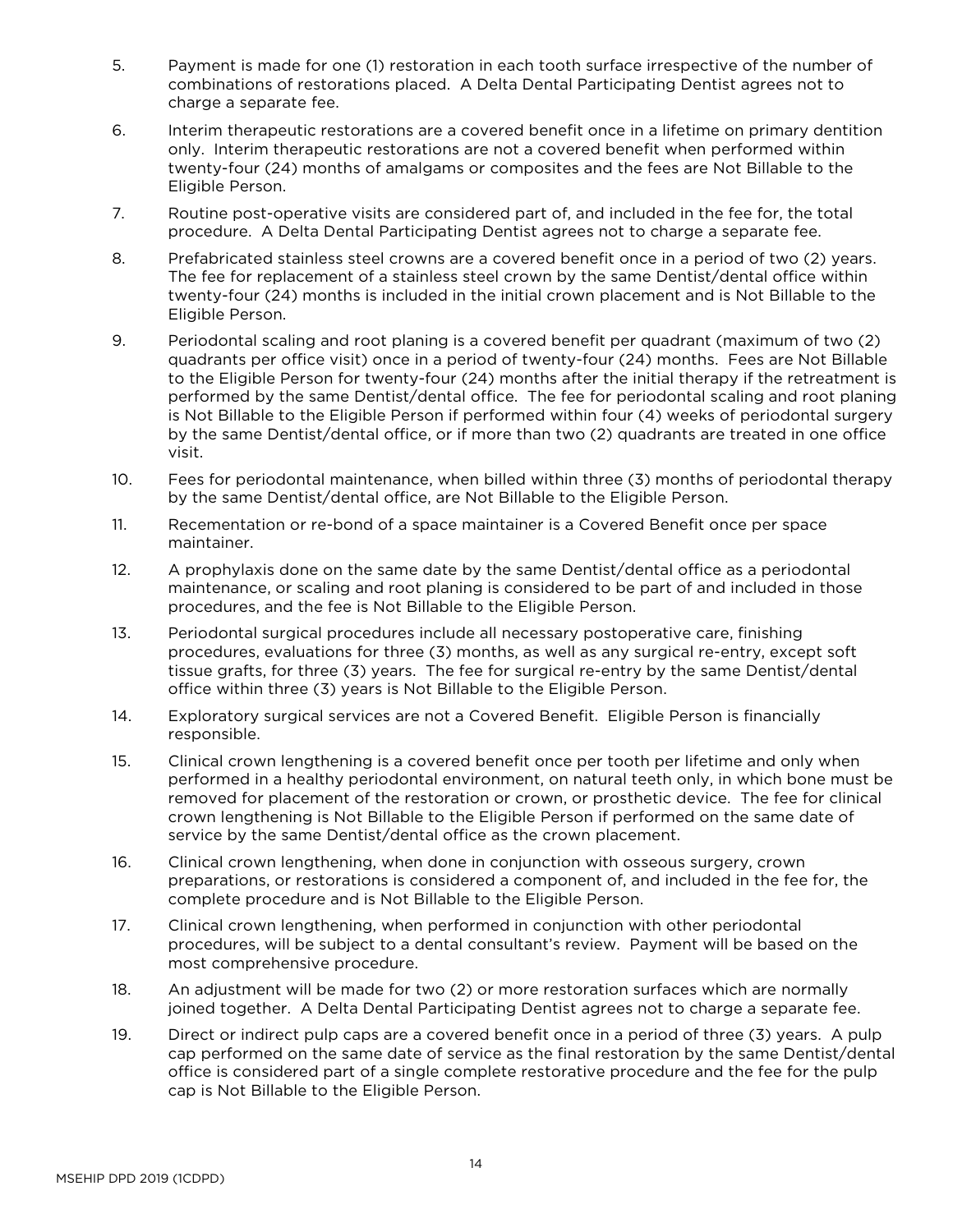- 5. Payment is made for one (1) restoration in each tooth surface irrespective of the number of combinations of restorations placed. A Delta Dental Participating Dentist agrees not to charge a separate fee.
- 6. Interim therapeutic restorations are a covered benefit once in a lifetime on primary dentition only. Interim therapeutic restorations are not a covered benefit when performed within twenty-four (24) months of amalgams or composites and the fees are Not Billable to the Eligible Person.
- 7. Routine post-operative visits are considered part of, and included in the fee for, the total procedure. A Delta Dental Participating Dentist agrees not to charge a separate fee.
- 8. Prefabricated stainless steel crowns are a covered benefit once in a period of two (2) years. The fee for replacement of a stainless steel crown by the same Dentist/dental office within twenty-four (24) months is included in the initial crown placement and is Not Billable to the Eligible Person.
- 9. Periodontal scaling and root planing is a covered benefit per quadrant (maximum of two (2) quadrants per office visit) once in a period of twenty-four (24) months. Fees are Not Billable to the Eligible Person for twenty-four (24) months after the initial therapy if the retreatment is performed by the same Dentist/dental office. The fee for periodontal scaling and root planing is Not Billable to the Eligible Person if performed within four (4) weeks of periodontal surgery by the same Dentist/dental office, or if more than two (2) quadrants are treated in one office visit.
- 10. Fees for periodontal maintenance, when billed within three (3) months of periodontal therapy by the same Dentist/dental office, are Not Billable to the Eligible Person.
- 11. Recementation or re-bond of a space maintainer is a Covered Benefit once per space maintainer.
- 12. A prophylaxis done on the same date by the same Dentist/dental office as a periodontal maintenance, or scaling and root planing is considered to be part of and included in those procedures, and the fee is Not Billable to the Eligible Person.
- 13. Periodontal surgical procedures include all necessary postoperative care, finishing procedures, evaluations for three (3) months, as well as any surgical re-entry, except soft tissue grafts, for three (3) years. The fee for surgical re-entry by the same Dentist/dental office within three (3) years is Not Billable to the Eligible Person.
- 14. Exploratory surgical services are not a Covered Benefit. Eligible Person is financially responsible.
- 15. Clinical crown lengthening is a covered benefit once per tooth per lifetime and only when performed in a healthy periodontal environment, on natural teeth only, in which bone must be removed for placement of the restoration or crown, or prosthetic device. The fee for clinical crown lengthening is Not Billable to the Eligible Person if performed on the same date of service by the same Dentist/dental office as the crown placement.
- 16. Clinical crown lengthening, when done in conjunction with osseous surgery, crown preparations, or restorations is considered a component of, and included in the fee for, the complete procedure and is Not Billable to the Eligible Person.
- 17. Clinical crown lengthening, when performed in conjunction with other periodontal procedures, will be subject to a dental consultant's review. Payment will be based on the most comprehensive procedure.
- 18. An adjustment will be made for two (2) or more restoration surfaces which are normally joined together. A Delta Dental Participating Dentist agrees not to charge a separate fee.
- 19. Direct or indirect pulp caps are a covered benefit once in a period of three (3) years. A pulp cap performed on the same date of service as the final restoration by the same Dentist/dental office is considered part of a single complete restorative procedure and the fee for the pulp cap is Not Billable to the Eligible Person.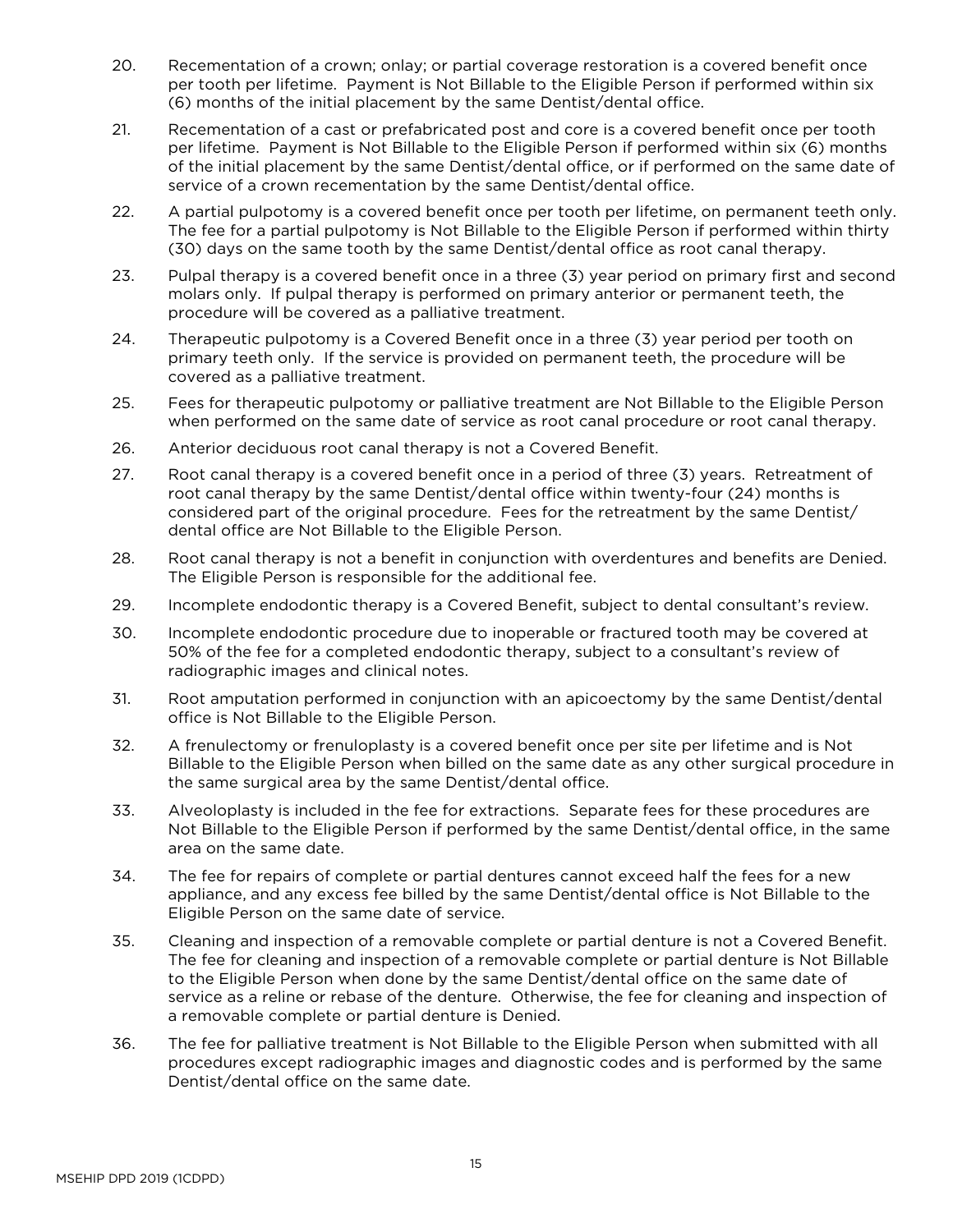- 20. Recementation of a crown; onlay; or partial coverage restoration is a covered benefit once per tooth per lifetime. Payment is Not Billable to the Eligible Person if performed within six (6) months of the initial placement by the same Dentist/dental office.
- 21. Recementation of a cast or prefabricated post and core is a covered benefit once per tooth per lifetime. Payment is Not Billable to the Eligible Person if performed within six (6) months of the initial placement by the same Dentist/dental office, or if performed on the same date of service of a crown recementation by the same Dentist/dental office.
- 22. A partial pulpotomy is a covered benefit once per tooth per lifetime, on permanent teeth only. The fee for a partial pulpotomy is Not Billable to the Eligible Person if performed within thirty (30) days on the same tooth by the same Dentist/dental office as root canal therapy.
- 23. Pulpal therapy is a covered benefit once in a three (3) year period on primary first and second molars only. If pulpal therapy is performed on primary anterior or permanent teeth, the procedure will be covered as a palliative treatment.
- 24. Therapeutic pulpotomy is a Covered Benefit once in a three (3) year period per tooth on primary teeth only. If the service is provided on permanent teeth, the procedure will be covered as a palliative treatment.
- 25. Fees for therapeutic pulpotomy or palliative treatment are Not Billable to the Eligible Person when performed on the same date of service as root canal procedure or root canal therapy.
- 26. Anterior deciduous root canal therapy is not a Covered Benefit.
- 27. Root canal therapy is a covered benefit once in a period of three (3) years. Retreatment of root canal therapy by the same Dentist/dental office within twenty-four (24) months is considered part of the original procedure. Fees for the retreatment by the same Dentist/ dental office are Not Billable to the Eligible Person.
- 28. Root canal therapy is not a benefit in conjunction with overdentures and benefits are Denied. The Eligible Person is responsible for the additional fee.
- 29. Incomplete endodontic therapy is a Covered Benefit, subject to dental consultant's review.
- 30. Incomplete endodontic procedure due to inoperable or fractured tooth may be covered at 50% of the fee for a completed endodontic therapy, subject to a consultant's review of radiographic images and clinical notes.
- 31. Root amputation performed in conjunction with an apicoectomy by the same Dentist/dental office is Not Billable to the Eligible Person.
- 32. A frenulectomy or frenuloplasty is a covered benefit once per site per lifetime and is Not Billable to the Eligible Person when billed on the same date as any other surgical procedure in the same surgical area by the same Dentist/dental office.
- 33. Alveoloplasty is included in the fee for extractions. Separate fees for these procedures are Not Billable to the Eligible Person if performed by the same Dentist/dental office, in the same area on the same date.
- 34. The fee for repairs of complete or partial dentures cannot exceed half the fees for a new appliance, and any excess fee billed by the same Dentist/dental office is Not Billable to the Eligible Person on the same date of service.
- 35. Cleaning and inspection of a removable complete or partial denture is not a Covered Benefit. The fee for cleaning and inspection of a removable complete or partial denture is Not Billable to the Eligible Person when done by the same Dentist/dental office on the same date of service as a reline or rebase of the denture. Otherwise, the fee for cleaning and inspection of a removable complete or partial denture is Denied.
- 36. The fee for palliative treatment is Not Billable to the Eligible Person when submitted with all procedures except radiographic images and diagnostic codes and is performed by the same Dentist/dental office on the same date.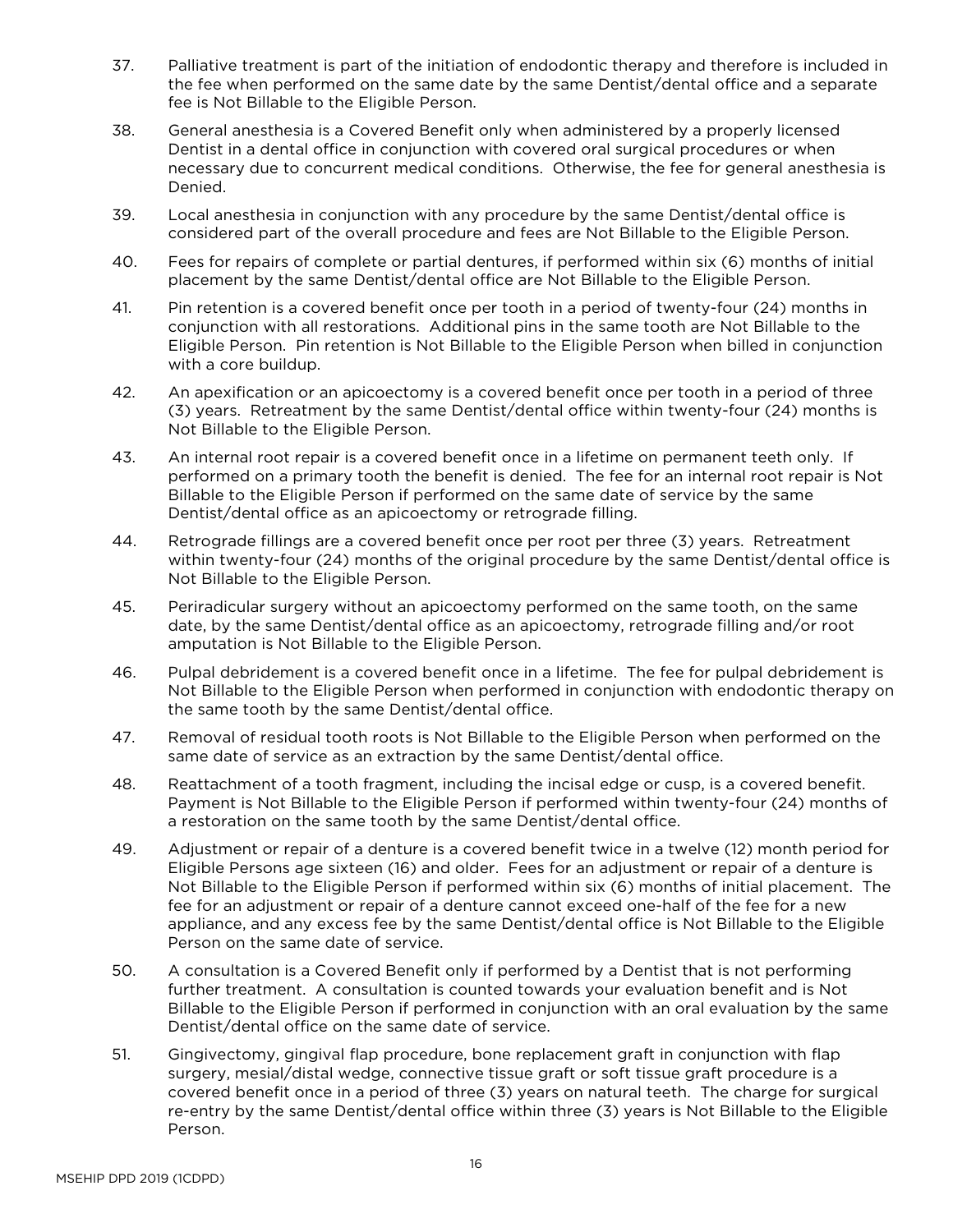- 37. Palliative treatment is part of the initiation of endodontic therapy and therefore is included in the fee when performed on the same date by the same Dentist/dental office and a separate fee is Not Billable to the Eligible Person.
- 38. General anesthesia is a Covered Benefit only when administered by a properly licensed Dentist in a dental office in conjunction with covered oral surgical procedures or when necessary due to concurrent medical conditions. Otherwise, the fee for general anesthesia is Denied.
- 39. Local anesthesia in conjunction with any procedure by the same Dentist/dental office is considered part of the overall procedure and fees are Not Billable to the Eligible Person.
- 40. Fees for repairs of complete or partial dentures, if performed within six (6) months of initial placement by the same Dentist/dental office are Not Billable to the Eligible Person.
- 41. Pin retention is a covered benefit once per tooth in a period of twenty-four (24) months in conjunction with all restorations. Additional pins in the same tooth are Not Billable to the Eligible Person. Pin retention is Not Billable to the Eligible Person when billed in conjunction with a core buildup.
- 42. An apexification or an apicoectomy is a covered benefit once per tooth in a period of three (3) years. Retreatment by the same Dentist/dental office within twenty-four (24) months is Not Billable to the Eligible Person.
- 43. An internal root repair is a covered benefit once in a lifetime on permanent teeth only. If performed on a primary tooth the benefit is denied. The fee for an internal root repair is Not Billable to the Eligible Person if performed on the same date of service by the same Dentist/dental office as an apicoectomy or retrograde filling.
- 44. Retrograde fillings are a covered benefit once per root per three (3) years. Retreatment within twenty-four (24) months of the original procedure by the same Dentist/dental office is Not Billable to the Eligible Person.
- 45. Periradicular surgery without an apicoectomy performed on the same tooth, on the same date, by the same Dentist/dental office as an apicoectomy, retrograde filling and/or root amputation is Not Billable to the Eligible Person.
- 46. Pulpal debridement is a covered benefit once in a lifetime. The fee for pulpal debridement is Not Billable to the Eligible Person when performed in conjunction with endodontic therapy on the same tooth by the same Dentist/dental office.
- 47. Removal of residual tooth roots is Not Billable to the Eligible Person when performed on the same date of service as an extraction by the same Dentist/dental office.
- 48. Reattachment of a tooth fragment, including the incisal edge or cusp, is a covered benefit. Payment is Not Billable to the Eligible Person if performed within twenty-four (24) months of a restoration on the same tooth by the same Dentist/dental office.
- 49. Adjustment or repair of a denture is a covered benefit twice in a twelve (12) month period for Eligible Persons age sixteen (16) and older. Fees for an adjustment or repair of a denture is Not Billable to the Eligible Person if performed within six (6) months of initial placement. The fee for an adjustment or repair of a denture cannot exceed one-half of the fee for a new appliance, and any excess fee by the same Dentist/dental office is Not Billable to the Eligible Person on the same date of service.
- 50. A consultation is a Covered Benefit only if performed by a Dentist that is not performing further treatment. A consultation is counted towards your evaluation benefit and is Not Billable to the Eligible Person if performed in conjunction with an oral evaluation by the same Dentist/dental office on the same date of service.
- 51. Gingivectomy, gingival flap procedure, bone replacement graft in conjunction with flap surgery, mesial/distal wedge, connective tissue graft or soft tissue graft procedure is a covered benefit once in a period of three (3) years on natural teeth. The charge for surgical re-entry by the same Dentist/dental office within three (3) years is Not Billable to the Eligible Person.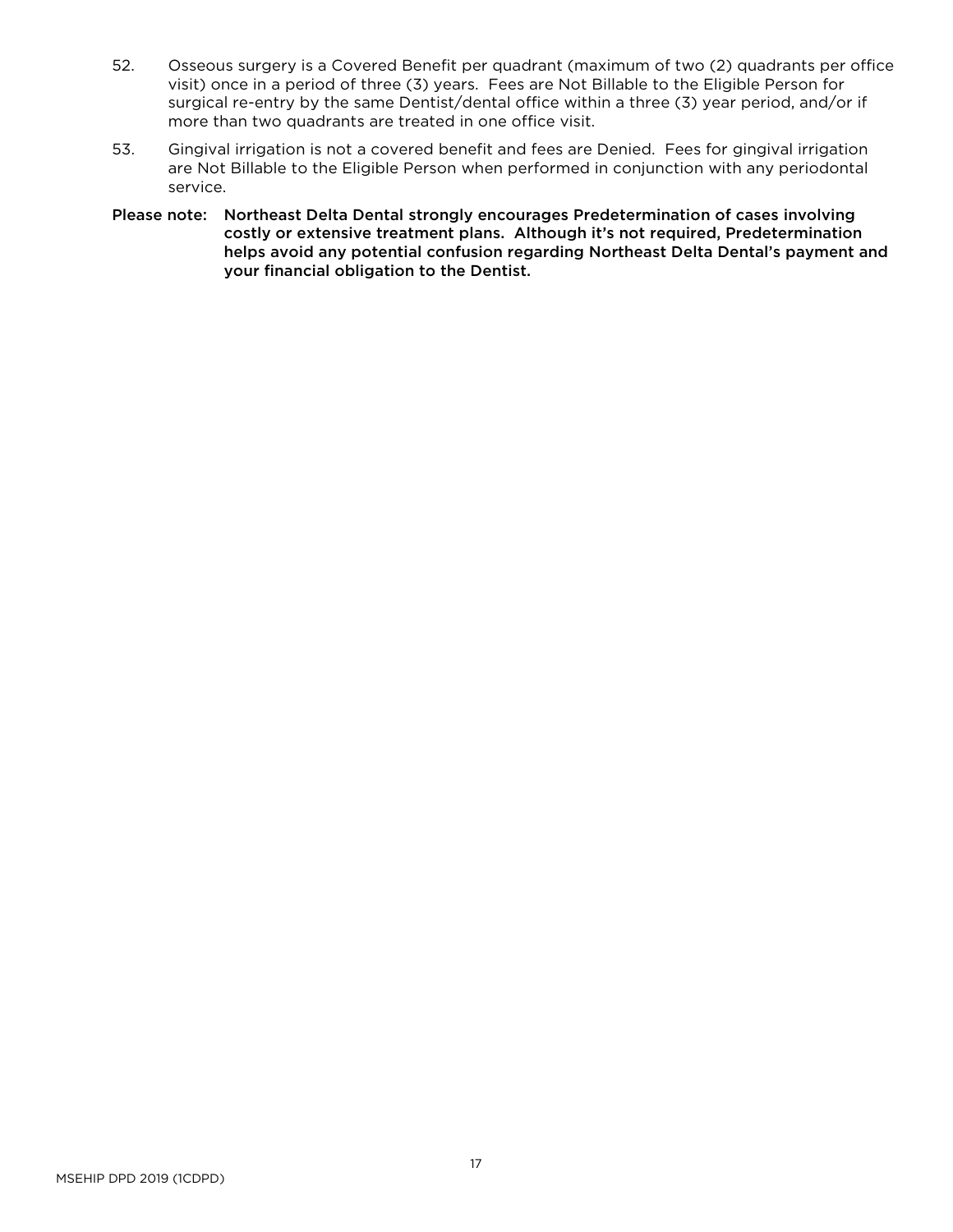- 52. Osseous surgery is a Covered Benefit per quadrant (maximum of two (2) quadrants per office visit) once in a period of three (3) years. Fees are Not Billable to the Eligible Person for surgical re-entry by the same Dentist/dental office within a three (3) year period, and/or if more than two quadrants are treated in one office visit.
- 53. Gingival irrigation is not a covered benefit and fees are Denied. Fees for gingival irrigation are Not Billable to the Eligible Person when performed in conjunction with any periodontal service.
- Please note: Northeast Delta Dental strongly encourages Predetermination of cases involving costly or extensive treatment plans. Although it's not required, Predetermination helps avoid any potential confusion regarding Northeast Delta Dental's payment and your financial obligation to the Dentist.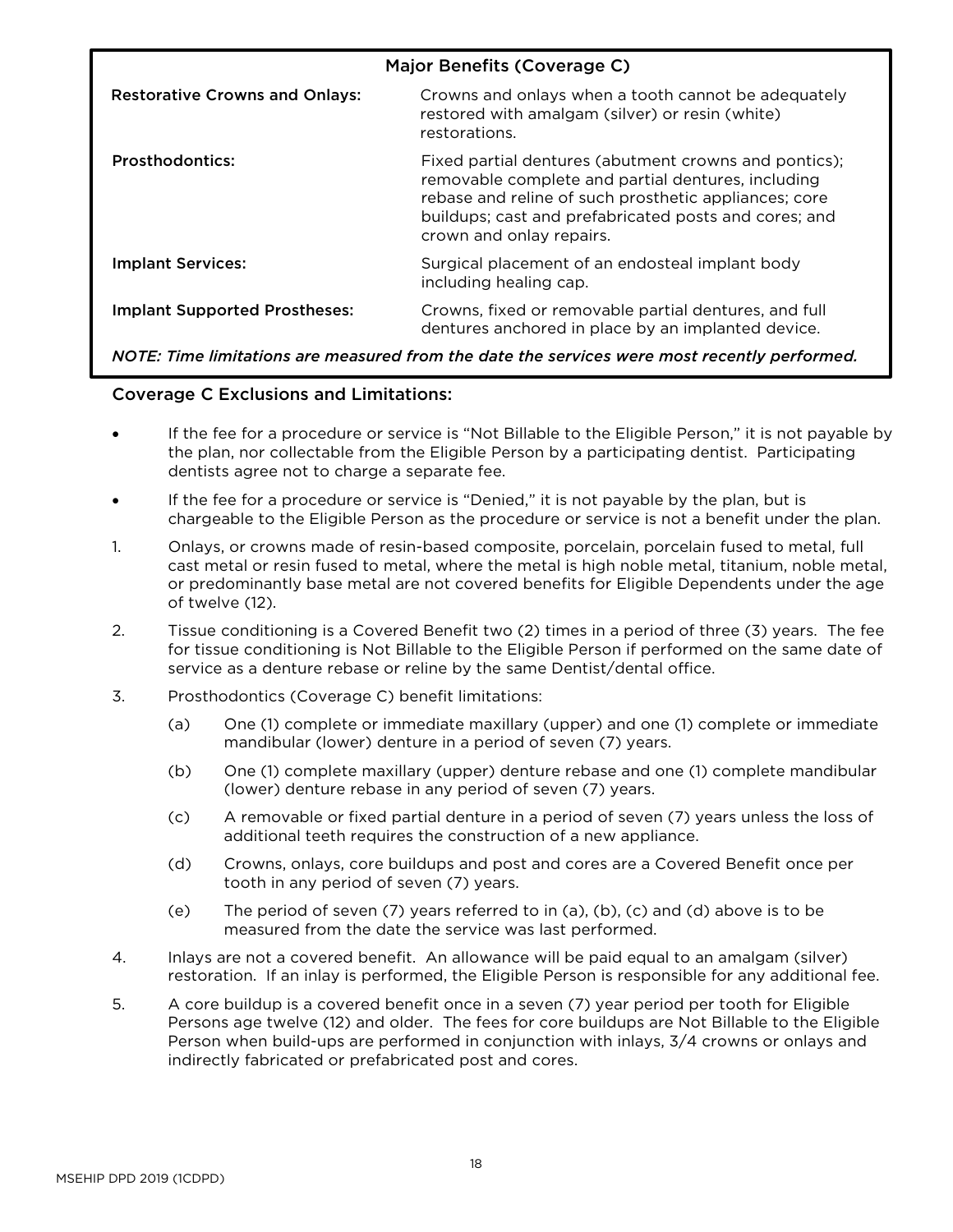| Major Benefits (Coverage C)                                                                                |                                                                                                                                                                                                                                                           |  |  |
|------------------------------------------------------------------------------------------------------------|-----------------------------------------------------------------------------------------------------------------------------------------------------------------------------------------------------------------------------------------------------------|--|--|
| <b>Restorative Crowns and Onlays:</b>                                                                      | Crowns and onlays when a tooth cannot be adequately<br>restored with amalgam (silver) or resin (white)<br>restorations.                                                                                                                                   |  |  |
| <b>Prosthodontics:</b>                                                                                     | Fixed partial dentures (abutment crowns and pontics);<br>removable complete and partial dentures, including<br>rebase and reline of such prosthetic appliances; core<br>buildups; cast and prefabricated posts and cores; and<br>crown and onlay repairs. |  |  |
| <b>Implant Services:</b>                                                                                   | Surgical placement of an endosteal implant body<br>including healing cap.                                                                                                                                                                                 |  |  |
| <b>Implant Supported Prostheses:</b>                                                                       | Crowns, fixed or removable partial dentures, and full<br>dentures anchored in place by an implanted device.                                                                                                                                               |  |  |
| . Plastic it and a commenter of the second state of the community of the community of the second community |                                                                                                                                                                                                                                                           |  |  |

*NOTE: Time limitations are measured from the date the services were most recently performed.*

# Coverage C Exclusions and Limitations:

- If the fee for a procedure or service is "Not Billable to the Eligible Person," it is not payable by the plan, nor collectable from the Eligible Person by a participating dentist. Participating dentists agree not to charge a separate fee.
- If the fee for a procedure or service is "Denied," it is not payable by the plan, but is chargeable to the Eligible Person as the procedure or service is not a benefit under the plan.
- 1. Onlays, or crowns made of resin-based composite, porcelain, porcelain fused to metal, full cast metal or resin fused to metal, where the metal is high noble metal, titanium, noble metal, or predominantly base metal are not covered benefits for Eligible Dependents under the age of twelve (12).
- 2. Tissue conditioning is a Covered Benefit two (2) times in a period of three (3) years. The fee for tissue conditioning is Not Billable to the Eligible Person if performed on the same date of service as a denture rebase or reline by the same Dentist/dental office.
- 3. Prosthodontics (Coverage C) benefit limitations:
	- (a) One (1) complete or immediate maxillary (upper) and one (1) complete or immediate mandibular (lower) denture in a period of seven (7) years.
	- (b) One (1) complete maxillary (upper) denture rebase and one (1) complete mandibular (lower) denture rebase in any period of seven (7) years.
	- (c) A removable or fixed partial denture in a period of seven (7) years unless the loss of additional teeth requires the construction of a new appliance.
	- (d) Crowns, onlays, core buildups and post and cores are a Covered Benefit once per tooth in any period of seven (7) years.
	- (e) The period of seven (7) years referred to in (a), (b), (c) and (d) above is to be measured from the date the service was last performed.
- 4. Inlays are not a covered benefit. An allowance will be paid equal to an amalgam (silver) restoration. If an inlay is performed, the Eligible Person is responsible for any additional fee.
- 5. A core buildup is a covered benefit once in a seven (7) year period per tooth for Eligible Persons age twelve (12) and older. The fees for core buildups are Not Billable to the Eligible Person when build-ups are performed in conjunction with inlays, 3/4 crowns or onlays and indirectly fabricated or prefabricated post and cores.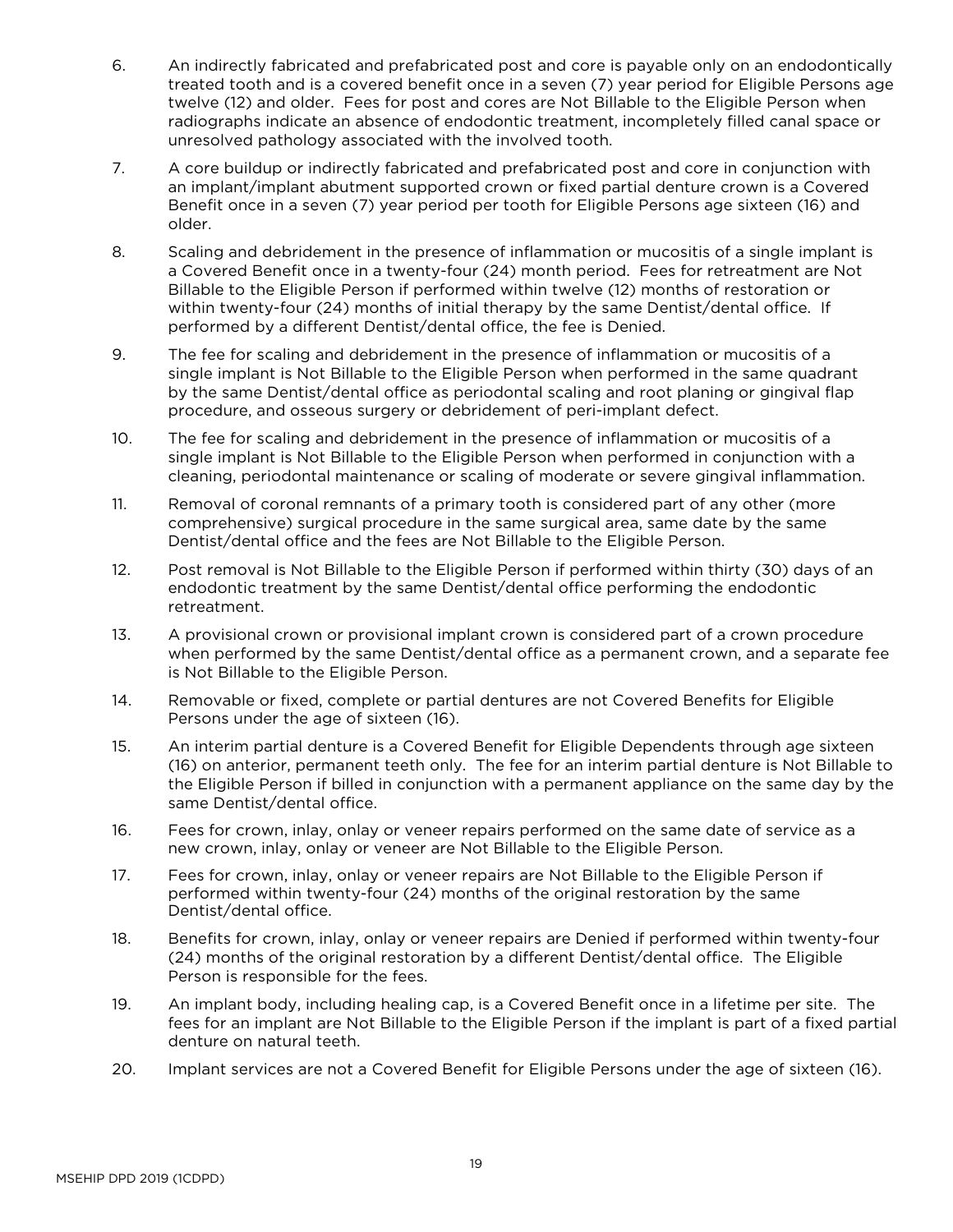- 6. An indirectly fabricated and prefabricated post and core is payable only on an endodontically treated tooth and is a covered benefit once in a seven (7) year period for Eligible Persons age twelve (12) and older. Fees for post and cores are Not Billable to the Eligible Person when radiographs indicate an absence of endodontic treatment, incompletely filled canal space or unresolved pathology associated with the involved tooth.
- 7. A core buildup or indirectly fabricated and prefabricated post and core in conjunction with an implant/implant abutment supported crown or fixed partial denture crown is a Covered Benefit once in a seven (7) year period per tooth for Eligible Persons age sixteen (16) and older.
- 8. Scaling and debridement in the presence of inflammation or mucositis of a single implant is a Covered Benefit once in a twenty-four (24) month period. Fees for retreatment are Not Billable to the Eligible Person if performed within twelve (12) months of restoration or within twenty-four (24) months of initial therapy by the same Dentist/dental office. If performed by a different Dentist/dental office, the fee is Denied.
- 9. The fee for scaling and debridement in the presence of inflammation or mucositis of a single implant is Not Billable to the Eligible Person when performed in the same quadrant by the same Dentist/dental office as periodontal scaling and root planing or gingival flap procedure, and osseous surgery or debridement of peri-implant defect.
- 10. The fee for scaling and debridement in the presence of inflammation or mucositis of a single implant is Not Billable to the Eligible Person when performed in conjunction with a cleaning, periodontal maintenance or scaling of moderate or severe gingival inflammation.
- 11. Removal of coronal remnants of a primary tooth is considered part of any other (more comprehensive) surgical procedure in the same surgical area, same date by the same Dentist/dental office and the fees are Not Billable to the Eligible Person.
- 12. Post removal is Not Billable to the Eligible Person if performed within thirty (30) days of an endodontic treatment by the same Dentist/dental office performing the endodontic retreatment.
- 13. A provisional crown or provisional implant crown is considered part of a crown procedure when performed by the same Dentist/dental office as a permanent crown, and a separate fee is Not Billable to the Eligible Person.
- 14. Removable or fixed, complete or partial dentures are not Covered Benefits for Eligible Persons under the age of sixteen (16).
- 15. An interim partial denture is a Covered Benefit for Eligible Dependents through age sixteen (16) on anterior, permanent teeth only. The fee for an interim partial denture is Not Billable to the Eligible Person if billed in conjunction with a permanent appliance on the same day by the same Dentist/dental office.
- 16. Fees for crown, inlay, onlay or veneer repairs performed on the same date of service as a new crown, inlay, onlay or veneer are Not Billable to the Eligible Person.
- 17. Fees for crown, inlay, onlay or veneer repairs are Not Billable to the Eligible Person if performed within twenty-four (24) months of the original restoration by the same Dentist/dental office.
- 18. Benefits for crown, inlay, onlay or veneer repairs are Denied if performed within twenty-four (24) months of the original restoration by a different Dentist/dental office. The Eligible Person is responsible for the fees.
- 19. An implant body, including healing cap, is a Covered Benefit once in a lifetime per site. The fees for an implant are Not Billable to the Eligible Person if the implant is part of a fixed partial denture on natural teeth.
- 20. Implant services are not a Covered Benefit for Eligible Persons under the age of sixteen (16).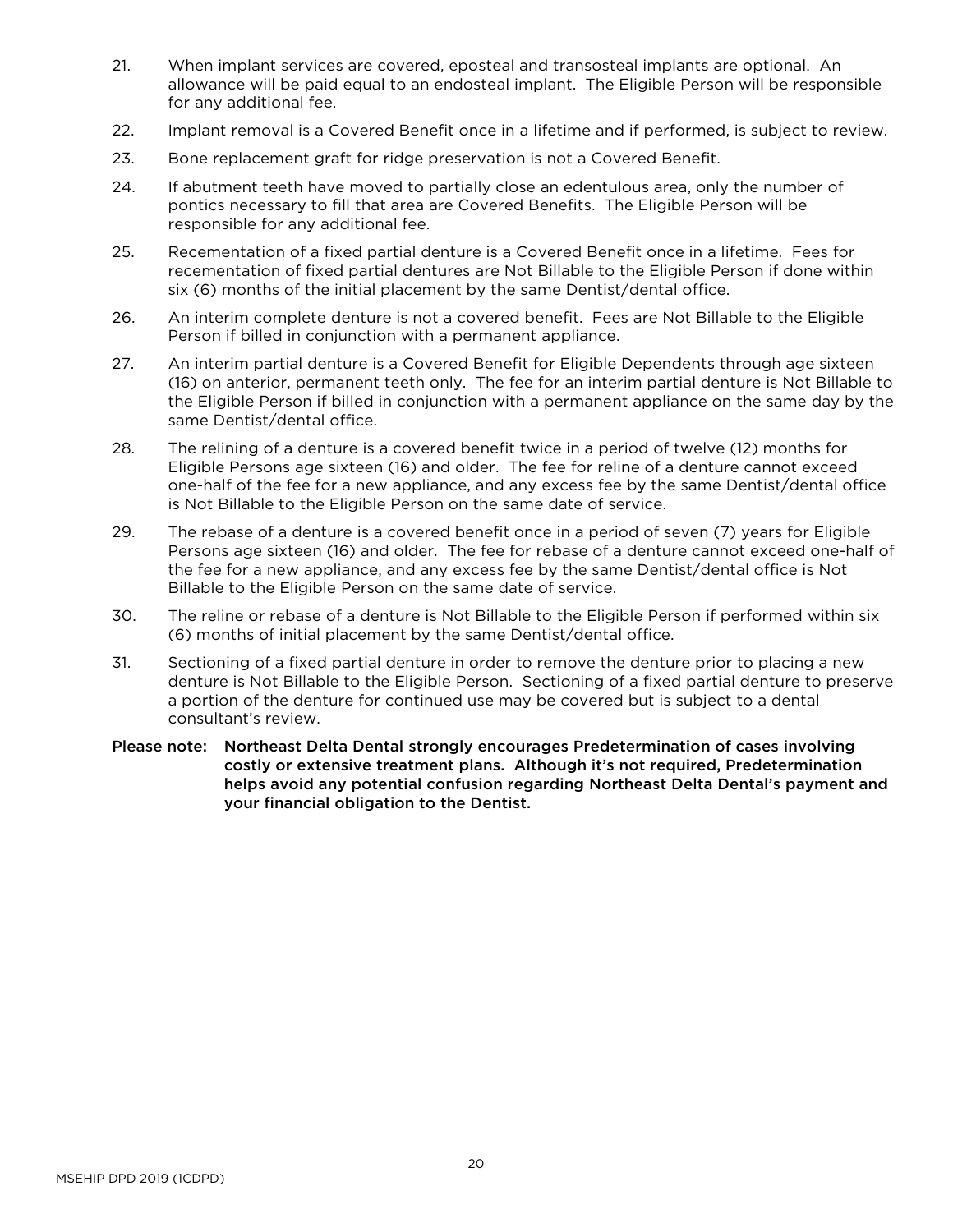- 21. When implant services are covered, eposteal and transosteal implants are optional. An allowance will be paid equal to an endosteal implant. The Eligible Person will be responsible for any additional fee.
- 22. Implant removal is a Covered Benefit once in a lifetime and if performed, is subject to review.
- 23. Bone replacement graft for ridge preservation is not a Covered Benefit.
- 24. If abutment teeth have moved to partially close an edentulous area, only the number of pontics necessary to fill that area are Covered Benefits. The Eligible Person will be responsible for any additional fee.
- 25. Recementation of a fixed partial denture is a Covered Benefit once in a lifetime. Fees for recementation of fixed partial dentures are Not Billable to the Eligible Person if done within six (6) months of the initial placement by the same Dentist/dental office.
- 26. An interim complete denture is not a covered benefit. Fees are Not Billable to the Eligible Person if billed in conjunction with a permanent appliance.
- 27. An interim partial denture is a Covered Benefit for Eligible Dependents through age sixteen (16) on anterior, permanent teeth only. The fee for an interim partial denture is Not Billable to the Eligible Person if billed in conjunction with a permanent appliance on the same day by the same Dentist/dental office.
- 28. The relining of a denture is a covered benefit twice in a period of twelve (12) months for Eligible Persons age sixteen (16) and older. The fee for reline of a denture cannot exceed one-half of the fee for a new appliance, and any excess fee by the same Dentist/dental office is Not Billable to the Eligible Person on the same date of service.
- 29. The rebase of a denture is a covered benefit once in a period of seven (7) years for Eligible Persons age sixteen (16) and older. The fee for rebase of a denture cannot exceed one-half of the fee for a new appliance, and any excess fee by the same Dentist/dental office is Not Billable to the Eligible Person on the same date of service.
- 30. The reline or rebase of a denture is Not Billable to the Eligible Person if performed within six (6) months of initial placement by the same Dentist/dental office.
- 31. Sectioning of a fixed partial denture in order to remove the denture prior to placing a new denture is Not Billable to the Eligible Person. Sectioning of a fixed partial denture to preserve a portion of the denture for continued use may be covered but is subject to a dental consultant's review.
- Please note: Northeast Delta Dental strongly encourages Predetermination of cases involving costly or extensive treatment plans. Although it's not required, Predetermination helps avoid any potential confusion regarding Northeast Delta Dental's payment and your financial obligation to the Dentist.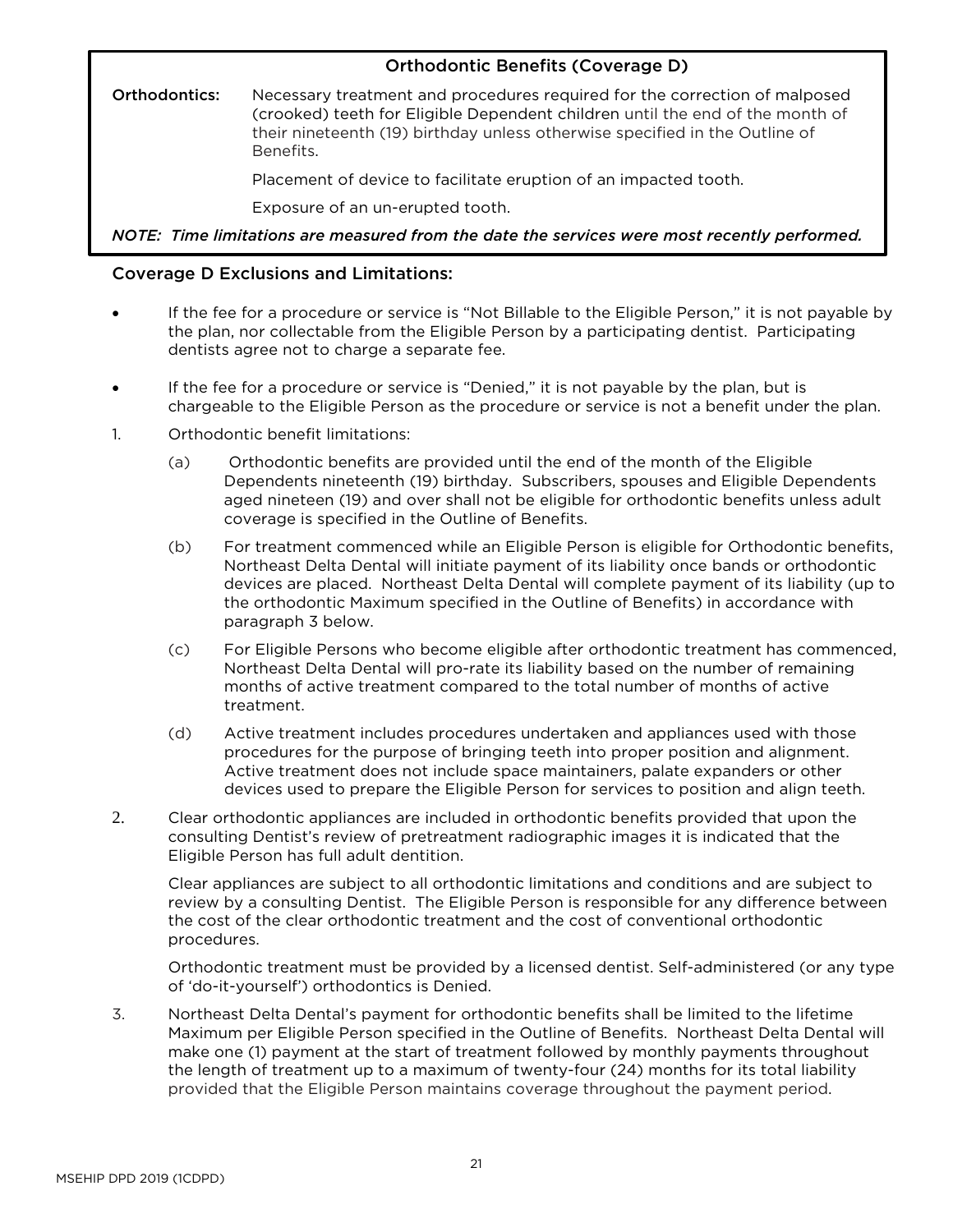# Orthodontic Benefits (Coverage D)

Orthodontics: Necessary treatment and procedures required for the correction of malposed (crooked) teeth for Eligible Dependent children until the end of the month of their nineteenth (19) birthday unless otherwise specified in the Outline of Benefits.

Placement of device to facilitate eruption of an impacted tooth.

Exposure of an un-erupted tooth.

*NOTE: Time limitations are measured from the date the services were most recently performed.*

# Coverage D Exclusions and Limitations:

- If the fee for a procedure or service is "Not Billable to the Eligible Person," it is not payable by the plan, nor collectable from the Eligible Person by a participating dentist. Participating dentists agree not to charge a separate fee.
- If the fee for a procedure or service is "Denied," it is not payable by the plan, but is chargeable to the Eligible Person as the procedure or service is not a benefit under the plan.
- 1. Orthodontic benefit limitations:
	- (a) Orthodontic benefits are provided until the end of the month of the Eligible Dependents nineteenth (19) birthday. Subscribers, spouses and Eligible Dependents aged nineteen (19) and over shall not be eligible for orthodontic benefits unless adult coverage is specified in the Outline of Benefits.
	- (b) For treatment commenced while an Eligible Person is eligible for Orthodontic benefits, Northeast Delta Dental will initiate payment of its liability once bands or orthodontic devices are placed. Northeast Delta Dental will complete payment of its liability (up to the orthodontic Maximum specified in the Outline of Benefits) in accordance with paragraph 3 below.
	- (c) For Eligible Persons who become eligible after orthodontic treatment has commenced, Northeast Delta Dental will pro-rate its liability based on the number of remaining months of active treatment compared to the total number of months of active treatment.
	- (d) Active treatment includes procedures undertaken and appliances used with those procedures for the purpose of bringing teeth into proper position and alignment. Active treatment does not include space maintainers, palate expanders or other devices used to prepare the Eligible Person for services to position and align teeth.
- 2. Clear orthodontic appliances are included in orthodontic benefits provided that upon the consulting Dentist's review of pretreatment radiographic images it is indicated that the Eligible Person has full adult dentition.

Clear appliances are subject to all orthodontic limitations and conditions and are subject to review by a consulting Dentist. The Eligible Person is responsible for any difference between the cost of the clear orthodontic treatment and the cost of conventional orthodontic procedures.

Orthodontic treatment must be provided by a licensed dentist. Self-administered (or any type of 'do-it-yourself') orthodontics is Denied.

3. Northeast Delta Dental's payment for orthodontic benefits shall be limited to the lifetime Maximum per Eligible Person specified in the Outline of Benefits. Northeast Delta Dental will make one (1) payment at the start of treatment followed by monthly payments throughout the length of treatment up to a maximum of twenty-four (24) months for its total liability provided that the Eligible Person maintains coverage throughout the payment period.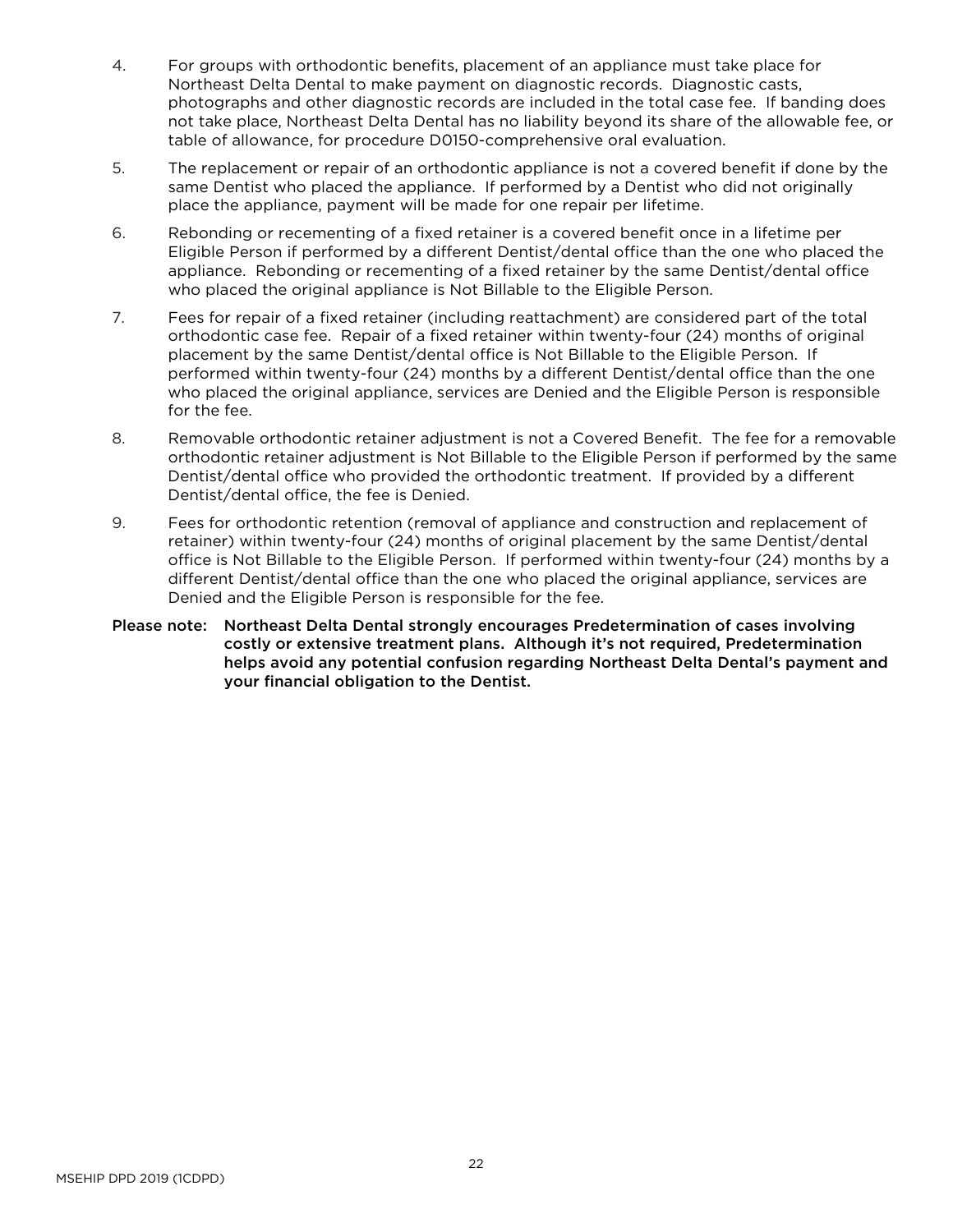- 4. For groups with orthodontic benefits, placement of an appliance must take place for Northeast Delta Dental to make payment on diagnostic records. Diagnostic casts, photographs and other diagnostic records are included in the total case fee. If banding does not take place, Northeast Delta Dental has no liability beyond its share of the allowable fee, or table of allowance, for procedure D0150-comprehensive oral evaluation.
- 5. The replacement or repair of an orthodontic appliance is not a covered benefit if done by the same Dentist who placed the appliance. If performed by a Dentist who did not originally place the appliance, payment will be made for one repair per lifetime.
- 6. Rebonding or recementing of a fixed retainer is a covered benefit once in a lifetime per Eligible Person if performed by a different Dentist/dental office than the one who placed the appliance. Rebonding or recementing of a fixed retainer by the same Dentist/dental office who placed the original appliance is Not Billable to the Eligible Person.
- 7. Fees for repair of a fixed retainer (including reattachment) are considered part of the total orthodontic case fee. Repair of a fixed retainer within twenty-four (24) months of original placement by the same Dentist/dental office is Not Billable to the Eligible Person. If performed within twenty-four (24) months by a different Dentist/dental office than the one who placed the original appliance, services are Denied and the Eligible Person is responsible for the fee.
- 8. Removable orthodontic retainer adjustment is not a Covered Benefit. The fee for a removable orthodontic retainer adjustment is Not Billable to the Eligible Person if performed by the same Dentist/dental office who provided the orthodontic treatment. If provided by a different Dentist/dental office, the fee is Denied.
- 9. Fees for orthodontic retention (removal of appliance and construction and replacement of retainer) within twenty-four (24) months of original placement by the same Dentist/dental office is Not Billable to the Eligible Person. If performed within twenty-four (24) months by a different Dentist/dental office than the one who placed the original appliance, services are Denied and the Eligible Person is responsible for the fee.
- Please note: Northeast Delta Dental strongly encourages Predetermination of cases involving costly or extensive treatment plans. Although it's not required, Predetermination helps avoid any potential confusion regarding Northeast Delta Dental's payment and your financial obligation to the Dentist.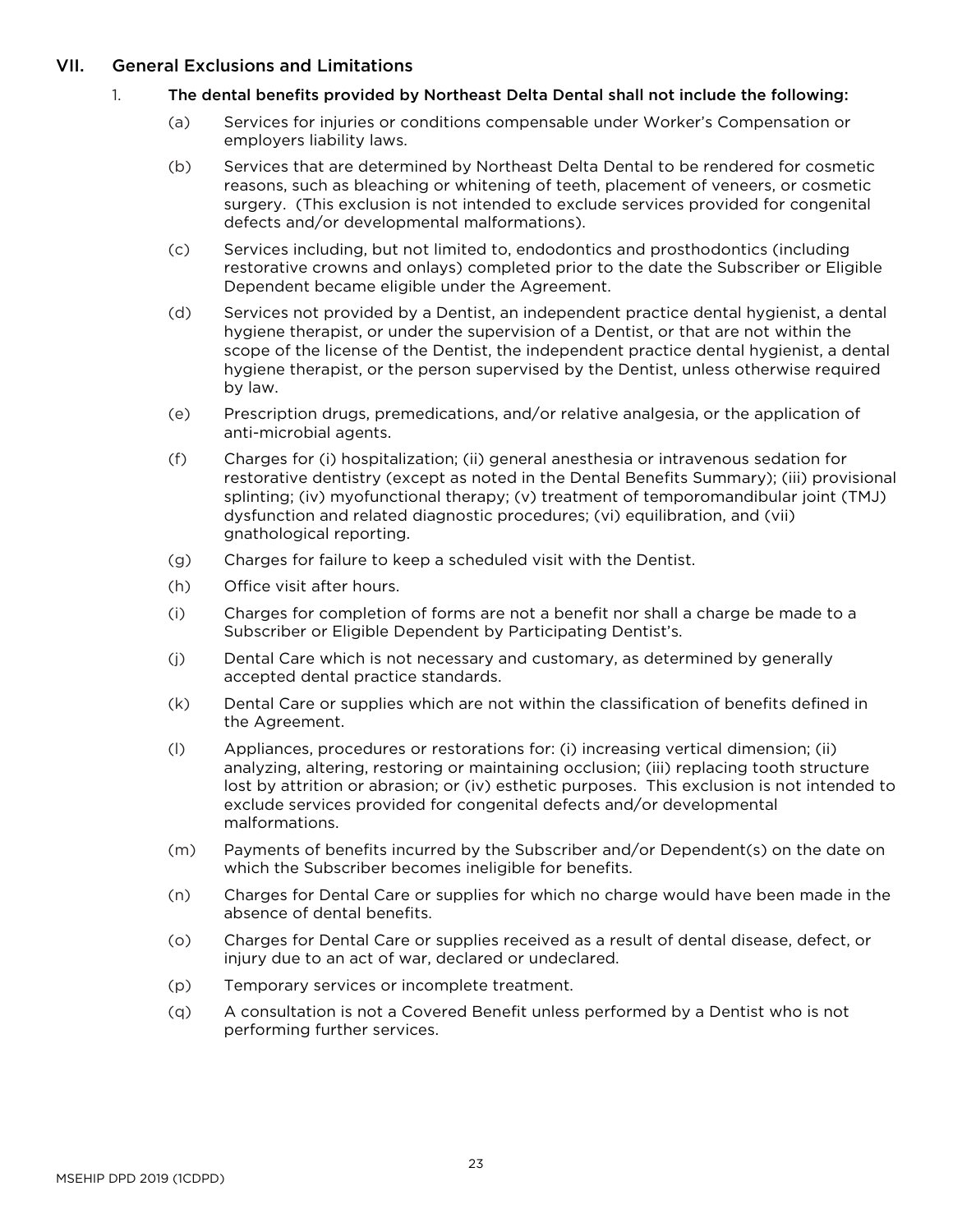## <span id="page-25-0"></span>VII. General Exclusions and Limitations

#### 1. The dental benefits provided by Northeast Delta Dental shall not include the following:

- (a) Services for injuries or conditions compensable under Worker's Compensation or employers liability laws.
- (b) Services that are determined by Northeast Delta Dental to be rendered for cosmetic reasons, such as bleaching or whitening of teeth, placement of veneers, or cosmetic surgery. (This exclusion is not intended to exclude services provided for congenital defects and/or developmental malformations).
- (c) Services including, but not limited to, endodontics and prosthodontics (including restorative crowns and onlays) completed prior to the date the Subscriber or Eligible Dependent became eligible under the Agreement.
- (d) Services not provided by a Dentist, an independent practice dental hygienist, a dental hygiene therapist, or under the supervision of a Dentist, or that are not within the scope of the license of the Dentist, the independent practice dental hygienist, a dental hygiene therapist, or the person supervised by the Dentist, unless otherwise required by law.
- (e) Prescription drugs, premedications, and/or relative analgesia, or the application of anti-microbial agents.
- (f) Charges for (i) hospitalization; (ii) general anesthesia or intravenous sedation for restorative dentistry (except as noted in the Dental Benefits Summary); (iii) provisional splinting; (iv) myofunctional therapy; (v) treatment of temporomandibular joint (TMJ) dysfunction and related diagnostic procedures; (vi) equilibration, and (vii) gnathological reporting.
- (g) Charges for failure to keep a scheduled visit with the Dentist.
- (h) Office visit after hours.
- (i) Charges for completion of forms are not a benefit nor shall a charge be made to a Subscriber or Eligible Dependent by Participating Dentist's.
- (j) Dental Care which is not necessary and customary, as determined by generally accepted dental practice standards.
- (k) Dental Care or supplies which are not within the classification of benefits defined in the Agreement.
- (l) Appliances, procedures or restorations for: (i) increasing vertical dimension; (ii) analyzing, altering, restoring or maintaining occlusion; (iii) replacing tooth structure lost by attrition or abrasion; or (iv) esthetic purposes. This exclusion is not intended to exclude services provided for congenital defects and/or developmental malformations.
- (m) Payments of benefits incurred by the Subscriber and/or Dependent(s) on the date on which the Subscriber becomes ineligible for benefits.
- (n) Charges for Dental Care or supplies for which no charge would have been made in the absence of dental benefits.
- (o) Charges for Dental Care or supplies received as a result of dental disease, defect, or injury due to an act of war, declared or undeclared.
- (p) Temporary services or incomplete treatment.
- (q) A consultation is not a Covered Benefit unless performed by a Dentist who is not performing further services.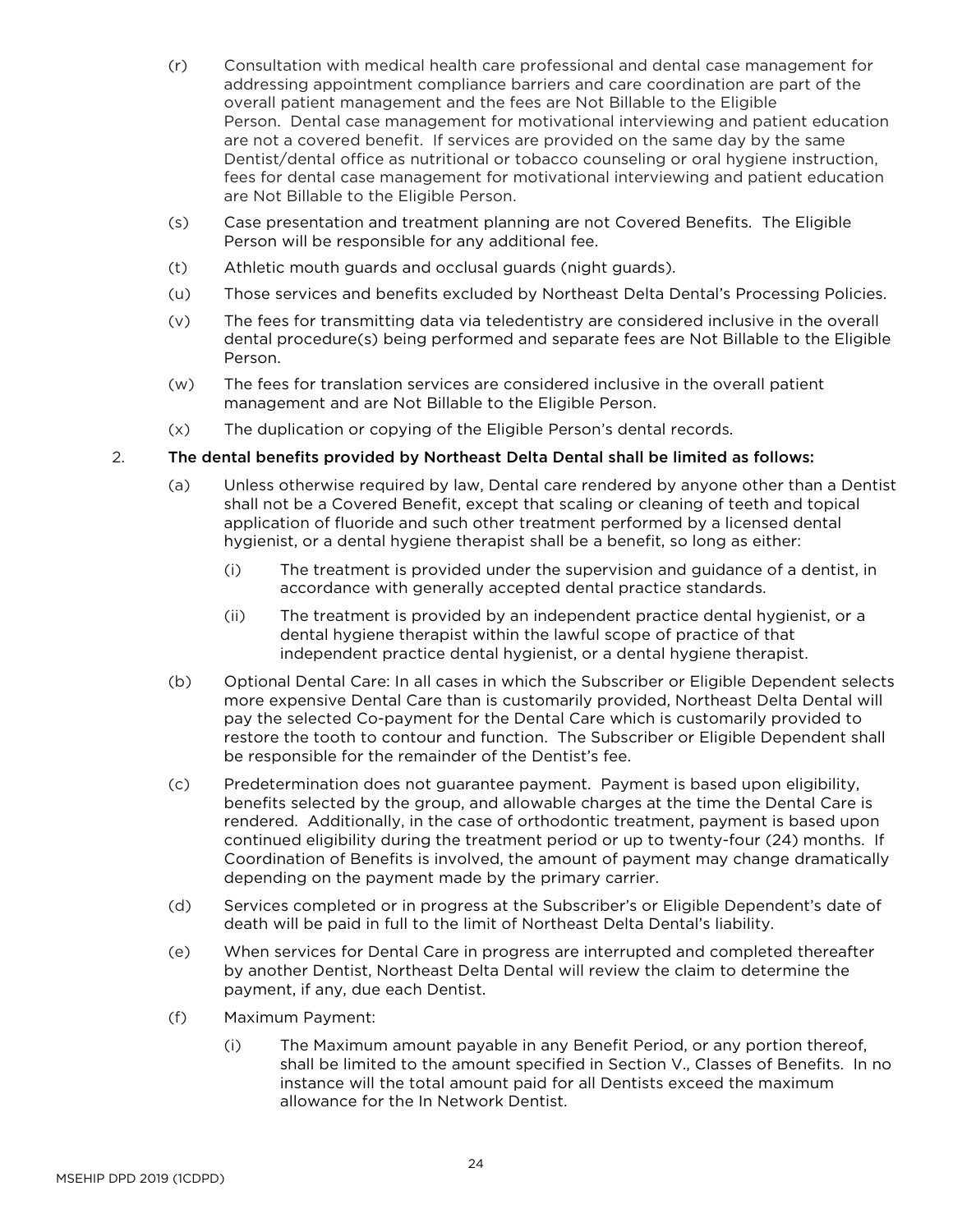- (r) Consultation with medical health care professional and dental case management for addressing appointment compliance barriers and care coordination are part of the overall patient management and the fees are Not Billable to the Eligible Person. Dental case management for motivational interviewing and patient education are not a covered benefit. If services are provided on the same day by the same Dentist/dental office as nutritional or tobacco counseling or oral hygiene instruction, fees for dental case management for motivational interviewing and patient education are Not Billable to the Eligible Person.
- (s) Case presentation and treatment planning are not Covered Benefits. The Eligible Person will be responsible for any additional fee.
- (t) Athletic mouth guards and occlusal guards (night guards).
- (u) Those services and benefits excluded by Northeast Delta Dental's Processing Policies.
- (v) The fees for transmitting data via teledentistry are considered inclusive in the overall dental procedure(s) being performed and separate fees are Not Billable to the Eligible Person.
- (w) The fees for translation services are considered inclusive in the overall patient management and are Not Billable to the Eligible Person.
- (x) The duplication or copying of the Eligible Person's dental records.

#### 2. The dental benefits provided by Northeast Delta Dental shall be limited as follows:

- (a) Unless otherwise required by law, Dental care rendered by anyone other than a Dentist shall not be a Covered Benefit, except that scaling or cleaning of teeth and topical application of fluoride and such other treatment performed by a licensed dental hygienist, or a dental hygiene therapist shall be a benefit, so long as either:
	- (i) The treatment is provided under the supervision and guidance of a dentist, in accordance with generally accepted dental practice standards.
	- (ii) The treatment is provided by an independent practice dental hygienist, or a dental hygiene therapist within the lawful scope of practice of that independent practice dental hygienist, or a dental hygiene therapist.
- (b) Optional Dental Care: In all cases in which the Subscriber or Eligible Dependent selects more expensive Dental Care than is customarily provided, Northeast Delta Dental will pay the selected Co-payment for the Dental Care which is customarily provided to restore the tooth to contour and function. The Subscriber or Eligible Dependent shall be responsible for the remainder of the Dentist's fee.
- (c) Predetermination does not guarantee payment. Payment is based upon eligibility, benefits selected by the group, and allowable charges at the time the Dental Care is rendered. Additionally, in the case of orthodontic treatment, payment is based upon continued eligibility during the treatment period or up to twenty-four (24) months. If Coordination of Benefits is involved, the amount of payment may change dramatically depending on the payment made by the primary carrier.
- (d) Services completed or in progress at the Subscriber's or Eligible Dependent's date of death will be paid in full to the limit of Northeast Delta Dental's liability.
- (e) When services for Dental Care in progress are interrupted and completed thereafter by another Dentist, Northeast Delta Dental will review the claim to determine the payment, if any, due each Dentist.
- (f) Maximum Payment:
	- (i) The Maximum amount payable in any Benefit Period, or any portion thereof, shall be limited to the amount specified in Section V., Classes of Benefits. In no instance will the total amount paid for all Dentists exceed the maximum allowance for the In Network Dentist.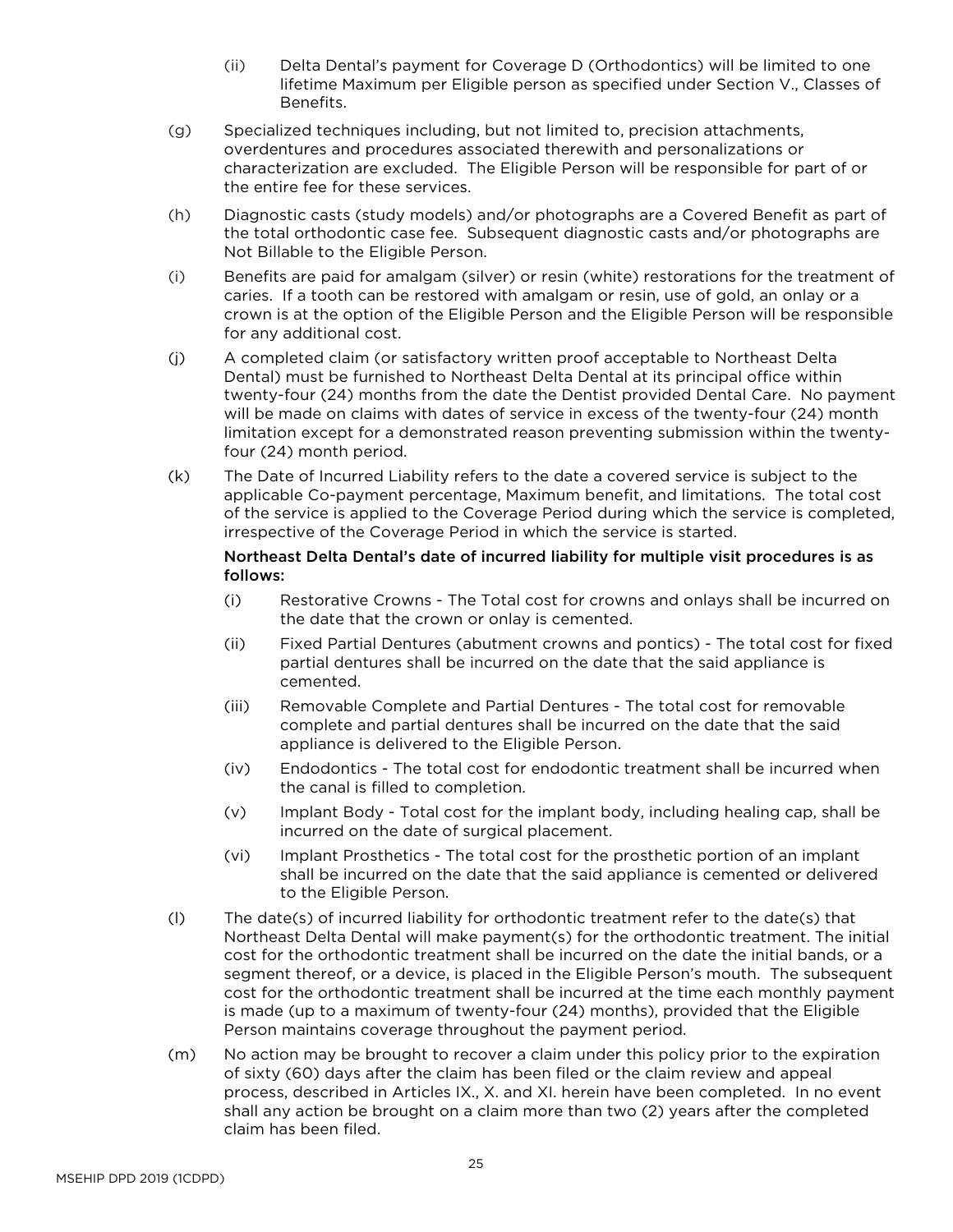- (ii) Delta Dental's payment for Coverage D (Orthodontics) will be limited to one lifetime Maximum per Eligible person as specified under Section V., Classes of Benefits.
- (g) Specialized techniques including, but not limited to, precision attachments, overdentures and procedures associated therewith and personalizations or characterization are excluded. The Eligible Person will be responsible for part of or the entire fee for these services.
- (h) Diagnostic casts (study models) and/or photographs are a Covered Benefit as part of the total orthodontic case fee. Subsequent diagnostic casts and/or photographs are Not Billable to the Eligible Person.
- (i) Benefits are paid for amalgam (silver) or resin (white) restorations for the treatment of caries. If a tooth can be restored with amalgam or resin, use of gold, an onlay or a crown is at the option of the Eligible Person and the Eligible Person will be responsible for any additional cost.
- (j) A completed claim (or satisfactory written proof acceptable to Northeast Delta Dental) must be furnished to Northeast Delta Dental at its principal office within twenty-four (24) months from the date the Dentist provided Dental Care. No payment will be made on claims with dates of service in excess of the twenty-four (24) month limitation except for a demonstrated reason preventing submission within the twentyfour (24) month period.
- (k) The Date of Incurred Liability refers to the date a covered service is subject to the applicable Co-payment percentage, Maximum benefit, and limitations. The total cost of the service is applied to the Coverage Period during which the service is completed, irrespective of the Coverage Period in which the service is started.

## Northeast Delta Dental's date of incurred liability for multiple visit procedures is as follows:

- (i) Restorative Crowns The Total cost for crowns and onlays shall be incurred on the date that the crown or onlay is cemented.
- (ii) Fixed Partial Dentures (abutment crowns and pontics) The total cost for fixed partial dentures shall be incurred on the date that the said appliance is cemented.
- (iii) Removable Complete and Partial Dentures The total cost for removable complete and partial dentures shall be incurred on the date that the said appliance is delivered to the Eligible Person.
- (iv) Endodontics The total cost for endodontic treatment shall be incurred when the canal is filled to completion.
- (v) Implant Body Total cost for the implant body, including healing cap, shall be incurred on the date of surgical placement.
- (vi) Implant Prosthetics The total cost for the prosthetic portion of an implant shall be incurred on the date that the said appliance is cemented or delivered to the Eligible Person.
- (l) The date(s) of incurred liability for orthodontic treatment refer to the date(s) that Northeast Delta Dental will make payment(s) for the orthodontic treatment. The initial cost for the orthodontic treatment shall be incurred on the date the initial bands, or a segment thereof, or a device, is placed in the Eligible Person's mouth. The subsequent cost for the orthodontic treatment shall be incurred at the time each monthly payment is made (up to a maximum of twenty-four (24) months), provided that the Eligible Person maintains coverage throughout the payment period.
- (m) No action may be brought to recover a claim under this policy prior to the expiration of sixty (60) days after the claim has been filed or the claim review and appeal process, described in Articles IX., X. and XI. herein have been completed. In no event shall any action be brought on a claim more than two (2) years after the completed claim has been filed.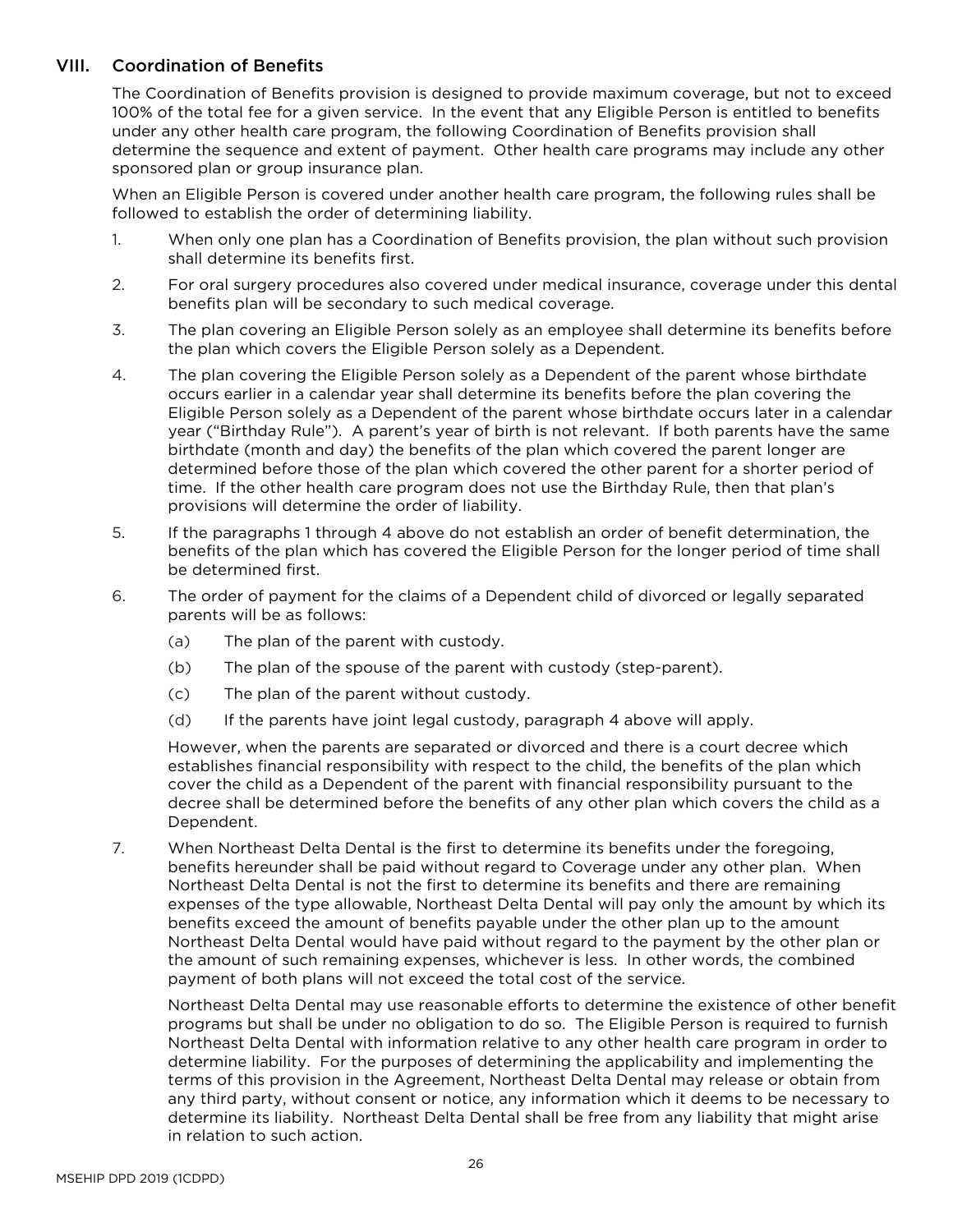# <span id="page-28-0"></span>VIII. Coordination of Benefits

The Coordination of Benefits provision is designed to provide maximum coverage, but not to exceed 100% of the total fee for a given service. In the event that any Eligible Person is entitled to benefits under any other health care program, the following Coordination of Benefits provision shall determine the sequence and extent of payment. Other health care programs may include any other sponsored plan or group insurance plan.

When an Eligible Person is covered under another health care program, the following rules shall be followed to establish the order of determining liability.

- 1. When only one plan has a Coordination of Benefits provision, the plan without such provision shall determine its benefits first.
- 2. For oral surgery procedures also covered under medical insurance, coverage under this dental benefits plan will be secondary to such medical coverage.
- 3. The plan covering an Eligible Person solely as an employee shall determine its benefits before the plan which covers the Eligible Person solely as a Dependent.
- 4. The plan covering the Eligible Person solely as a Dependent of the parent whose birthdate occurs earlier in a calendar year shall determine its benefits before the plan covering the Eligible Person solely as a Dependent of the parent whose birthdate occurs later in a calendar year ("Birthday Rule"). A parent's year of birth is not relevant. If both parents have the same birthdate (month and day) the benefits of the plan which covered the parent longer are determined before those of the plan which covered the other parent for a shorter period of time. If the other health care program does not use the Birthday Rule, then that plan's provisions will determine the order of liability.
- 5. If the paragraphs 1 through 4 above do not establish an order of benefit determination, the benefits of the plan which has covered the Eligible Person for the longer period of time shall be determined first.
- 6. The order of payment for the claims of a Dependent child of divorced or legally separated parents will be as follows:
	- (a) The plan of the parent with custody.
	- (b) The plan of the spouse of the parent with custody (step-parent).
	- (c) The plan of the parent without custody.
	- (d) If the parents have joint legal custody, paragraph 4 above will apply.

However, when the parents are separated or divorced and there is a court decree which establishes financial responsibility with respect to the child, the benefits of the plan which cover the child as a Dependent of the parent with financial responsibility pursuant to the decree shall be determined before the benefits of any other plan which covers the child as a Dependent.

7. When Northeast Delta Dental is the first to determine its benefits under the foregoing, benefits hereunder shall be paid without regard to Coverage under any other plan. When Northeast Delta Dental is not the first to determine its benefits and there are remaining expenses of the type allowable, Northeast Delta Dental will pay only the amount by which its benefits exceed the amount of benefits payable under the other plan up to the amount Northeast Delta Dental would have paid without regard to the payment by the other plan or the amount of such remaining expenses, whichever is less. In other words, the combined payment of both plans will not exceed the total cost of the service.

Northeast Delta Dental may use reasonable efforts to determine the existence of other benefit programs but shall be under no obligation to do so. The Eligible Person is required to furnish Northeast Delta Dental with information relative to any other health care program in order to determine liability. For the purposes of determining the applicability and implementing the terms of this provision in the Agreement, Northeast Delta Dental may release or obtain from any third party, without consent or notice, any information which it deems to be necessary to determine its liability. Northeast Delta Dental shall be free from any liability that might arise in relation to such action.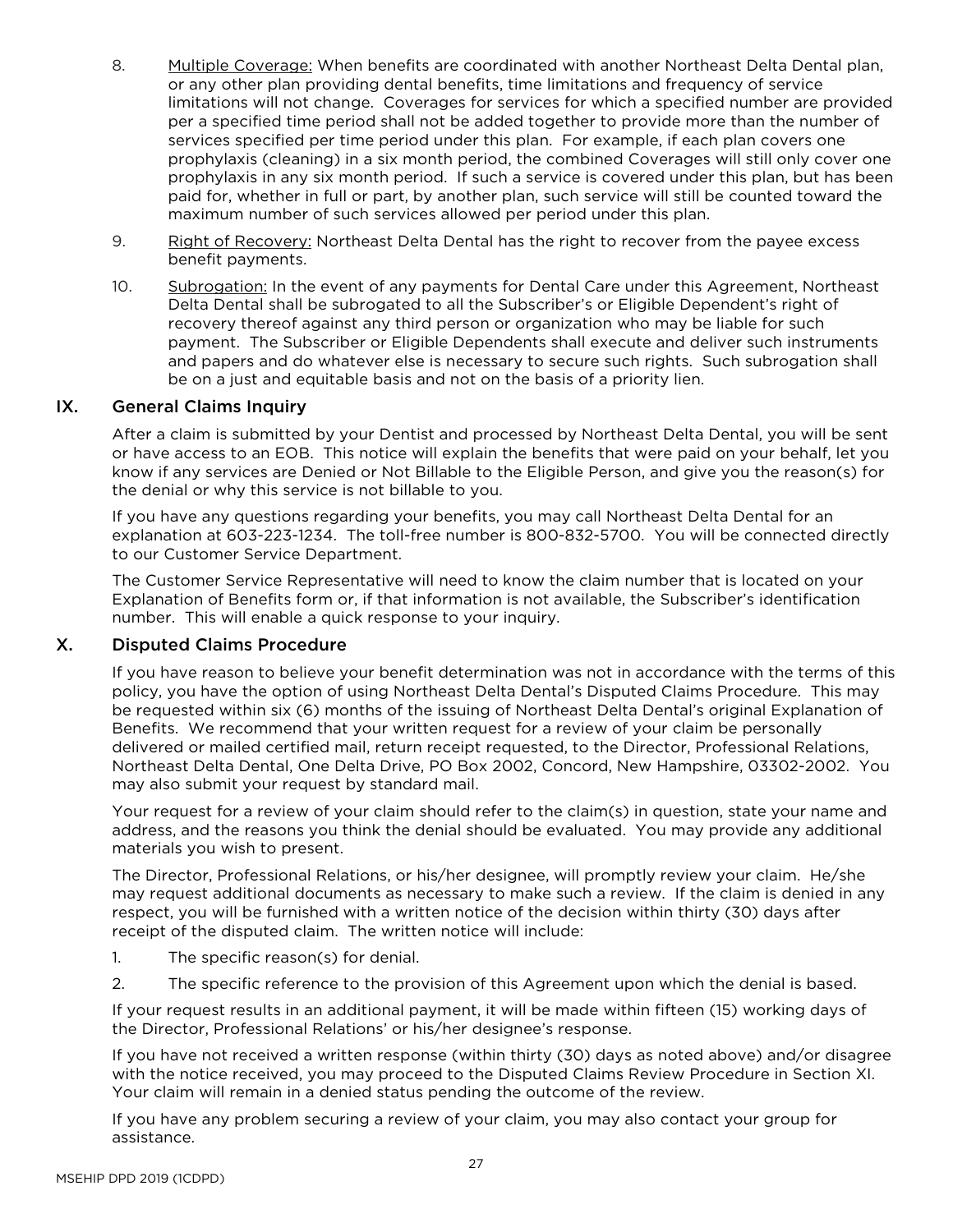- 8. Multiple Coverage: When benefits are coordinated with another Northeast Delta Dental plan, or any other plan providing dental benefits, time limitations and frequency of service limitations will not change. Coverages for services for which a specified number are provided per a specified time period shall not be added together to provide more than the number of services specified per time period under this plan. For example, if each plan covers one prophylaxis (cleaning) in a six month period, the combined Coverages will still only cover one prophylaxis in any six month period. If such a service is covered under this plan, but has been paid for, whether in full or part, by another plan, such service will still be counted toward the maximum number of such services allowed per period under this plan.
- 9. Right of Recovery: Northeast Delta Dental has the right to recover from the payee excess benefit payments.
- 10. Subrogation: In the event of any payments for Dental Care under this Agreement, Northeast Delta Dental shall be subrogated to all the Subscriber's or Eligible Dependent's right of recovery thereof against any third person or organization who may be liable for such payment. The Subscriber or Eligible Dependents shall execute and deliver such instruments and papers and do whatever else is necessary to secure such rights. Such subrogation shall be on a just and equitable basis and not on the basis of a priority lien.

## IX. General Claims Inquiry

<span id="page-29-0"></span>After a claim is submitted by your Dentist and processed by Northeast Delta Dental, you will be sent or have access to an EOB. This notice will explain the benefits that were paid on your behalf, let you know if any services are Denied or Not Billable to the Eligible Person, and give you the reason(s) for the denial or why this service is not billable to you.

If you have any questions regarding your benefits, you may call Northeast Delta Dental for an explanation at 603-223-1234. The toll-free number is 800-832-5700. You will be connected directly to our Customer Service Department.

The Customer Service Representative will need to know the claim number that is located on your Explanation of Benefits form or, if that information is not available, the Subscriber's identification number. This will enable a quick response to your inquiry.

## <span id="page-29-1"></span>X. Disputed Claims Procedure

If you have reason to believe your benefit determination was not in accordance with the terms of this policy, you have the option of using Northeast Delta Dental's Disputed Claims Procedure. This may be requested within six (6) months of the issuing of Northeast Delta Dental's original Explanation of Benefits. We recommend that your written request for a review of your claim be personally delivered or mailed certified mail, return receipt requested, to the Director, Professional Relations, Northeast Delta Dental, One Delta Drive, PO Box 2002, Concord, New Hampshire, 03302-2002. You may also submit your request by standard mail.

Your request for a review of your claim should refer to the claim(s) in question, state your name and address, and the reasons you think the denial should be evaluated. You may provide any additional materials you wish to present.

The Director, Professional Relations, or his/her designee, will promptly review your claim. He/she may request additional documents as necessary to make such a review. If the claim is denied in any respect, you will be furnished with a written notice of the decision within thirty (30) days after receipt of the disputed claim. The written notice will include:

- 1. The specific reason(s) for denial.
- 2. The specific reference to the provision of this Agreement upon which the denial is based.

If your request results in an additional payment, it will be made within fifteen (15) working days of the Director, Professional Relations' or his/her designee's response.

If you have not received a written response (within thirty (30) days as noted above) and/or disagree with the notice received, you may proceed to the Disputed Claims Review Procedure in Section XI. Your claim will remain in a denied status pending the outcome of the review.

If you have any problem securing a review of your claim, you may also contact your group for assistance.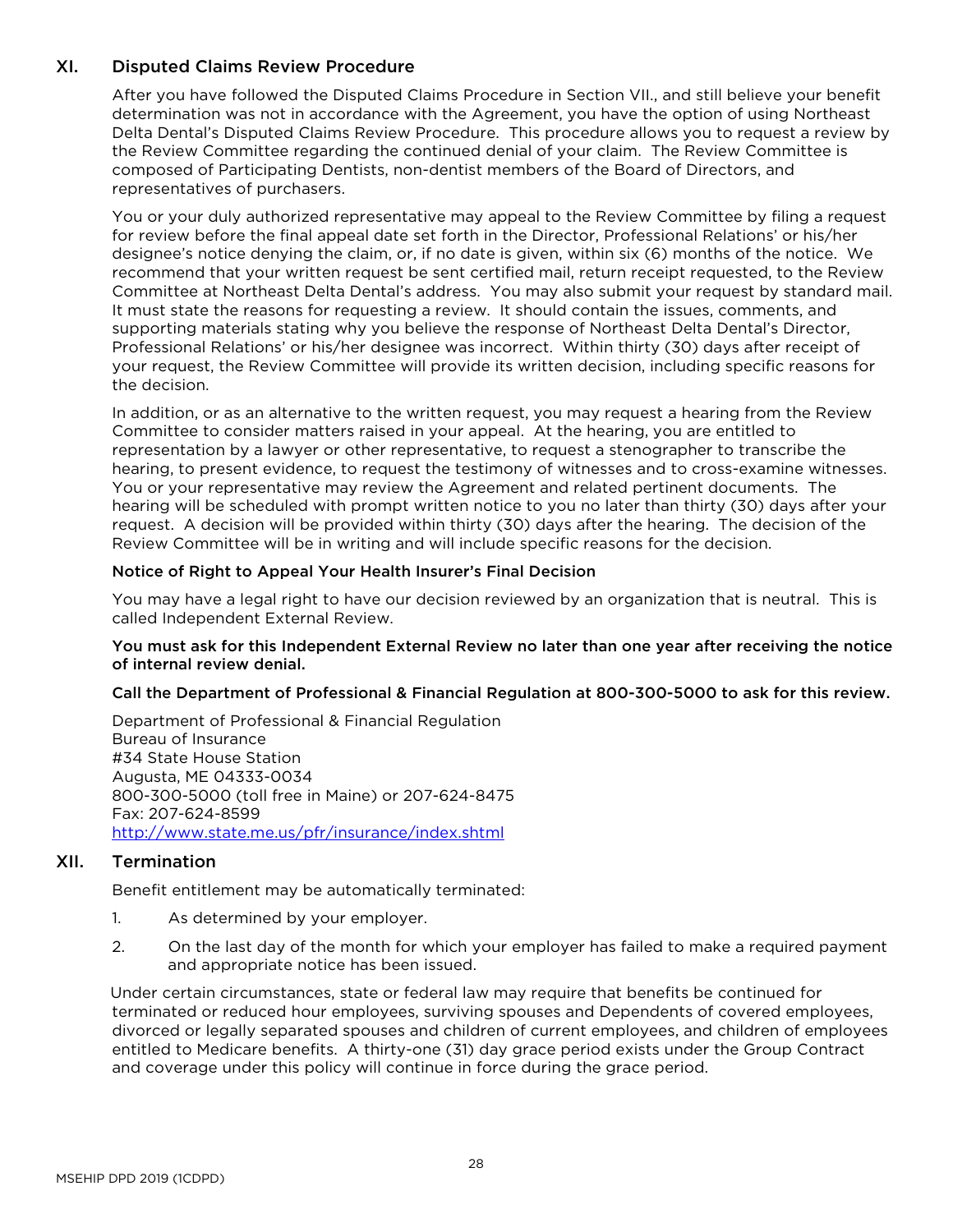# <span id="page-30-0"></span>XI. Disputed Claims Review Procedure

After you have followed the Disputed Claims Procedure in Section VII., and still believe your benefit determination was not in accordance with the Agreement, you have the option of using Northeast Delta Dental's Disputed Claims Review Procedure. This procedure allows you to request a review by the Review Committee regarding the continued denial of your claim. The Review Committee is composed of Participating Dentists, non-dentist members of the Board of Directors, and representatives of purchasers.

You or your duly authorized representative may appeal to the Review Committee by filing a request for review before the final appeal date set forth in the Director, Professional Relations' or his/her designee's notice denying the claim, or, if no date is given, within six (6) months of the notice. We recommend that your written request be sent certified mail, return receipt requested, to the Review Committee at Northeast Delta Dental's address. You may also submit your request by standard mail. It must state the reasons for requesting a review. It should contain the issues, comments, and supporting materials stating why you believe the response of Northeast Delta Dental's Director, Professional Relations' or his/her designee was incorrect. Within thirty (30) days after receipt of your request, the Review Committee will provide its written decision, including specific reasons for the decision.

In addition, or as an alternative to the written request, you may request a hearing from the Review Committee to consider matters raised in your appeal. At the hearing, you are entitled to representation by a lawyer or other representative, to request a stenographer to transcribe the hearing, to present evidence, to request the testimony of witnesses and to cross-examine witnesses. You or your representative may review the Agreement and related pertinent documents. The hearing will be scheduled with prompt written notice to you no later than thirty (30) days after your request. A decision will be provided within thirty (30) days after the hearing. The decision of the Review Committee will be in writing and will include specific reasons for the decision.

#### Notice of Right to Appeal Your Health Insurer's Final Decision

You may have a legal right to have our decision reviewed by an organization that is neutral. This is called Independent External Review.

#### You must ask for this Independent External Review no later than one year after receiving the notice of internal review denial.

#### Call the Department of Professional & Financial Regulation at 800-300-5000 to ask for this review.

Department of Professional & Financial Regulation Bureau of Insurance #34 State House Station Augusta, ME 04333-0034 800-300-5000 (toll free in Maine) or 207-624-8475 Fax: 207-624-8599 <http://www.state.me.us/pfr/insurance/index.shtml>

## <span id="page-30-1"></span>XII. Termination

Benefit entitlement may be automatically terminated:

- 1. As determined by your employer.
- 2. On the last day of the month for which your employer has failed to make a required payment and appropriate notice has been issued.

Under certain circumstances, state or federal law may require that benefits be continued for terminated or reduced hour employees, surviving spouses and Dependents of covered employees, divorced or legally separated spouses and children of current employees, and children of employees entitled to Medicare benefits. A thirty-one (31) day grace period exists under the Group Contract and coverage under this policy will continue in force during the grace period.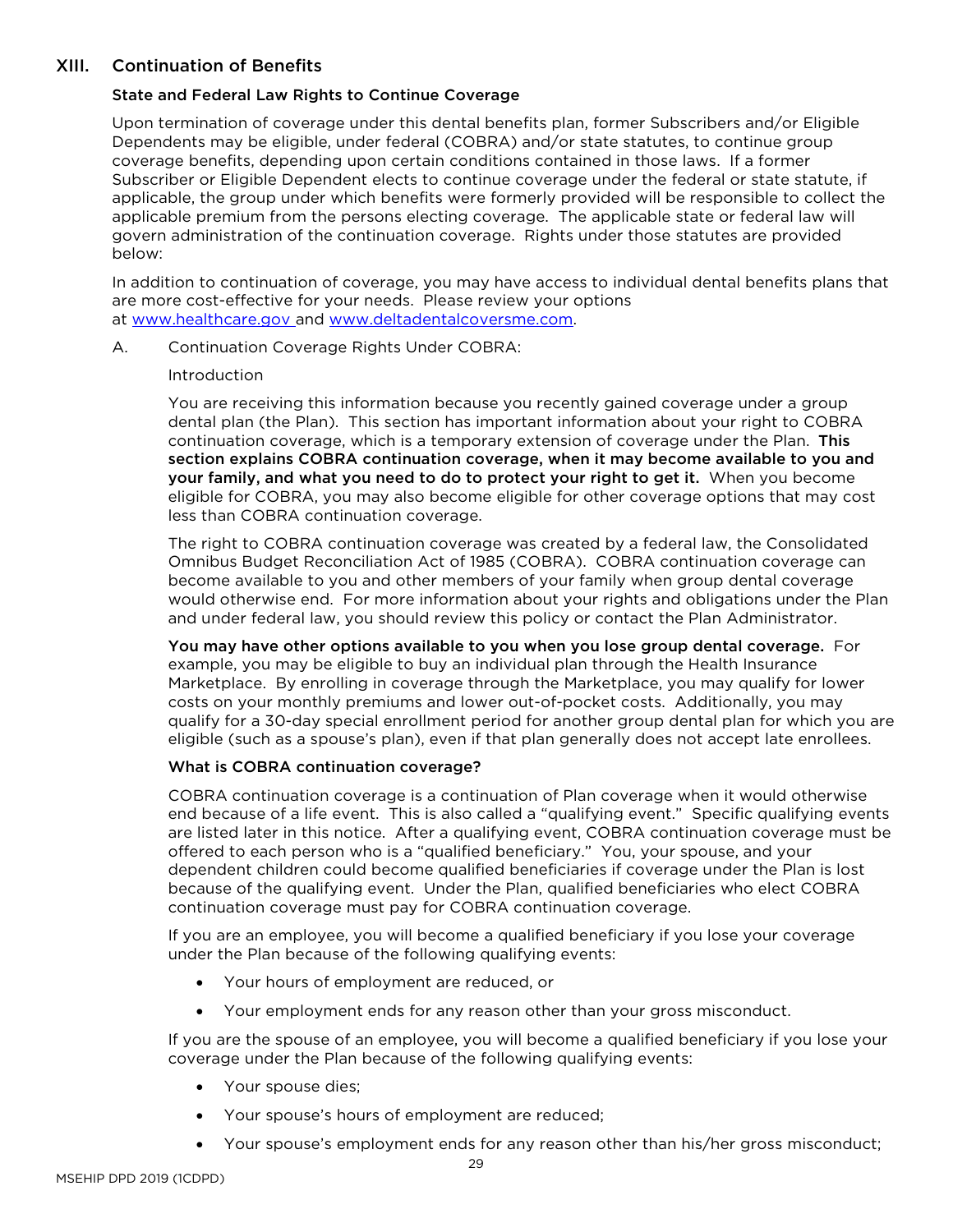# XIII. Continuation of Benefits

## State and Federal Law Rights to Continue Coverage

Upon termination of coverage under this dental benefits plan, former Subscribers and/or Eligible Dependents may be eligible, under federal (COBRA) and/or state statutes, to continue group coverage benefits, depending upon certain conditions contained in those laws. If a former Subscriber or Eligible Dependent elects to continue coverage under the federal or state statute, if applicable, the group under which benefits were formerly provided will be responsible to collect the applicable premium from the persons electing coverage. The applicable state or federal law will govern administration of the continuation coverage. Rights under those statutes are provided below:

In addition to continuation of coverage, you may have access to individual dental benefits plans that are more cost-effective for your needs. Please review your options at www.healthcare.gov and [www.deltadentalcoversme.com.](http://www.deltadentalcoversme.com/)

#### A. Continuation Coverage Rights Under COBRA:

#### Introduction

You are receiving this information because you recently gained coverage under a group dental plan (the Plan). This section has important information about your right to COBRA continuation coverage, which is a temporary extension of coverage under the Plan. This section explains COBRA continuation coverage, when it may become available to you and your family, and what you need to do to protect your right to get it. When you become eligible for COBRA, you may also become eligible for other coverage options that may cost less than COBRA continuation coverage.

The right to COBRA continuation coverage was created by a federal law, the Consolidated Omnibus Budget Reconciliation Act of 1985 (COBRA). COBRA continuation coverage can become available to you and other members of your family when group dental coverage would otherwise end. For more information about your rights and obligations under the Plan and under federal law, you should review this policy or contact the Plan Administrator.

You may have other options available to you when you lose group dental coverage. For example, you may be eligible to buy an individual plan through the Health Insurance Marketplace. By enrolling in coverage through the Marketplace, you may qualify for lower costs on your monthly premiums and lower out-of-pocket costs. Additionally, you may qualify for a 30-day special enrollment period for another group dental plan for which you are eligible (such as a spouse's plan), even if that plan generally does not accept late enrollees.

#### What is COBRA continuation coverage?

COBRA continuation coverage is a continuation of Plan coverage when it would otherwise end because of a life event. This is also called a "qualifying event." Specific qualifying events are listed later in this notice. After a qualifying event, COBRA continuation coverage must be offered to each person who is a "qualified beneficiary." You, your spouse, and your dependent children could become qualified beneficiaries if coverage under the Plan is lost because of the qualifying event. Under the Plan, qualified beneficiaries who elect COBRA continuation coverage must pay for COBRA continuation coverage.

If you are an employee, you will become a qualified beneficiary if you lose your coverage under the Plan because of the following qualifying events:

- Your hours of employment are reduced, or
- Your employment ends for any reason other than your gross misconduct.

If you are the spouse of an employee, you will become a qualified beneficiary if you lose your coverage under the Plan because of the following qualifying events:

- Your spouse dies;
- Your spouse's hours of employment are reduced;
- Your spouse's employment ends for any reason other than his/her gross misconduct;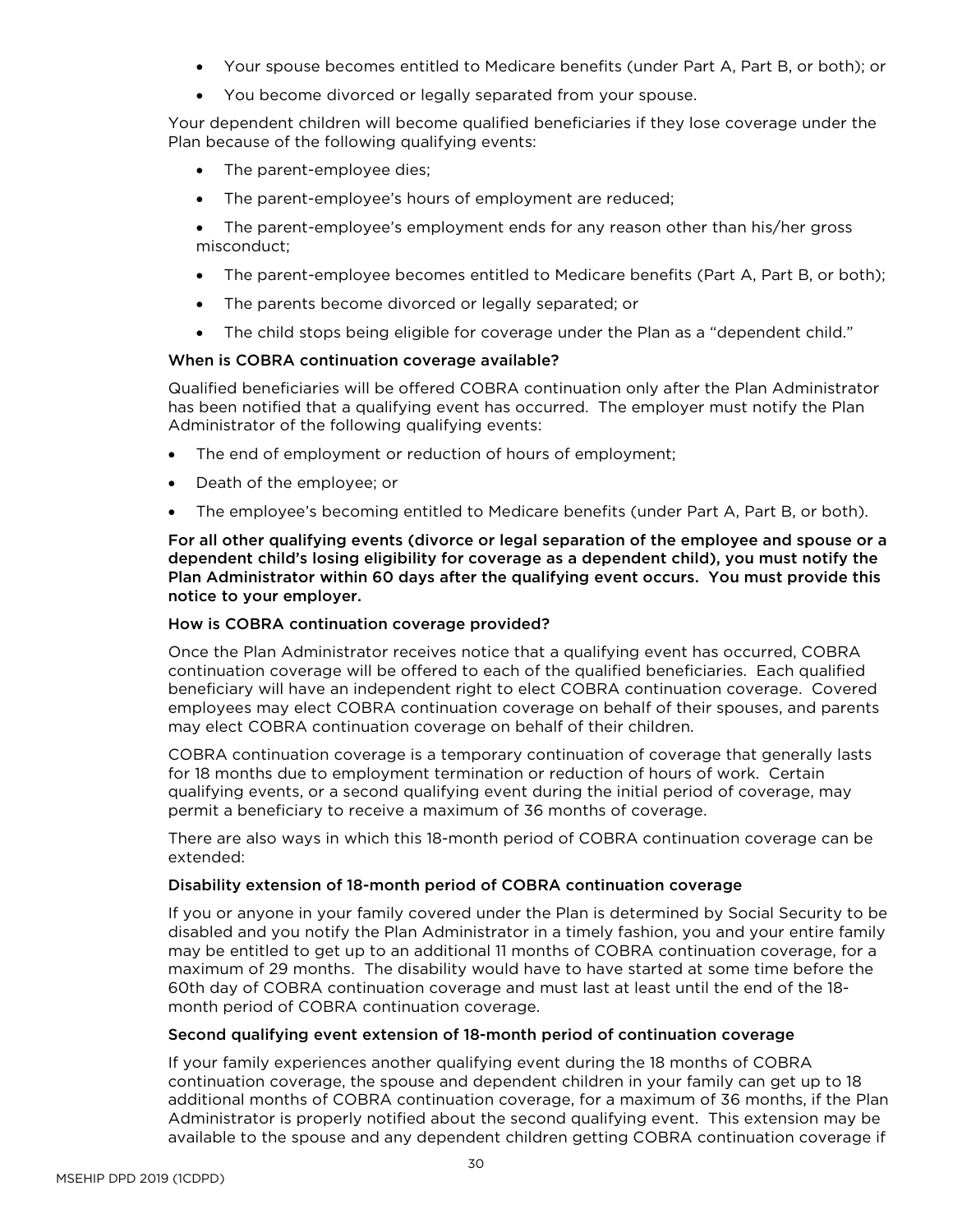- Your spouse becomes entitled to Medicare benefits (under Part A, Part B, or both); or
- You become divorced or legally separated from your spouse.

Your dependent children will become qualified beneficiaries if they lose coverage under the Plan because of the following qualifying events:

- The parent-employee dies;
- The parent-employee's hours of employment are reduced;
- The parent-employee's employment ends for any reason other than his/her gross misconduct;
- The parent-employee becomes entitled to Medicare benefits (Part A, Part B, or both);
- The parents become divorced or legally separated; or
- The child stops being eligible for coverage under the Plan as a "dependent child."

#### When is COBRA continuation coverage available?

Qualified beneficiaries will be offered COBRA continuation only after the Plan Administrator has been notified that a qualifying event has occurred. The employer must notify the Plan Administrator of the following qualifying events:

- The end of employment or reduction of hours of employment;
- Death of the employee; or
- The employee's becoming entitled to Medicare benefits (under Part A, Part B, or both).

For all other qualifying events (divorce or legal separation of the employee and spouse or a dependent child's losing eligibility for coverage as a dependent child), you must notify the Plan Administrator within 60 days after the qualifying event occurs. You must provide this notice to your employer.

#### How is COBRA continuation coverage provided?

Once the Plan Administrator receives notice that a qualifying event has occurred, COBRA continuation coverage will be offered to each of the qualified beneficiaries. Each qualified beneficiary will have an independent right to elect COBRA continuation coverage. Covered employees may elect COBRA continuation coverage on behalf of their spouses, and parents may elect COBRA continuation coverage on behalf of their children.

COBRA continuation coverage is a temporary continuation of coverage that generally lasts for 18 months due to employment termination or reduction of hours of work. Certain qualifying events, or a second qualifying event during the initial period of coverage, may permit a beneficiary to receive a maximum of 36 months of coverage.

There are also ways in which this 18-month period of COBRA continuation coverage can be extended:

#### Disability extension of 18-month period of COBRA continuation coverage

If you or anyone in your family covered under the Plan is determined by Social Security to be disabled and you notify the Plan Administrator in a timely fashion, you and your entire family may be entitled to get up to an additional 11 months of COBRA continuation coverage, for a maximum of 29 months. The disability would have to have started at some time before the 60th day of COBRA continuation coverage and must last at least until the end of the 18 month period of COBRA continuation coverage.

#### Second qualifying event extension of 18-month period of continuation coverage

If your family experiences another qualifying event during the 18 months of COBRA continuation coverage, the spouse and dependent children in your family can get up to 18 additional months of COBRA continuation coverage, for a maximum of 36 months, if the Plan Administrator is properly notified about the second qualifying event. This extension may be available to the spouse and any dependent children getting COBRA continuation coverage if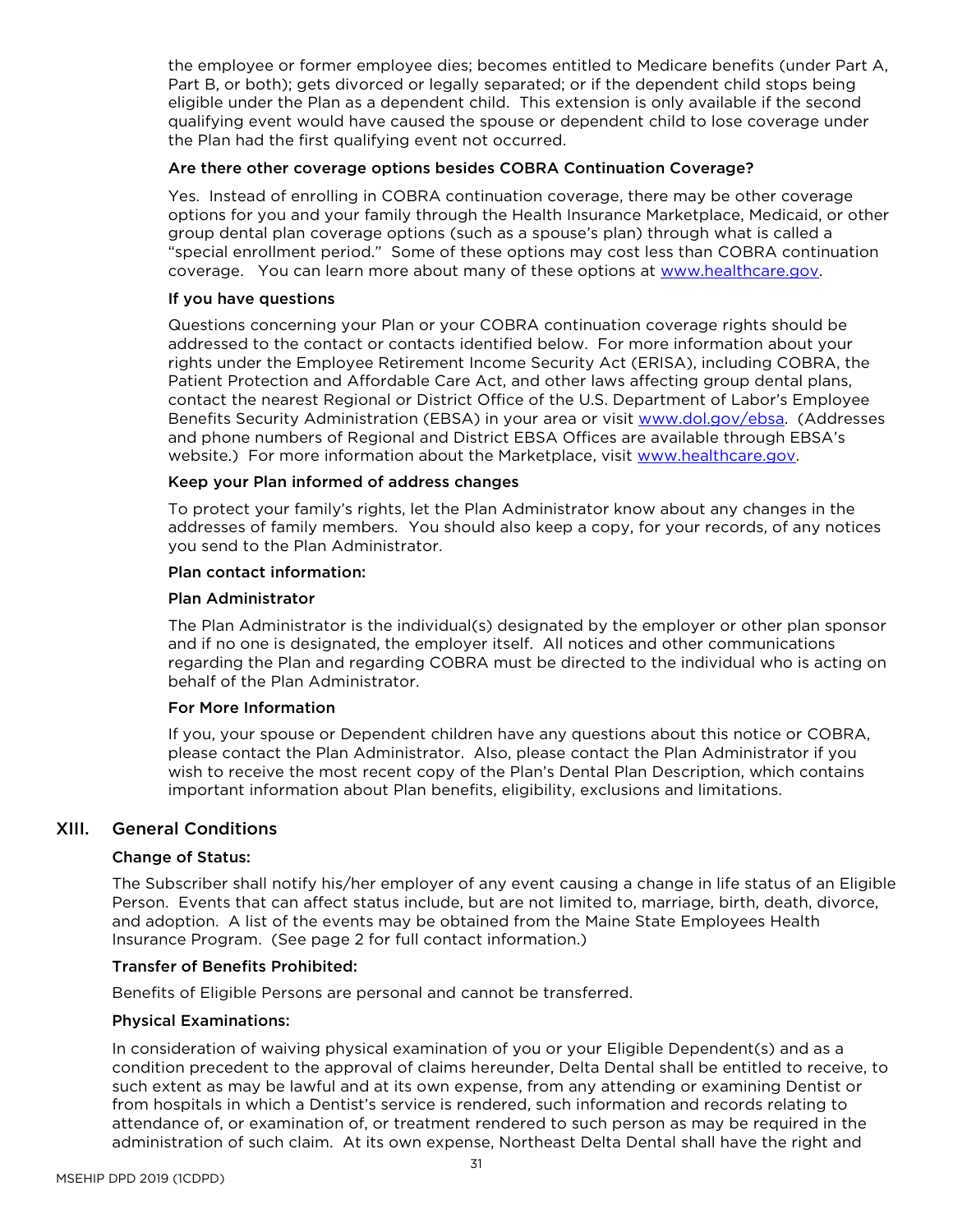the employee or former employee dies; becomes entitled to Medicare benefits (under Part A, Part B, or both); gets divorced or legally separated; or if the dependent child stops being eligible under the Plan as a dependent child. This extension is only available if the second qualifying event would have caused the spouse or dependent child to lose coverage under the Plan had the first qualifying event not occurred.

#### Are there other coverage options besides COBRA Continuation Coverage?

Yes. Instead of enrolling in COBRA continuation coverage, there may be other coverage options for you and your family through the Health Insurance Marketplace, Medicaid, or other group dental plan coverage options (such as a spouse's plan) through what is called a "special enrollment period." Some of these options may cost less than COBRA continuation coverage. You can learn more about many of these options at [www.healthcare.gov.](http://www.healthcare.gov/)

#### If you have questions

Questions concerning your Plan or your COBRA continuation coverage rights should be addressed to the contact or contacts identified below. For more information about your rights under the Employee Retirement Income Security Act (ERISA), including COBRA, the Patient Protection and Affordable Care Act, and other laws affecting group dental plans, contact the nearest Regional or District Office of the U.S. Department of Labor's Employee Benefits Security Administration (EBSA) in your area or visit [www.dol.gov/ebsa.](http://www.dol.gov/ebsa) (Addresses and phone numbers of Regional and District EBSA Offices are available through EBSA's website.) For more information about the Marketplace, visit www.healthcare.gov.

#### Keep your Plan informed of address changes

To protect your family's rights, let the Plan Administrator know about any changes in the addresses of family members. You should also keep a copy, for your records, of any notices you send to the Plan Administrator.

#### Plan contact information:

#### Plan Administrator

The Plan Administrator is the individual(s) designated by the employer or other plan sponsor and if no one is designated, the employer itself. All notices and other communications regarding the Plan and regarding COBRA must be directed to the individual who is acting on behalf of the Plan Administrator.

#### For More Information

If you, your spouse or Dependent children have any questions about this notice or COBRA, please contact the Plan Administrator. Also, please contact the Plan Administrator if you wish to receive the most recent copy of the Plan's Dental Plan Description, which contains important information about Plan benefits, eligibility, exclusions and limitations.

## <span id="page-33-0"></span>XIII. General Conditions

#### Change of Status:

The Subscriber shall notify his/her employer of any event causing a change in life status of an Eligible Person. Events that can affect status include, but are not limited to, marriage, birth, death, divorce, and adoption. A list of the events may be obtained from the Maine State Employees Health Insurance Program. (See page 2 for full contact information.)

#### Transfer of Benefits Prohibited:

Benefits of Eligible Persons are personal and cannot be transferred.

#### Physical Examinations:

In consideration of waiving physical examination of you or your Eligible Dependent(s) and as a condition precedent to the approval of claims hereunder, Delta Dental shall be entitled to receive, to such extent as may be lawful and at its own expense, from any attending or examining Dentist or from hospitals in which a Dentist's service is rendered, such information and records relating to attendance of, or examination of, or treatment rendered to such person as may be required in the administration of such claim. At its own expense, Northeast Delta Dental shall have the right and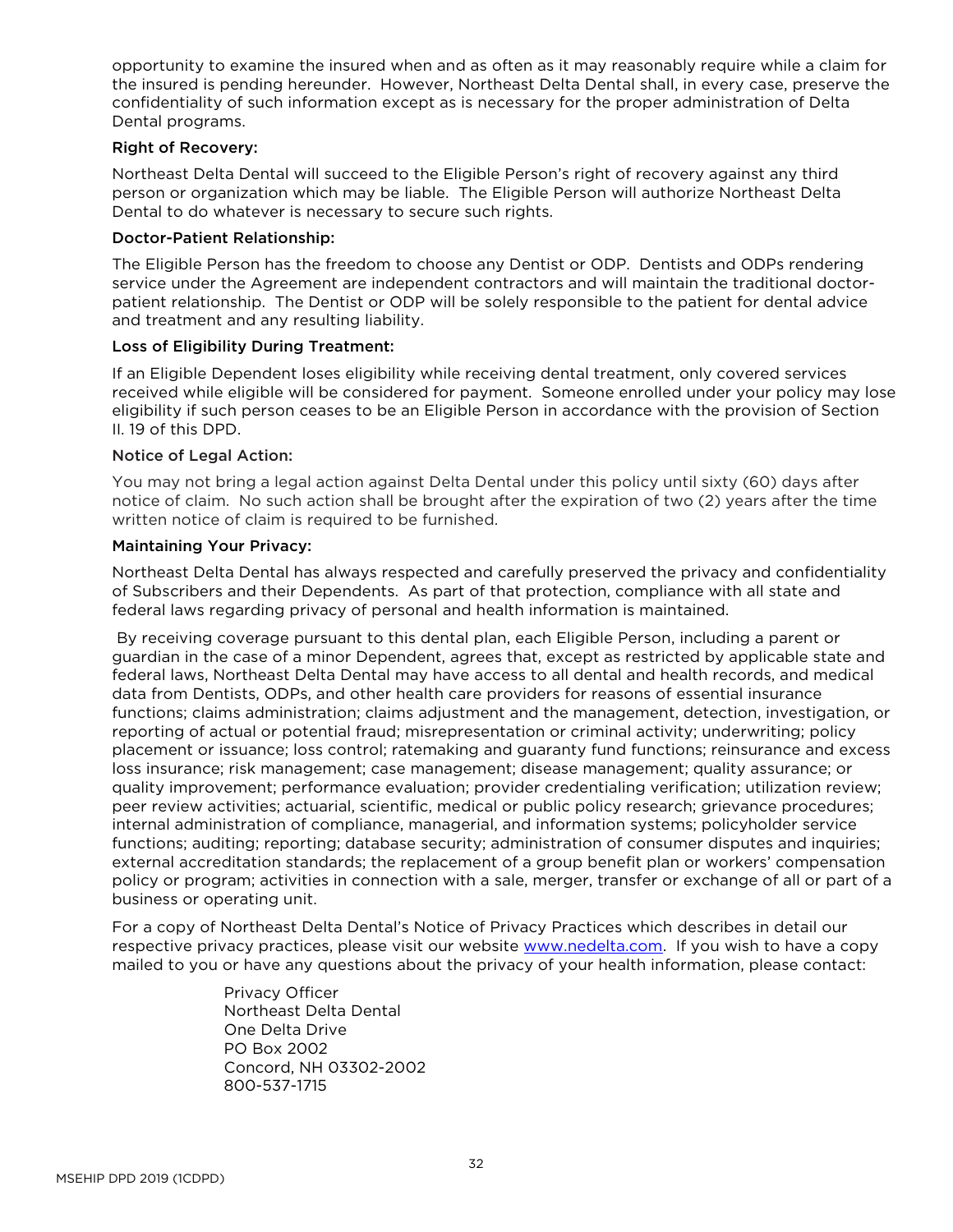opportunity to examine the insured when and as often as it may reasonably require while a claim for the insured is pending hereunder. However, Northeast Delta Dental shall, in every case, preserve the confidentiality of such information except as is necessary for the proper administration of Delta Dental programs.

#### Right of Recovery:

Northeast Delta Dental will succeed to the Eligible Person's right of recovery against any third person or organization which may be liable. The Eligible Person will authorize Northeast Delta Dental to do whatever is necessary to secure such rights.

#### Doctor-Patient Relationship:

The Eligible Person has the freedom to choose any Dentist or ODP. Dentists and ODPs rendering service under the Agreement are independent contractors and will maintain the traditional doctorpatient relationship. The Dentist or ODP will be solely responsible to the patient for dental advice and treatment and any resulting liability.

## Loss of Eligibility During Treatment:

If an Eligible Dependent loses eligibility while receiving dental treatment, only covered services received while eligible will be considered for payment. Someone enrolled under your policy may lose eligibility if such person ceases to be an Eligible Person in accordance with the provision of Section II. 19 of this DPD.

#### Notice of Legal Action:

You may not bring a legal action against Delta Dental under this policy until sixty (60) days after notice of claim. No such action shall be brought after the expiration of two (2) years after the time written notice of claim is required to be furnished.

#### Maintaining Your Privacy:

Northeast Delta Dental has always respected and carefully preserved the privacy and confidentiality of Subscribers and their Dependents. As part of that protection, compliance with all state and federal laws regarding privacy of personal and health information is maintained.

By receiving coverage pursuant to this dental plan, each Eligible Person, including a parent or guardian in the case of a minor Dependent, agrees that, except as restricted by applicable state and federal laws, Northeast Delta Dental may have access to all dental and health records, and medical data from Dentists, ODPs, and other health care providers for reasons of essential insurance functions; claims administration; claims adjustment and the management, detection, investigation, or reporting of actual or potential fraud; misrepresentation or criminal activity; underwriting; policy placement or issuance; loss control; ratemaking and guaranty fund functions; reinsurance and excess loss insurance; risk management; case management; disease management; quality assurance; or quality improvement; performance evaluation; provider credentialing verification; utilization review; peer review activities; actuarial, scientific, medical or public policy research; grievance procedures; internal administration of compliance, managerial, and information systems; policyholder service functions; auditing; reporting; database security; administration of consumer disputes and inquiries; external accreditation standards; the replacement of a group benefit plan or workers' compensation policy or program; activities in connection with a sale, merger, transfer or exchange of all or part of a business or operating unit.

For a copy of Northeast Delta Dental's Notice of Privacy Practices which describes in detail our respective privacy practices, please visit our website [www.nedelta.com.](http://www.nedelta.com/) If you wish to have a copy mailed to you or have any questions about the privacy of your health information, please contact:

> Privacy Officer Northeast Delta Dental One Delta Drive PO Box 2002 Concord, NH 03302-2002 800-537-1715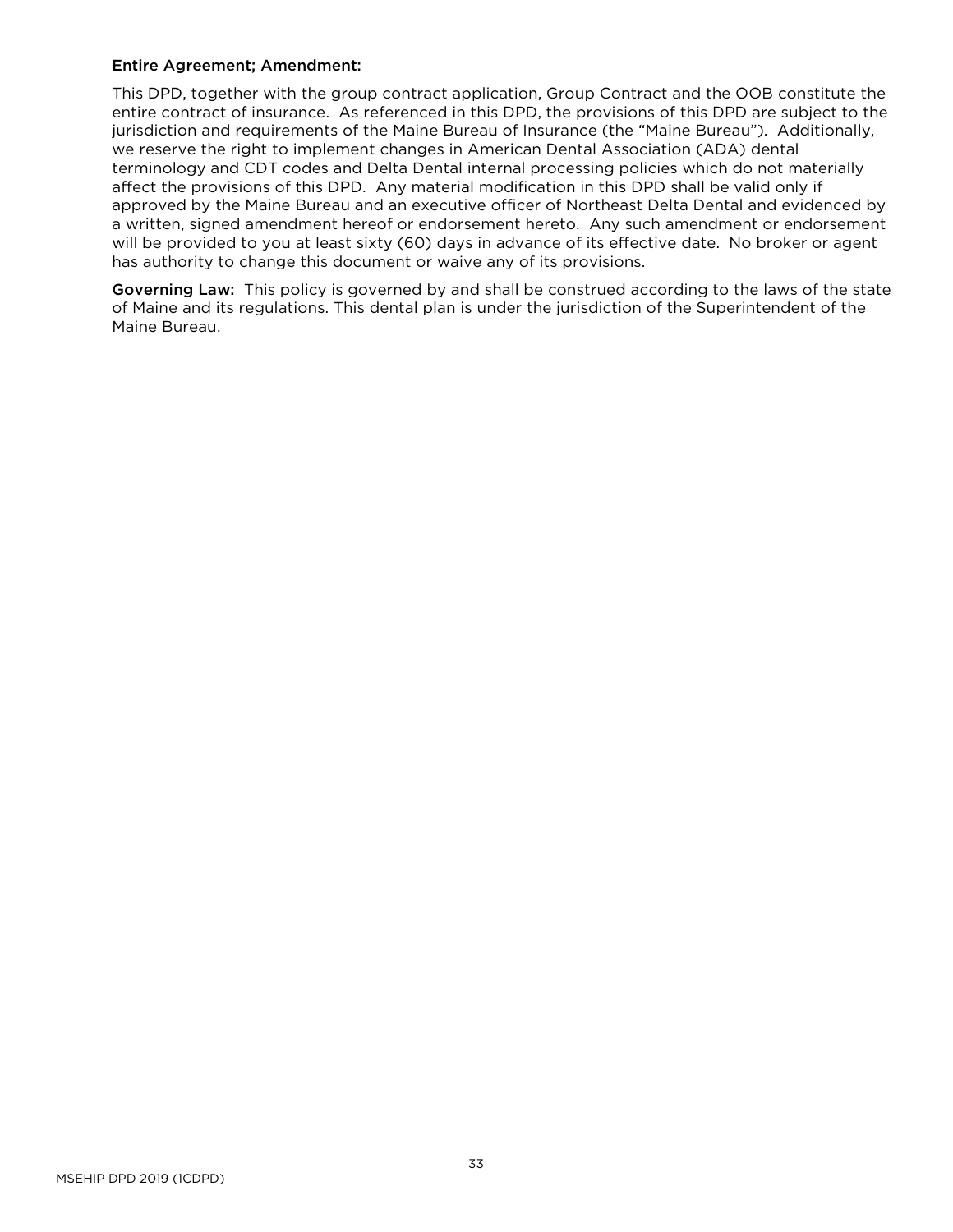#### Entire Agreement; Amendment:

This DPD, together with the group contract application, Group Contract and the OOB constitute the entire contract of insurance. As referenced in this DPD, the provisions of this DPD are subject to the jurisdiction and requirements of the Maine Bureau of Insurance (the "Maine Bureau"). Additionally, we reserve the right to implement changes in American Dental Association (ADA) dental terminology and CDT codes and Delta Dental internal processing policies which do not materially affect the provisions of this DPD. Any material modification in this DPD shall be valid only if approved by the Maine Bureau and an executive officer of Northeast Delta Dental and evidenced by a written, signed amendment hereof or endorsement hereto. Any such amendment or endorsement will be provided to you at least sixty (60) days in advance of its effective date. No broker or agent has authority to change this document or waive any of its provisions.

Governing Law: This policy is governed by and shall be construed according to the laws of the state of Maine and its regulations. This dental plan is under the jurisdiction of the Superintendent of the Maine Bureau.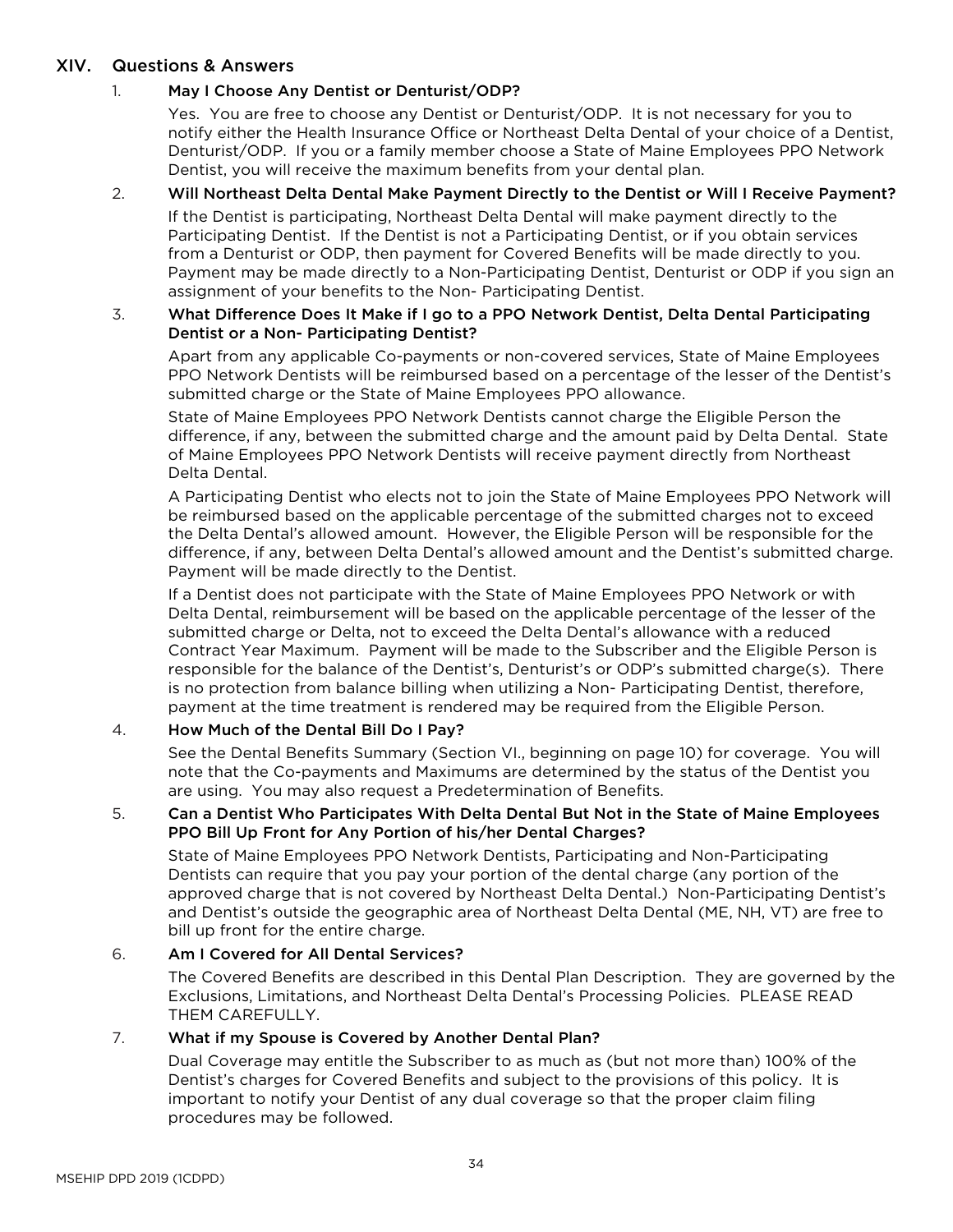# <span id="page-36-0"></span>XIV. Questions & Answers

# 1. May I Choose Any Dentist or Denturist/ODP?

Yes. You are free to choose any Dentist or Denturist/ODP. It is not necessary for you to notify either the Health Insurance Office or Northeast Delta Dental of your choice of a Dentist, Denturist/ODP. If you or a family member choose a State of Maine Employees PPO Network Dentist, you will receive the maximum benefits from your dental plan.

# 2. Will Northeast Delta Dental Make Payment Directly to the Dentist or Will I Receive Payment?

If the Dentist is participating, Northeast Delta Dental will make payment directly to the Participating Dentist. If the Dentist is not a Participating Dentist, or if you obtain services from a Denturist or ODP, then payment for Covered Benefits will be made directly to you. Payment may be made directly to a Non-Participating Dentist, Denturist or ODP if you sign an assignment of your benefits to the Non- Participating Dentist.

#### 3. What Difference Does It Make if I go to a PPO Network Dentist, Delta Dental Participating Dentist or a Non- Participating Dentist?

Apart from any applicable Co-payments or non-covered services, State of Maine Employees PPO Network Dentists will be reimbursed based on a percentage of the lesser of the Dentist's submitted charge or the State of Maine Employees PPO allowance.

State of Maine Employees PPO Network Dentists cannot charge the Eligible Person the difference, if any, between the submitted charge and the amount paid by Delta Dental. State of Maine Employees PPO Network Dentists will receive payment directly from Northeast Delta Dental.

A Participating Dentist who elects not to join the State of Maine Employees PPO Network will be reimbursed based on the applicable percentage of the submitted charges not to exceed the Delta Dental's allowed amount. However, the Eligible Person will be responsible for the difference, if any, between Delta Dental's allowed amount and the Dentist's submitted charge. Payment will be made directly to the Dentist.

If a Dentist does not participate with the State of Maine Employees PPO Network or with Delta Dental, reimbursement will be based on the applicable percentage of the lesser of the submitted charge or Delta, not to exceed the Delta Dental's allowance with a reduced Contract Year Maximum. Payment will be made to the Subscriber and the Eligible Person is responsible for the balance of the Dentist's, Denturist's or ODP's submitted charge(s). There is no protection from balance billing when utilizing a Non- Participating Dentist, therefore, payment at the time treatment is rendered may be required from the Eligible Person.

# 4. How Much of the Dental Bill Do I Pay?

See the Dental Benefits Summary (Section VI., beginning on page 10) for coverage. You will note that the Co-payments and Maximums are determined by the status of the Dentist you are using. You may also request a Predetermination of Benefits.

## 5. Can a Dentist Who Participates With Delta Dental But Not in the State of Maine Employees PPO Bill Up Front for Any Portion of his/her Dental Charges?

State of Maine Employees PPO Network Dentists, Participating and Non-Participating Dentists can require that you pay your portion of the dental charge (any portion of the approved charge that is not covered by Northeast Delta Dental.) Non-Participating Dentist's and Dentist's outside the geographic area of Northeast Delta Dental (ME, NH, VT) are free to bill up front for the entire charge.

# 6. Am I Covered for All Dental Services?

The Covered Benefits are described in this Dental Plan Description. They are governed by the Exclusions, Limitations, and Northeast Delta Dental's Processing Policies. PLEASE READ THEM CAREFULLY.

## 7. What if my Spouse is Covered by Another Dental Plan?

Dual Coverage may entitle the Subscriber to as much as (but not more than) 100% of the Dentist's charges for Covered Benefits and subject to the provisions of this policy. It is important to notify your Dentist of any dual coverage so that the proper claim filing procedures may be followed.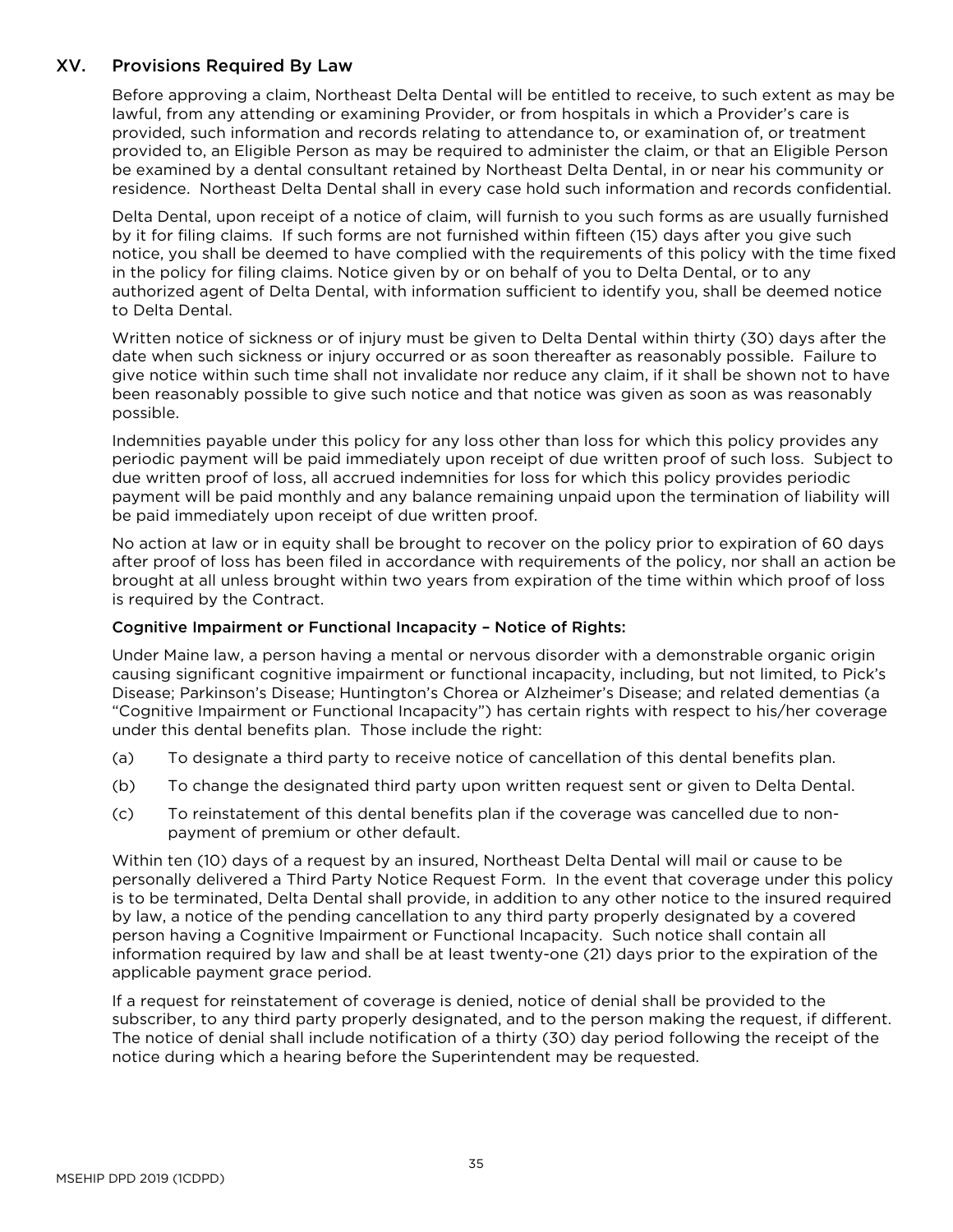# <span id="page-37-0"></span>XV. Provisions Required By Law

Before approving a claim, Northeast Delta Dental will be entitled to receive, to such extent as may be lawful, from any attending or examining Provider, or from hospitals in which a Provider's care is provided, such information and records relating to attendance to, or examination of, or treatment provided to, an Eligible Person as may be required to administer the claim, or that an Eligible Person be examined by a dental consultant retained by Northeast Delta Dental, in or near his community or residence. Northeast Delta Dental shall in every case hold such information and records confidential.

Delta Dental, upon receipt of a notice of claim, will furnish to you such forms as are usually furnished by it for filing claims. If such forms are not furnished within fifteen (15) days after you give such notice, you shall be deemed to have complied with the requirements of this policy with the time fixed in the policy for filing claims. Notice given by or on behalf of you to Delta Dental, or to any authorized agent of Delta Dental, with information sufficient to identify you, shall be deemed notice to Delta Dental.

Written notice of sickness or of injury must be given to Delta Dental within thirty (30) days after the date when such sickness or injury occurred or as soon thereafter as reasonably possible. Failure to give notice within such time shall not invalidate nor reduce any claim, if it shall be shown not to have been reasonably possible to give such notice and that notice was given as soon as was reasonably possible.

Indemnities payable under this policy for any loss other than loss for which this policy provides any periodic payment will be paid immediately upon receipt of due written proof of such loss. Subject to due written proof of loss, all accrued indemnities for loss for which this policy provides periodic payment will be paid monthly and any balance remaining unpaid upon the termination of liability will be paid immediately upon receipt of due written proof.

No action at law or in equity shall be brought to recover on the policy prior to expiration of 60 days after proof of loss has been filed in accordance with requirements of the policy, nor shall an action be brought at all unless brought within two years from expiration of the time within which proof of loss is required by the Contract.

## Cognitive Impairment or Functional Incapacity – Notice of Rights:

Under Maine law, a person having a mental or nervous disorder with a demonstrable organic origin causing significant cognitive impairment or functional incapacity, including, but not limited, to Pick's Disease; Parkinson's Disease; Huntington's Chorea or Alzheimer's Disease; and related dementias (a "Cognitive Impairment or Functional Incapacity") has certain rights with respect to his/her coverage under this dental benefits plan. Those include the right:

- (a) To designate a third party to receive notice of cancellation of this dental benefits plan.
- (b) To change the designated third party upon written request sent or given to Delta Dental.
- (c) To reinstatement of this dental benefits plan if the coverage was cancelled due to nonpayment of premium or other default.

Within ten (10) days of a request by an insured, Northeast Delta Dental will mail or cause to be personally delivered a Third Party Notice Request Form. In the event that coverage under this policy is to be terminated, Delta Dental shall provide, in addition to any other notice to the insured required by law, a notice of the pending cancellation to any third party properly designated by a covered person having a Cognitive Impairment or Functional Incapacity. Such notice shall contain all information required by law and shall be at least twenty-one (21) days prior to the expiration of the applicable payment grace period.

If a request for reinstatement of coverage is denied, notice of denial shall be provided to the subscriber, to any third party properly designated, and to the person making the request, if different. The notice of denial shall include notification of a thirty (30) day period following the receipt of the notice during which a hearing before the Superintendent may be requested.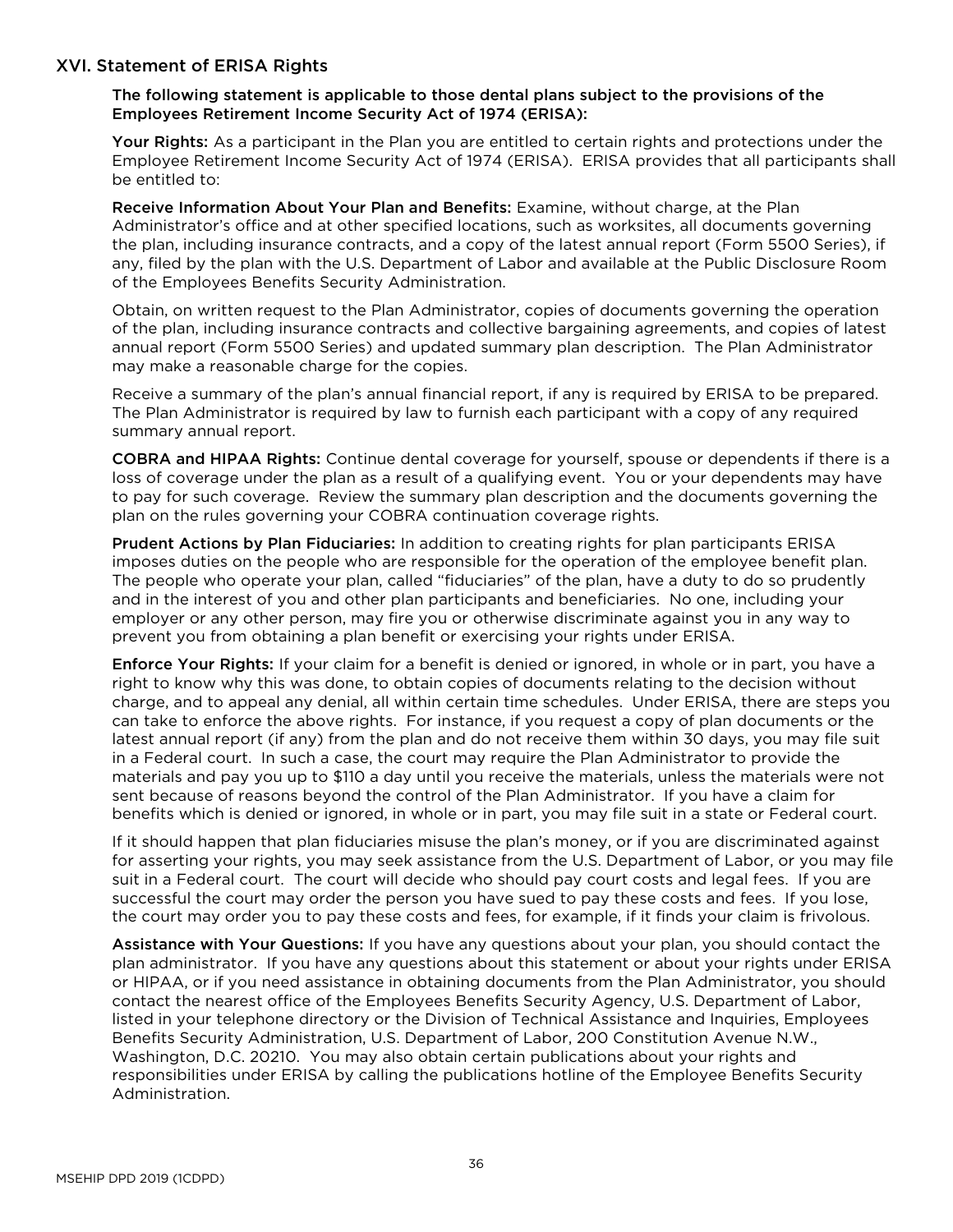## <span id="page-38-0"></span>XVI. Statement of ERISA Rights

The following statement is applicable to those dental plans subject to the provisions of the Employees Retirement Income Security Act of 1974 (ERISA):

Your Rights: As a participant in the Plan you are entitled to certain rights and protections under the Employee Retirement Income Security Act of 1974 (ERISA). ERISA provides that all participants shall be entitled to:

Receive Information About Your Plan and Benefits: Examine, without charge, at the Plan Administrator's office and at other specified locations, such as worksites, all documents governing the plan, including insurance contracts, and a copy of the latest annual report (Form 5500 Series), if any, filed by the plan with the U.S. Department of Labor and available at the Public Disclosure Room of the Employees Benefits Security Administration.

Obtain, on written request to the Plan Administrator, copies of documents governing the operation of the plan, including insurance contracts and collective bargaining agreements, and copies of latest annual report (Form 5500 Series) and updated summary plan description. The Plan Administrator may make a reasonable charge for the copies.

Receive a summary of the plan's annual financial report, if any is required by ERISA to be prepared. The Plan Administrator is required by law to furnish each participant with a copy of any required summary annual report.

COBRA and HIPAA Rights: Continue dental coverage for yourself, spouse or dependents if there is a loss of coverage under the plan as a result of a qualifying event. You or your dependents may have to pay for such coverage. Review the summary plan description and the documents governing the plan on the rules governing your COBRA continuation coverage rights.

Prudent Actions by Plan Fiduciaries: In addition to creating rights for plan participants ERISA imposes duties on the people who are responsible for the operation of the employee benefit plan. The people who operate your plan, called "fiduciaries" of the plan, have a duty to do so prudently and in the interest of you and other plan participants and beneficiaries. No one, including your employer or any other person, may fire you or otherwise discriminate against you in any way to prevent you from obtaining a plan benefit or exercising your rights under ERISA.

Enforce Your Rights: If your claim for a benefit is denied or ignored, in whole or in part, you have a right to know why this was done, to obtain copies of documents relating to the decision without charge, and to appeal any denial, all within certain time schedules. Under ERISA, there are steps you can take to enforce the above rights. For instance, if you request a copy of plan documents or the latest annual report (if any) from the plan and do not receive them within 30 days, you may file suit in a Federal court. In such a case, the court may require the Plan Administrator to provide the materials and pay you up to \$110 a day until you receive the materials, unless the materials were not sent because of reasons beyond the control of the Plan Administrator. If you have a claim for benefits which is denied or ignored, in whole or in part, you may file suit in a state or Federal court.

If it should happen that plan fiduciaries misuse the plan's money, or if you are discriminated against for asserting your rights, you may seek assistance from the U.S. Department of Labor, or you may file suit in a Federal court. The court will decide who should pay court costs and legal fees. If you are successful the court may order the person you have sued to pay these costs and fees. If you lose, the court may order you to pay these costs and fees, for example, if it finds your claim is frivolous.

Assistance with Your Questions: If you have any questions about your plan, you should contact the plan administrator. If you have any questions about this statement or about your rights under ERISA or HIPAA, or if you need assistance in obtaining documents from the Plan Administrator, you should contact the nearest office of the Employees Benefits Security Agency, U.S. Department of Labor, listed in your telephone directory or the Division of Technical Assistance and Inquiries, Employees Benefits Security Administration, U.S. Department of Labor, 200 Constitution Avenue N.W., Washington, D.C. 20210. You may also obtain certain publications about your rights and responsibilities under ERISA by calling the publications hotline of the Employee Benefits Security Administration.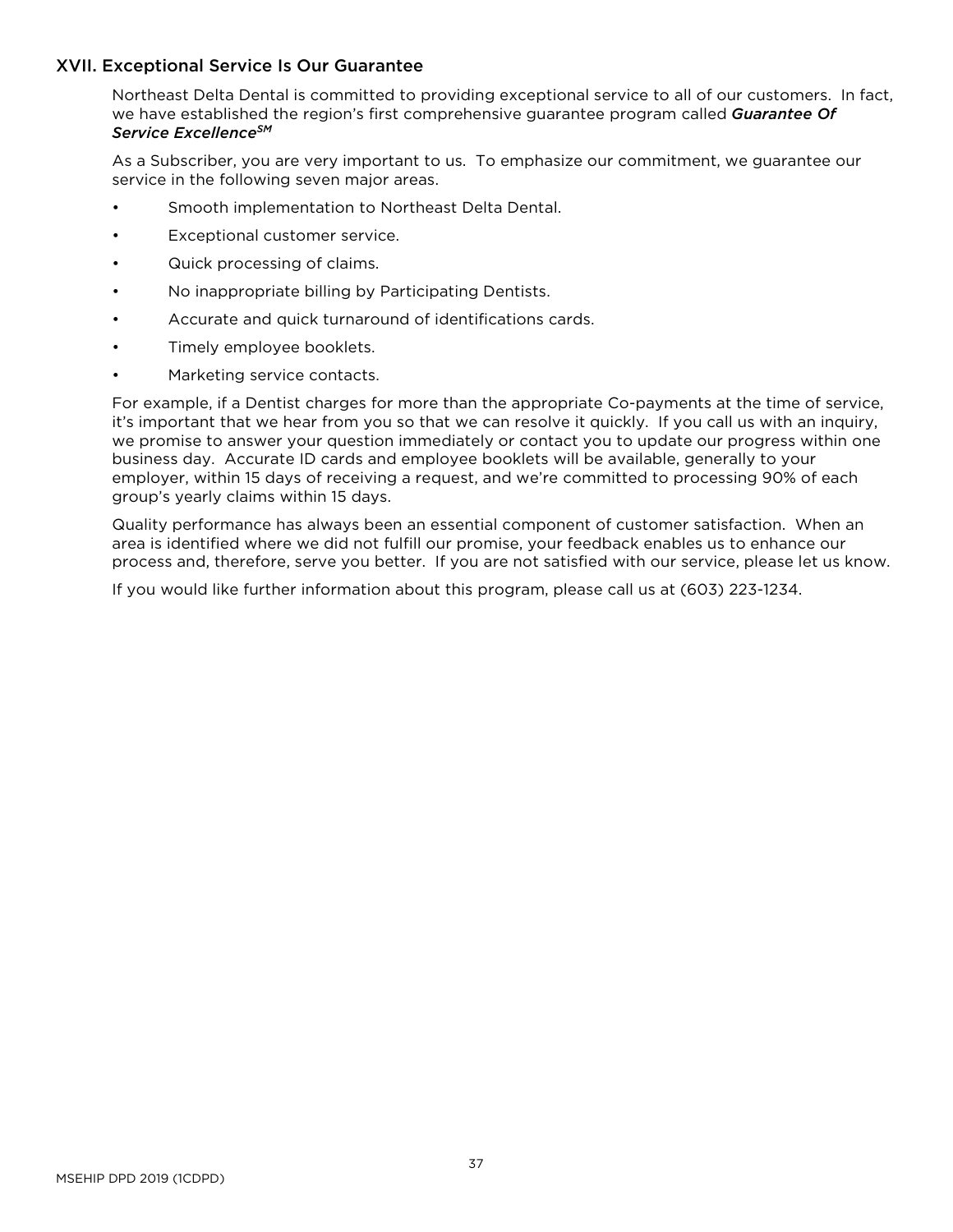## <span id="page-39-0"></span>XVII. Exceptional Service Is Our Guarantee

Northeast Delta Dental is committed to providing exceptional service to all of our customers. In fact, we have established the region's first comprehensive guarantee program called *Guarantee Of Service ExcellenceSM*

As a Subscriber, you are very important to us. To emphasize our commitment, we guarantee our service in the following seven major areas.

- Smooth implementation to Northeast Delta Dental.
- Exceptional customer service.
- Quick processing of claims.
- No inappropriate billing by Participating Dentists.
- Accurate and quick turnaround of identifications cards.
- Timely employee booklets.
- Marketing service contacts.

For example, if a Dentist charges for more than the appropriate Co-payments at the time of service, it's important that we hear from you so that we can resolve it quickly. If you call us with an inquiry, we promise to answer your question immediately or contact you to update our progress within one business day. Accurate ID cards and employee booklets will be available, generally to your employer, within 15 days of receiving a request, and we're committed to processing 90% of each group's yearly claims within 15 days.

Quality performance has always been an essential component of customer satisfaction. When an area is identified where we did not fulfill our promise, your feedback enables us to enhance our process and, therefore, serve you better. If you are not satisfied with our service, please let us know.

If you would like further information about this program, please call us at (603) 223-1234.